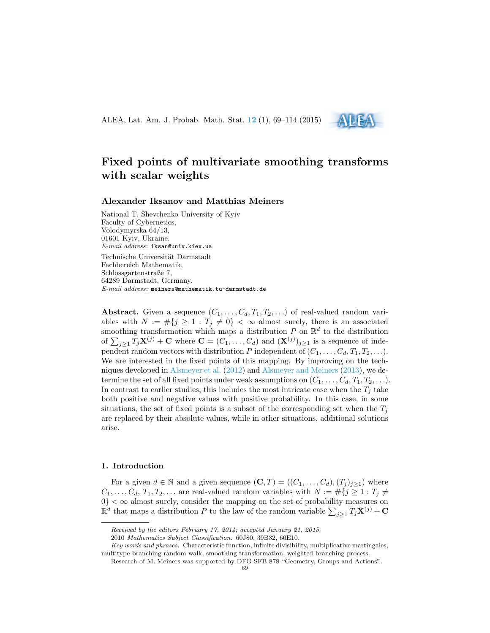ALEA, Lat. Am. J. Probab. Math. Stat. **[12](http://alea.impa.br/english/index_v12.htm)** (1), 69–114 (2015)



# **Fixed points of multivariate smoothing transforms with scalar weights**

## **Alexander Iksanov and Matthias Meiners**

National T. Shevchenko University of Kyiv Faculty of Cybernetics, Volodymyrska 64/13, 01601 Kyiv, Ukraine. *E-mail address*: iksan@univ.kiev.ua Technische Universität Darmstadt Fachbereich Mathematik, Schlossgartenstraße 7, 64289 Darmstadt, Germany. *E-mail address*: meiners@mathematik.tu-darmstadt.de

**Abstract.** Given a sequence  $(C_1, \ldots, C_d, T_1, T_2, \ldots)$  of real-valued random variables with  $N := #{j \geq 1 : T_j \neq 0} < \infty$  almost surely, there is an associated smoothing transformation which maps a distribution  $P$  on  $\mathbb{R}^d$  to the distribution of  $\sum_{j\geq 1} T_j \mathbf{X}^{(j)} + \mathbf{C}$  where  $\mathbf{C} = (C_1, \ldots, C_d)$  and  $(\mathbf{X}^{(j)})_{j\geq 1}$  is a sequence of independent random vectors with distribution *P* independent of  $(C_1, \ldots, C_d, T_1, T_2, \ldots)$ . We are interested in the fixed points of this mapping. By improving on the techniques developed in [Alsmeyer et al.](#page-43-0) ([2012\)](#page-43-0) and [Alsmeyer and Meiners](#page-43-1) [\(2013](#page-43-1)), we determine the set of all fixed points under weak assumptions on  $(C_1, \ldots, C_d, T_1, T_2, \ldots)$ . In contrast to earlier studies, this includes the most intricate case when the  $T_j$  take both positive and negative values with positive probability. In this case, in some situations, the set of fixed points is a subset of the corresponding set when the  $T_j$ are replaced by their absolute values, while in other situations, additional solutions arise.

#### **1. Introduction**

For a given  $d \in \mathbb{N}$  and a given sequence  $(\mathbf{C}, T) = ((C_1, \ldots, C_d), (T_j)_{j \geq 1})$  where  $C_1, \ldots, C_d, T_1, T_2, \ldots$  are real-valued random variables with  $N := #\{j \geq 1 : T_j \neq j\}$  $0$ <sup>}</sup>  $<\infty$  almost surely, consider the mapping on the set of probability measures on  $\mathbb{R}^d$  that maps a distribution *P* to the law of the random variable  $\sum_{j\geq 1} T_j \mathbf{X}^{(j)} + \mathbf{C}$ 

*Received by the editors February 17, 2014; accepted January 21, 2015.*

<sup>2010</sup> *Mathematics Subject Classification.* 60J80, 39B32, 60E10.

*Key words and phrases.* Characteristic function, infinite divisibility, multiplicative martingales, multitype branching random walk, smoothing transformation, weighted branching process.

Research of M. Meiners was supported by DFG SFB 878 "Geometry, Groups and Actions".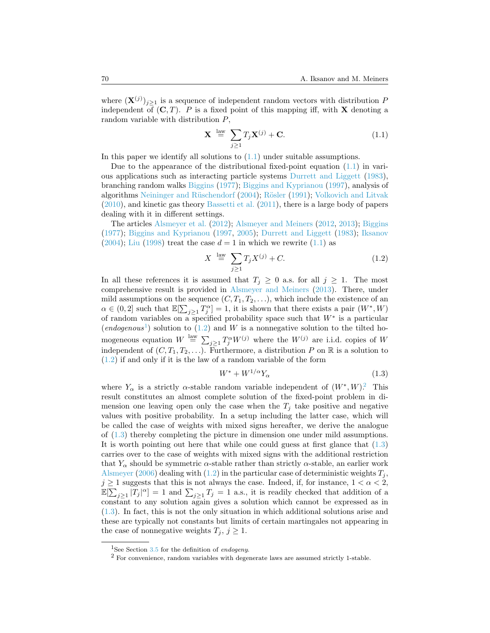where  $(\mathbf{X}^{(j)})_{j\geq 1}$  is a sequence of independent random vectors with distribution *P* independent of  $(C, T)$ . *P* is a fixed point of this mapping iff, with **X** denoting a random variable with distribution *P*,

<span id="page-1-0"></span>
$$
\mathbf{X} \stackrel{\text{law}}{=} \sum_{j \ge 1} T_j \mathbf{X}^{(j)} + \mathbf{C}.\tag{1.1}
$$

Inthis paper we identify all solutions to  $(1.1)$  $(1.1)$  under suitable assumptions.

Dueto the appearance of the distributional fixed-point equation  $(1.1)$  $(1.1)$  $(1.1)$  in various applications such as interacting particle systems [Durrett and Liggett](#page-44-0) ([1983\)](#page-44-0), branching random walks [Biggins](#page-43-2) [\(1977](#page-43-2)); [Biggins and Kyprianou](#page-43-3) ([1997\)](#page-43-3), analysis of algorithms Neininger and Rüschendorf [\(2004](#page-45-0)); Rösler [\(1991](#page-45-1)); [Volkovich and Litvak](#page-45-2) ([2010](#page-45-2)), and kinetic gas theory [Bassetti et al.](#page-43-4) ([2011\)](#page-43-4), there is a large body of papers dealing with it in different settings.

The articles [Alsmeyer et al.](#page-43-0) ([2012\)](#page-43-0); [Alsmeyer and Meiners](#page-43-5) ([2012,](#page-43-5) [2013\)](#page-43-1); [Biggins](#page-43-2) ([1977](#page-43-2)); [Biggins and Kyprianou](#page-43-3) ([1997,](#page-43-3) [2005](#page-44-1)); [Durrett and Liggett](#page-44-0) ([1983\)](#page-44-0); [Iksanov](#page-44-2) ([2004](#page-44-2)); [Liu](#page-45-3) [\(1998](#page-45-3)) treat the case  $d = 1$  in which we rewrite [\(1.1\)](#page-1-0) as

<span id="page-1-2"></span>
$$
X \stackrel{\text{law}}{=} \sum_{j \ge 1} T_j X^{(j)} + C. \tag{1.2}
$$

In all these references it is assumed that  $T_j \geq 0$  a.s. for all  $j \geq 1$ . The most comprehensive result is provided in [Alsmeyer and Meiners](#page-43-1) [\(2013](#page-43-1)). There, under mild assumptions on the sequence  $(C, T_1, T_2, \ldots)$ , which include the existence of an  $\alpha \in (0, 2]$  such that  $\mathbb{E}[\sum_{j \geq 1} T_j^{\alpha}] = 1$ , it is shown that there exists a pair  $(W^*, W)$ of random variables on a specified probability space such that  $W^*$  is a particular  $(endogenous<sup>1</sup>)$  $(endogenous<sup>1</sup>)$  $(endogenous<sup>1</sup>)$ solution to  $(1.2)$  $(1.2)$  $(1.2)$  and *W* is a nonnegative solution to the tilted homogeneous equation  $W \stackrel{\text{law}}{=} \sum_{j\geq 1} T_j^{\alpha} W^{(j)}$  where the  $W^{(j)}$  are i.i.d. copies of *W* independent of  $(C, T_1, T_2, \ldots)$ . Furthermore, a distribution *P* on R is a solution to ([1.2](#page-1-2)) if and only if it is the law of a random variable of the form

<span id="page-1-4"></span>
$$
W^* + W^{1/\alpha} Y_\alpha \tag{1.3}
$$

where  $Y_\alpha$  is a strictly  $\alpha$ -stable random variable independent of  $(W^*, W)^2$  $(W^*, W)^2$ . This result constitutes an almost complete solution of the fixed-point problem in dimension one leaving open only the case when the  $T_j$  take positive and negative values with positive probability. In a setup including the latter case, which will be called the case of weights with mixed signs hereafter, we derive the analogue of([1.3](#page-1-4)) thereby completing the picture in dimension one under mild assumptions. It is worth pointing out here that while one could guess at first glance that([1.3](#page-1-4)) carries over to the case of weights with mixed signs with the additional restriction that  $Y_\alpha$  should be symmetric  $\alpha$ -stable rather than strictly  $\alpha$ -stable, an earlier work [Alsmeyer](#page-43-6) [\(2006](#page-43-6))dealing with ([1.2\)](#page-1-2) in the particular case of deterministic weights  $T_i$ ,  $j \geq 1$  suggests that this is not always the case. Indeed, if, for instance,  $1 < \alpha < 2$ ,  $\mathbb{E}[\sum_{j\geq 1}|T_j|^{\alpha}] = 1$  and  $\sum_{j\geq 1}T_j = 1$  a.s., it is readily checked that addition of a constant to any solution again gives a solution which cannot be expressed as in ([1.3](#page-1-4)). In fact, this is not the only situation in which additional solutions arise and these are typically not constants but limits of certain martingales not appearing in the case of nonnegative weights  $T_j$ ,  $j \geq 1$ .

<span id="page-1-1"></span><sup>1</sup>See Section [3.5](#page-17-0) for the definition of *endogeny*.

<span id="page-1-3"></span><sup>2</sup> For convenience, random variables with degenerate laws are assumed strictly 1-stable.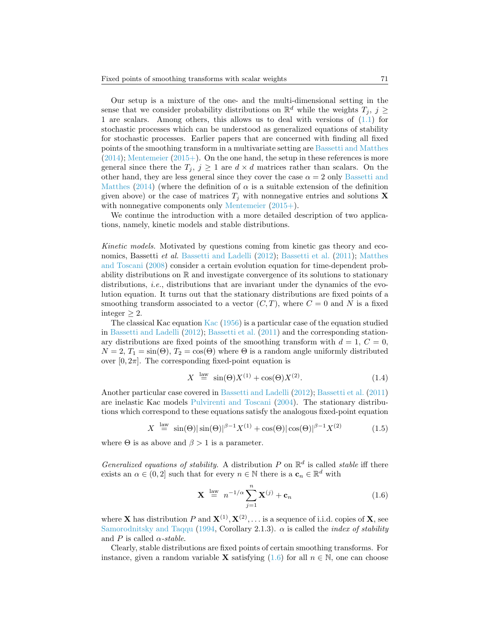Our setup is a mixture of the one- and the multi-dimensional setting in the sense that we consider probability distributions on  $\mathbb{R}^d$  while the weights  $T_j$ ,  $j \geq$ 1 are scalars. Among others, this allows us to deal with versions of([1.1\)](#page-1-0) for stochastic processes which can be understood as generalized equations of stability for stochastic processes. Earlier papers that are concerned with finding all fixed points of the smoothing transform in a multivariate setting are [Bassetti and Matthes](#page-43-7)  $(2014)$  $(2014)$  $(2014)$ ; [Mentemeier](#page-45-4)  $(2015+)$  $(2015+)$ . On the one hand, the setup in these references is more general since there the  $T_j$ ,  $j \geq 1$  are  $d \times d$  matrices rather than scalars. On the other hand, they are less general since they cover the case  $\alpha = 2$  only [Bassetti and](#page-43-7) [Matthes](#page-43-7) ([2014\)](#page-43-7) (where the definition of  $\alpha$  is a suitable extension of the definition given above) or the case of matrices  $T_i$  with nonnegative entries and solutions **X** with nonnegative components only [Mentemeier](#page-45-4)  $(2015+)$  $(2015+)$  $(2015+)$ .

We continue the introduction with a more detailed description of two applications, namely, kinetic models and stable distributions.

*Kinetic models.* Motivated by questions coming from kinetic gas theory and economics, Bassetti *et al.* [Bassetti and Ladelli](#page-43-8) ([2012\)](#page-43-8); [Bassetti et al.](#page-43-4) ([2011](#page-43-4)); [Matthes](#page-45-5) [and Toscani](#page-45-5) ([2008\)](#page-45-5) consider a certain evolution equation for time-dependent probability distributions on R and investigate convergence of its solutions to stationary distributions, *i.e.*, distributions that are invariant under the dynamics of the evolution equation. It turns out that the stationary distributions are fixed points of a smoothing transform associated to a vector  $(C, T)$ , where  $C = 0$  and N is a fixed integer  $\geq 2$ .

The classical Kac equation [Kac](#page-44-3) ([1956\)](#page-44-3) is a particular case of the equation studied in [Bassetti and Ladelli](#page-43-8) ([2012\)](#page-43-8); [Bassetti et al.](#page-43-4) [\(2011](#page-43-4)) and the corresponding stationary distributions are fixed points of the smoothing transform with  $d = 1, C = 0$ ,  $N = 2$ ,  $T_1 = \sin(\Theta)$ ,  $T_2 = \cos(\Theta)$  where  $\Theta$  is a random angle uniformly distributed over  $[0, 2\pi]$ . The corresponding fixed-point equation is

<span id="page-2-1"></span>
$$
X \stackrel{\text{law}}{=} \sin(\Theta)X^{(1)} + \cos(\Theta)X^{(2)}.\tag{1.4}
$$

Another particular case covered in [Bassetti and Ladelli](#page-43-8) ([2012](#page-43-8)); [Bassetti et al.](#page-43-4) ([2011](#page-43-4)) are inelastic Kac models [Pulvirenti and Toscani](#page-45-6) [\(2004](#page-45-6)). The stationary distributions which correspond to these equations satisfy the analogous fixed-point equation

<span id="page-2-2"></span>
$$
X \stackrel{\text{law}}{=} \sin(\Theta)|\sin(\Theta)|^{\beta - 1} X^{(1)} + \cos(\Theta)|\cos(\Theta)|^{\beta - 1} X^{(2)} \tag{1.5}
$$

where  $\Theta$  is as above and  $\beta > 1$  is a parameter.

*Generalized equations of stability.* A distribution  $P$  on  $\mathbb{R}^d$  is called *stable* iff there exists an  $\alpha \in (0, 2]$  such that for every  $n \in \mathbb{N}$  there is a  $\mathbf{c}_n \in \mathbb{R}^d$  with

<span id="page-2-0"></span>
$$
\mathbf{X} \stackrel{\text{law}}{=} n^{-1/\alpha} \sum_{j=1}^{n} \mathbf{X}^{(j)} + \mathbf{c}_n \tag{1.6}
$$

where **X** has distribution P and  $X^{(1)}, X^{(2)}, \ldots$  is a sequence of i.i.d. copies of **X**, see [Samorodnitsky and Taqqu](#page-45-7) [\(1994](#page-45-7), Corollary 2.1.3). *α* is called the *index of stability* and *P* is called  $\alpha$ -stable.

Clearly, stable distributions are fixed points of certain smoothing transforms. For instance, given a random variable **X** satisfying [\(1.6\)](#page-2-0) for all  $n \in \mathbb{N}$ , one can choose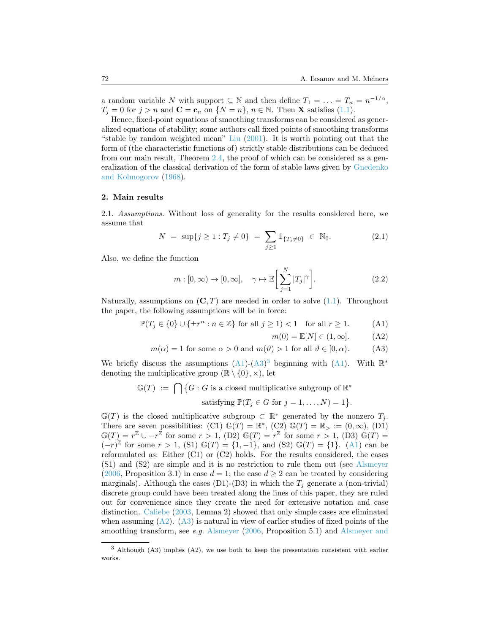a random variable *N* with support  $\subseteq$  N and then define  $T_1 = \ldots = T_n = n^{-1/\alpha}$ ,  $T_i = 0$  $T_i = 0$  $T_i = 0$  for  $j > n$  and  $\mathbf{C} = \mathbf{c}_n$  on  $\{N = n\}$ ,  $n \in \mathbb{N}$ . Then **X** satisfies ([1.1\)](#page-1-0).

Hence, fixed-point equations of smoothing transforms can be considered as generalized equations of stability; some authors call fixed points of smoothing transforms "stable by random weighted mean" [Liu](#page-45-8) [\(2001](#page-45-8)). It is worth pointing out that the form of (the characteristic functions of) strictly stable distributions can be deduced from our main result, Theorem [2.4,](#page-8-0) the proof of which can be considered as a generalization of the classical derivation of the form of stable laws given by [Gnedenko](#page-44-4) [and Kolmogorov](#page-44-4) ([1968\)](#page-44-4).

#### **2. Main results**

2.1. *Assumptions.* Without loss of generality for the results considered here, we assume that

$$
N = \sup\{j \ge 1 : T_j \ne 0\} = \sum_{j \ge 1} 1\!\!1_{\{T_j \ne 0\}} \in \mathbb{N}_0. \tag{2.1}
$$

Also, we define the function

<span id="page-3-4"></span>
$$
m: [0, \infty) \to [0, \infty], \quad \gamma \mapsto \mathbb{E}\bigg[\sum_{j=1}^{N} |T_j|^{\gamma}\bigg].
$$
 (2.2)

Naturally,assumptions on  $(C, T)$  are needed in order to solve  $(1.1)$  $(1.1)$ . Throughout the paper, the following assumptions will be in force:

 $\mathbb{P}(T_j \in \{0\} \cup \{\pm r^n : n \in \mathbb{Z}\} \text{ for all } j \ge 1) < 1 \text{ for all } r \ge 1.$  (A1)

<span id="page-3-3"></span><span id="page-3-1"></span><span id="page-3-0"></span> $m(0) = \mathbb{E}[N] \in (1, \infty].$  (A2)

$$
m(\alpha) = 1
$$
 for some  $\alpha > 0$  and  $m(\vartheta) > 1$  for all  $\vartheta \in [0, \alpha)$ . (A3)

Webriefly discuss the assumptions  $(A1)-(A3)^3$  $(A1)-(A3)^3$  $(A1)-(A3)^3$  $(A1)-(A3)^3$  $(A1)-(A3)^3$  $(A1)-(A3)^3$  beginning with  $(A1)$ . With  $\mathbb{R}^*$ denoting the multiplicative group  $(\mathbb{R} \setminus \{0\}, \times)$ , let

$$
\mathbb{G}(T) \ := \ \bigcap \big\{ G : G \text{ is a closed multiplicative subgroup of } \mathbb{R}^* \big\}
$$

satisfying 
$$
\mathbb{P}(T_j \in G \text{ for } j = 1, ..., N) = 1
$$
.

G(*T*) is the closed multiplicative subgroup  $\subset \mathbb{R}^*$  generated by the nonzero  $T_j$ . There are seven possibilities: (C1)  $\mathbb{G}(T) = \mathbb{R}^*$ , (C2)  $\mathbb{G}(T) = \mathbb{R}_{>} := (0, \infty)$ , (D1)  $\mathbb{G}(T) = r^{\mathbb{Z}} \cup -r^{\mathbb{Z}}$  for some  $r > 1$ , (D2)  $\mathbb{G}(T) = r^{\mathbb{Z}}$  for some  $r > 1$ , (D3)  $\mathbb{G}(T) =$  $(-r)^{\mathbb{Z}}$ for some  $r > 1$ , (S1)  $\mathbb{G}(T) = \{1, -1\}$ , and (S2)  $\mathbb{G}(T) = \{1\}$ . ([A1](#page-3-0)) can be reformulated as: Either (C1) or (C2) holds. For the results considered, the cases (S1) and (S2) are simple and it is no restriction to rule them out (see [Alsmeyer](#page-43-6) ([2006](#page-43-6), Proposition 3.1) in case  $d = 1$ ; the case  $d \geq 2$  can be treated by considering marginals). Although the cases (D1)-(D3) in which the  $T_j$  generate a (non-trivial) discrete group could have been treated along the lines of this paper, they are ruled out for convenience since they create the need for extensive notation and case distinction. [Caliebe](#page-44-5) ([2003,](#page-44-5) Lemma 2) showed that only simple cases are eliminated whenassuming  $(A2)$  $(A2)$  $(A2)$ .  $(A3)$  is natural in view of earlier studies of fixed points of the smoothing transform, see *e.g.* [Alsmeyer](#page-43-6) [\(2006](#page-43-6), Proposition 5.1) and [Alsmeyer and](#page-43-5)

<span id="page-3-2"></span><sup>3</sup> [Although \(A3\) implies \(A2\), we use both to keep the presentation consistent with earlier](#page-43-5) [works.](#page-43-5)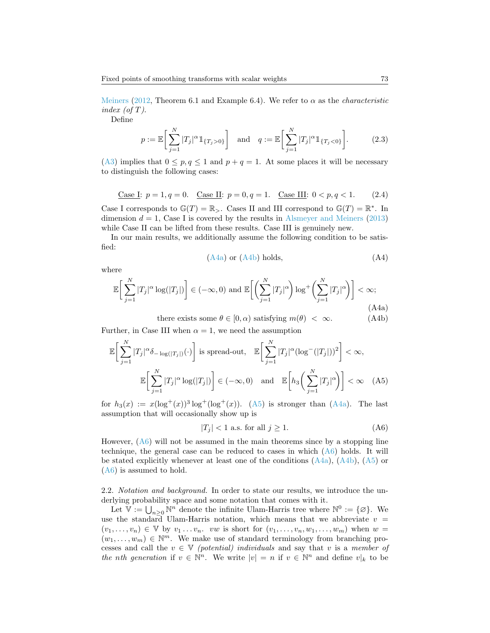[Meiners](#page-43-5) ([2012,](#page-43-5) Theorem 6.1 and Example 6.4). We refer to  $\alpha$  as the *characteristic index (of T)*.

Define

<span id="page-4-7"></span>
$$
p := \mathbb{E}\bigg[\sum_{j=1}^{N} |T_j|^{\alpha} 1\!\!1_{\{T_j > 0\}}\bigg] \quad \text{and} \quad q := \mathbb{E}\bigg[\sum_{j=1}^{N} |T_j|^{\alpha} 1\!\!1_{\{T_j < 0\}}\bigg].\tag{2.3}
$$

([A3](#page-3-1)) implies that  $0 \leq p, q \leq 1$  and  $p + q = 1$ . At some places it will be necessary to distinguish the following cases:

<span id="page-4-6"></span>Case I: 
$$
p = 1, q = 0
$$
. Case II:  $p = 0, q = 1$ . Case III:  $0 < p, q < 1$ . (2.4)

Case I corresponds to  $\mathbb{G}(T) = \mathbb{R}_{>}$ . Cases II and III correspond to  $\mathbb{G}(T) = \mathbb{R}^*$ . In dimension  $d = 1$ , Case I is covered by the results in [Alsmeyer and Meiners](#page-43-1) ([2013](#page-43-1)) while Case II can be lifted from these results. Case III is genuinely new.

In our main results, we additionally assume the following condition to be satisfied:

<span id="page-4-4"></span><span id="page-4-1"></span><span id="page-4-0"></span>
$$
(A4a) or (A4b) holds,
$$
 (A4)

where

$$
\mathbb{E}\bigg[\sum_{j=1}^{N} |T_j|^{\alpha} \log(|T_j|)\bigg] \in (-\infty, 0) \text{ and } \mathbb{E}\bigg[\bigg(\sum_{j=1}^{N} |T_j|^{\alpha}\bigg) \log^+\bigg(\sum_{j=1}^{N} |T_j|^{\alpha}\bigg)\bigg] < \infty; \tag{A4a}
$$

there exists some  $\theta \in [0, \alpha)$  satisfying  $m(\theta) < \infty$ . (A4b)

Further, in Case III when  $\alpha = 1$ , we need the assumption

$$
\mathbb{E}\bigg[\sum_{j=1}^{N} |T_j|^{\alpha} \delta_{-\log(|T_j|)}(\cdot)\bigg] \text{ is spread-out, } \mathbb{E}\bigg[\sum_{j=1}^{N} |T_j|^{\alpha} (\log^{-}(|T_j|))^{2}\bigg] < \infty,
$$

$$
\mathbb{E}\bigg[\sum_{j=1}^{N} |T_j|^{\alpha} \log(|T_j|)\bigg] \in (-\infty, 0) \text{ and } \mathbb{E}\bigg[h_3\bigg(\sum_{j=1}^{N} |T_j|^{\alpha}\bigg)\bigg] < \infty \quad (A5)
$$

for $h_3(x) := x(\log^+(x))^3 \log^+(\log^+(x))$ . ([A5](#page-4-2)) is stronger than ([A4a](#page-4-0)). The last assumption that will occasionally show up is

<span id="page-4-3"></span><span id="page-4-2"></span>
$$
|T_j| < 1 \text{ a.s. for all } j \ge 1. \tag{A6}
$$

However,([A6](#page-4-3)) will not be assumed in the main theorems since by a stopping line technique, the general case can be reduced to cases in which([A6](#page-4-3)) holds. It will bestated explicitly whenever at least one of the conditions  $(A4a)$  $(A4a)$  $(A4a)$ ,  $(A4b)$ ,  $(A5)$  $(A5)$  $(A5)$  or ([A6](#page-4-3)) is assumed to hold.

<span id="page-4-5"></span>2.2. *Notation and background.* In order to state our results, we introduce the underlying probability space and some notation that comes with it.

Let  $\mathbb{V} := \bigcup_{n \geq 0} \mathbb{N}^n$  denote the infinite Ulam-Harris tree where  $\mathbb{N}^0 := \{ \emptyset \}$ . We use the standard Ulam-Harris notation, which means that we abbreviate  $v =$  $(v_1, \ldots, v_n) \in V$  by  $v_1 \ldots v_n$ . *vw* is short for  $(v_1, \ldots, v_n, w_1, \ldots, w_m)$  when  $w =$  $(w_1, \ldots, w_m) \in \mathbb{N}^m$ . We make use of standard terminology from branching processes and call the  $v \in V$  *(potential) individuals* and say that v is a *member of the nth* generation if  $v \in \mathbb{N}^n$ . We write  $|v| = n$  if  $v \in \mathbb{N}^n$  and define  $v|_k$  to be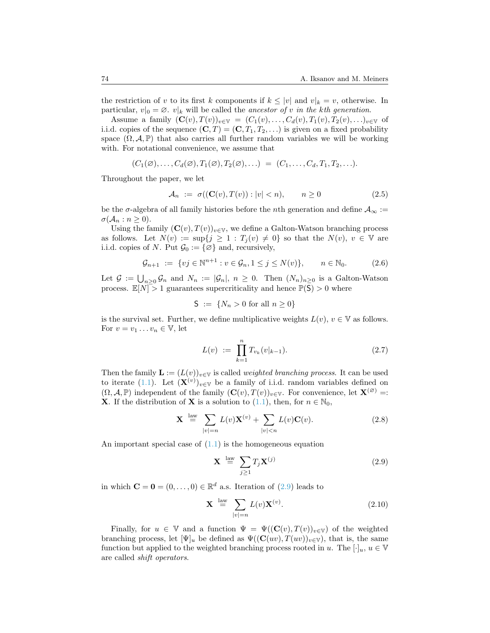the restriction of *v* to its first *k* components if  $k \leq |v|$  and  $v|_k = v$ , otherwise. In particular,  $v|_0 = \emptyset$ .  $v|_k$  will be called the *ancestor of v in the kth generation*.

Assume a family  $({\bf C}(v), T(v))_{v \in V} = (C_1(v), \ldots, C_d(v), T_1(v), T_2(v), \ldots)_{v \in V}$  of i.i.d. copies of the sequence  $(C, T) = (C, T_1, T_2, \ldots)$  is given on a fixed probability space  $(\Omega, \mathcal{A}, \mathbb{P})$  that also carries all further random variables we will be working with. For notational convenience, we assume that

$$
(C_1(\varnothing),\ldots,C_d(\varnothing),T_1(\varnothing),T_2(\varnothing),\ldots) = (C_1,\ldots,C_d,T_1,T_2,\ldots).
$$

Throughout the paper, we let

$$
\mathcal{A}_n := \sigma((\mathbf{C}(v), T(v)) : |v| < n), \qquad n \ge 0 \tag{2.5}
$$

be the  $\sigma$ -algebra of all family histories before the *n*th generation and define  $A_{\infty}$  :=  $\sigma(\mathcal{A}_n : n \geq 0).$ 

Using the family  $(C(v), T(v))_{v \in V}$ , we define a Galton-Watson branching process as follows. Let  $N(v) := \sup\{j \geq 1 : T_j(v) \neq 0\}$  so that the  $N(v)$ ,  $v \in V$  are i.i.d. copies of *N*. Put  $\mathcal{G}_0 := \{ \emptyset \}$  and, recursively,

<span id="page-5-1"></span>
$$
\mathcal{G}_{n+1} := \{ vj \in \mathbb{N}^{n+1} : v \in \mathcal{G}_n, 1 \le j \le N(v) \}, \qquad n \in \mathbb{N}_0. \tag{2.6}
$$

Let  $\mathcal{G} := \bigcup_{n \geq 0} \mathcal{G}_n$  and  $N_n := |\mathcal{G}_n|, n \geq 0$ . Then  $(N_n)_{n \geq 0}$  is a Galton-Watson process.  $\mathbb{E}[N] > 1$  guarantees supercriticality and hence  $\mathbb{P}(\mathsf{S}) > 0$  where

$$
S := \{ N_n > 0 \text{ for all } n \ge 0 \}
$$

is the survival set. Further, we define multiplicative weights  $L(v)$ ,  $v \in V$  as follows. For  $v = v_1 \dots v_n \in V$ , let

$$
L(v) := \prod_{k=1}^{n} T_{v_k}(v|_{k-1}).
$$
\n(2.7)

Then the family  $\mathbf{L} := (L(v))_{v \in \mathbb{V}}$  is called *weighted branching process*. It can be used to iterate [\(1.1\)](#page-1-0). Let  $(\mathbf{X}^{(v)})_{v \in \mathbb{V}}$  be a family of i.i.d. random variables defined on  $(\Omega, \mathcal{A}, \mathbb{P})$  independent of the family  $(\mathbf{C}(v), T(v))_{v \in \mathbb{V}}$ . For convenience, let  $\mathbf{X}^{(\varnothing)} =$ : **X**. If the distribution of **X** is a solution to [\(1.1](#page-1-0)), then, for  $n \in \mathbb{N}_0$ ,

$$
\mathbf{X} \stackrel{\text{law}}{=} \sum_{|v|=n} L(v) \mathbf{X}^{(v)} + \sum_{|v|< n} L(v) \mathbf{C}(v). \tag{2.8}
$$

Animportant special case of  $(1.1)$  $(1.1)$  $(1.1)$  is the homogeneous equation

<span id="page-5-0"></span>
$$
\mathbf{X} \stackrel{\text{law}}{=} \sum_{j \ge 1} T_j \mathbf{X}^{(j)} \tag{2.9}
$$

inwhich  $\mathbf{C} = \mathbf{0} = (0, \dots, 0) \in \mathbb{R}^d$  a.s. Iteration of  $(2.9)$  $(2.9)$  $(2.9)$  leads to

<span id="page-5-2"></span>
$$
\mathbf{X} \stackrel{\text{law}}{=} \sum_{|v|=n} L(v) \mathbf{X}^{(v)}.
$$
 (2.10)

Finally, for  $u \in V$  and a function  $\Psi = \Psi((\mathbf{C}(v), T(v))_{v \in V})$  of the weighted branching process, let  $[\Psi]_u$  be defined as  $\Psi((\mathbf{C}(uv), T(uv))_{v \in \mathbb{V}})$ , that is, the same function but applied to the weighted branching process rooted in *u*. The  $[\cdot]_u, u \in V$ are called *shift operators*.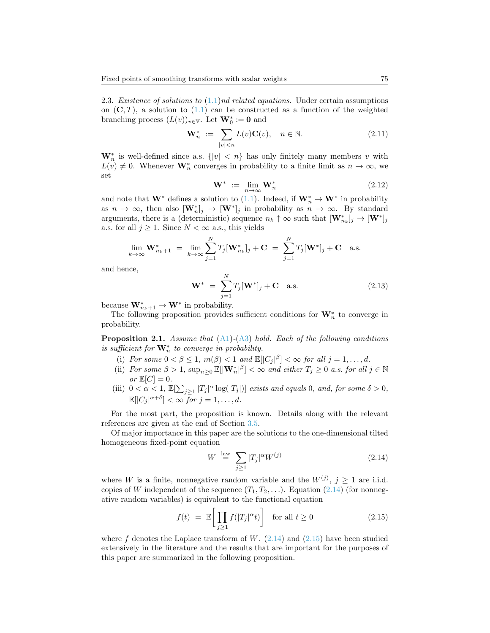2.3. *Existence of solutions to* [\(1.1](#page-1-0))*nd related equations.* Under certain assumptions on $(C, T)$ , a solution to  $(1.1)$  $(1.1)$  $(1.1)$  can be constructed as a function of the weighted branching process  $(L(v))_{v \in \mathbb{V}}$ . Let  $\mathbf{W}_0^* := \mathbf{0}$  and

<span id="page-6-4"></span>
$$
\mathbf{W}_n^* := \sum_{|v| < n} L(v) \mathbf{C}(v), \quad n \in \mathbb{N}.\tag{2.11}
$$

 $\mathbf{W}_n^*$  is well-defined since a.s.  $\{|v| < n\}$  has only finitely many members *v* with  $L(v) \neq 0$ . Whenever  $\mathbf{W}_n^*$  converges in probability to a finite limit as  $n \to \infty$ , we set

<span id="page-6-5"></span>
$$
\mathbf{W}^* := \lim_{n \to \infty} \mathbf{W}_n^* \tag{2.12}
$$

andnote that  $\mathbf{W}^*$  defines a solution to ([1.1\)](#page-1-0). Indeed, if  $\mathbf{W}_n^* \to \mathbf{W}^*$  in probability as  $n \to \infty$ , then also  $[\mathbf{W}_n^*]_j \to [\mathbf{W}^*]_j$  in probability as  $n \to \infty$ . By standard arguments, there is a (deterministic) sequence  $n_k \uparrow \infty$  such that  $[\mathbf{W}_{n_k}^*]_j \to [\mathbf{W}^*]_j$ a.s. for all  $j \geq 1$ . Since  $N < \infty$  a.s., this yields

$$
\lim_{k \to \infty} \mathbf{W}_{n_k+1}^* = \lim_{k \to \infty} \sum_{j=1}^N T_j[\mathbf{W}_{n_k}^*]_j + \mathbf{C} = \sum_{j=1}^N T_j[\mathbf{W}^*]_j + \mathbf{C} \text{ a.s.}
$$

and hence,

<span id="page-6-3"></span>
$$
\mathbf{W}^* = \sum_{j=1}^N T_j [\mathbf{W}^*]_j + \mathbf{C} \quad \text{a.s.}
$$
 (2.13)

because  $\mathbf{W}_{n_k+1}^* \to \mathbf{W}^*$  in probability.

The following proposition provides sufficient conditions for **W***<sup>∗</sup> n* to converge in probability.

<span id="page-6-2"></span>**Proposition 2.1.** *Assume that* ([A1](#page-3-0))*-*[\(A3\)](#page-3-1) *hold. Each of the following conditions is sufficient for*  $\mathbf{W}_n^*$  *to converge in probability.* 

- (i) For some  $0 < \beta \leq 1$ ,  $m(\beta) < 1$  and  $\mathbb{E}[|C_j|^{\beta}] < \infty$  for all  $j = 1, \ldots, d$ .
- (ii) *For some*  $\beta > 1$ ,  $\sup_{n \geq 0} \mathbb{E}[\|\mathbf{W}_n^*\|^{\beta}] < \infty$  *and either*  $T_j \geq 0$  *a.s. for all*  $j \in \mathbb{N}$  $or \mathbb{E}[C] = 0.$
- (iii)  $0 < \alpha < 1$ ,  $\mathbb{E}[\sum_{j\geq 1} |T_j|^{\alpha} \log(|T_j|)]$  *exists and equals* 0*, and, for some*  $\delta > 0$ *,*  $\mathbb{E}[|C_j|^{\alpha+\delta}] < \infty$  for  $j = 1, \ldots, d$ .

For the most part, the proposition is known. Details along with the relevant references are given at the end of Section [3.5](#page-17-0).

Of major importance in this paper are the solutions to the one-dimensional tilted homogeneous fixed-point equation

<span id="page-6-0"></span>
$$
W \stackrel{\text{law}}{=} \sum_{j \ge 1} |T_j|^\alpha W^{(j)} \tag{2.14}
$$

where *W* is a finite, nonnegative random variable and the  $W^{(j)}$ ,  $j \geq 1$  are i.i.d. copiesof *W* independent of the sequence  $(T_1, T_2, \ldots)$ . Equation ([2.14](#page-6-0)) (for nonnegative random variables) is equivalent to the functional equation

<span id="page-6-1"></span>
$$
f(t) = \mathbb{E}\bigg[\prod_{j\geq 1} f(|T_j|^\alpha t)\bigg] \quad \text{for all } t \geq 0 \tag{2.15}
$$

where $f$  denotes the Laplace transform of  $W$ .  $(2.14)$  $(2.14)$  and  $(2.15)$  have been studied extensively in the literature and the results that are important for the purposes of this paper are summarized in the following proposition.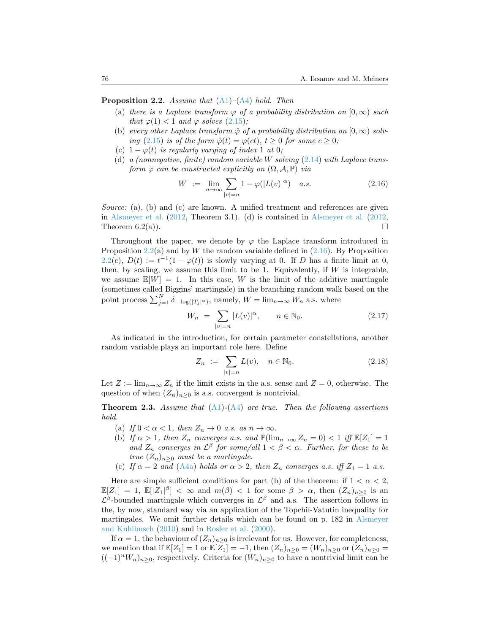<span id="page-7-0"></span>**Proposition 2.2.** *Assume that* ([A1](#page-3-0))*–*[\(A4\)](#page-4-4) *hold. Then*

- (a) *there is a Laplace transform*  $\varphi$  *of a probability distribution on* [0, $\infty$ ) *such that*  $\varphi(1) < 1$  *and*  $\varphi$  *solves* [\(2.15](#page-6-1))*;*
- (b) *every other Laplace transform*  $\hat{\varphi}$  *of a probability distribution on*  $[0, \infty)$  *solving*  $(2.15)$  $(2.15)$  *is of the form*  $\hat{\varphi}(t) = \varphi(ct)$ *,*  $t \geq 0$  *for some*  $c \geq 0$ *;*
- (c)  $1 \varphi(t)$  *is regularly varying of index* 1 *at* 0*;*
- (d) *a (nonnegative, finite) random variable W solving* [\(2.14](#page-6-0)) *with Laplace transform*  $\varphi$  *can be constructed explicitly on*  $(\Omega, \mathcal{A}, \mathbb{P})$  *via*

<span id="page-7-1"></span>
$$
W := \lim_{n \to \infty} \sum_{|v|=n} 1 - \varphi(|L(v)|^{\alpha}) \quad a.s. \tag{2.16}
$$

*Source:* (a), (b) and (c) are known. A unified treatment and references are given in [Alsmeyer et al.](#page-43-0) ([2012,](#page-43-0) Theorem 3.1). (d) is contained in [Alsmeyer et al.](#page-43-0) ([2012,](#page-43-0) Theorem  $6.2(a)$ ).

Throughout the paper, we denote by  $\varphi$  the Laplace transform introduced in Proposition [2.2](#page-7-0)(a) and by *W* the random variable defined in [\(2.16](#page-7-1)). By Proposition [2.2](#page-7-0)(c),  $D(t) := t^{-1}(1 - \varphi(t))$  is slowly varying at 0. If *D* has a finite limit at 0, then, by scaling, we assume this limit to be 1. Equivalently, if *W* is integrable, we assume  $\mathbb{E}[W] = 1$ . In this case, *W* is the limit of the additive martingale (sometimes called Biggins' martingale) in the branching random walk based on the point process  $\sum_{j=1}^{N} \delta_{-\log(|T_j|^{\alpha})}$ , namely,  $W = \lim_{n \to \infty} W_n$  a.s. where

<span id="page-7-4"></span>
$$
W_n = \sum_{|v|=n} |L(v)|^{\alpha}, \qquad n \in \mathbb{N}_0.
$$
 (2.17)

As indicated in the introduction, for certain parameter constellations, another random variable plays an important role here. Define

<span id="page-7-3"></span>
$$
Z_n := \sum_{|v|=n} L(v), \quad n \in \mathbb{N}_0.
$$
 (2.18)

Let  $Z := \lim_{n \to \infty} Z_n$  if the limit exists in the a.s. sense and  $Z = 0$ , otherwise. The question of when  $(Z_n)_{n>0}$  is a.s. convergent is nontrivial.

<span id="page-7-2"></span>**Theorem 2.3.** *Assume that* [\(A1\)](#page-3-0)*-*([A4](#page-4-4)) *are true. Then the following assertions hold.*

- (a) *If*  $0 < \alpha < 1$ *, then*  $Z_n \to 0$  *a.s. as*  $n \to \infty$ *.*
- (b) *If*  $\alpha > 1$ *, then*  $Z_n$  *converges a.s. and*  $\mathbb{P}(\lim_{n\to\infty} Z_n = 0) < 1$  *iff*  $\mathbb{E}[Z_1] = 1$ *and*  $Z_n$  *converges in*  $\mathcal{L}^{\beta}$  *for some/all*  $1 < \beta < \alpha$ *. Further, for these to be true*  $(Z_n)_{n\geq 0}$  *must be a martingale.*
- (c) If  $\alpha = 2$  and [\(A4a\)](#page-4-0) holds or  $\alpha > 2$ , then  $Z_n$  converges a.s. iff  $Z_1 = 1$  a.s.

Here are simple sufficient conditions for part (b) of the theorem: if  $1 < \alpha < 2$ ,  $\mathbb{E}[Z_1] = 1$ ,  $\mathbb{E}[|Z_1|^{\beta}] < \infty$  and  $m(\beta) < 1$  for some  $\beta > \alpha$ , then  $(Z_n)_{n \geq 0}$  is an  $\mathcal{L}^{\beta}$ -bounded martingale which converges in  $\mathcal{L}^{\beta}$  and a.s. The assertion follows in the, by now, standard way via an application of the Topchi˘ı-Vatutin inequality for martingales. We omit further details which can be found on p. 182 in [Alsmeyer](#page-43-9) [and Kuhlbusch](#page-43-9) ([2010](#page-43-9)) and in [Rosler et al.](#page-45-9) ([2000\)](#page-45-9).

If  $\alpha = 1$ , the behaviour of  $(Z_n)_{n \geq 0}$  is irrelevant for us. However, for completeness, we mention that if  $\mathbb{E}[Z_1] = 1$  or  $\mathbb{E}[Z_1] = -1$ , then  $(Z_n)_{n \geq 0} = (W_n)_{n \geq 0}$  or  $(Z_n)_{n \geq 0} =$  $((-1)^nW_n)_{n≥0}$ , respectively. Criteria for  $(W_n)_{n≥0}$  to have a nontrivial limit can be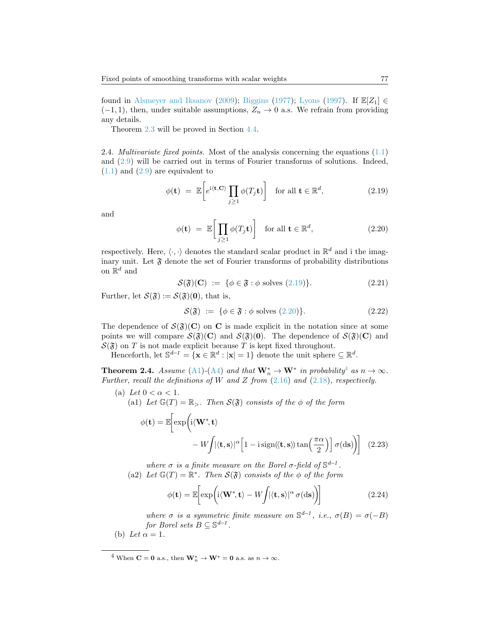found in [Alsmeyer and Iksanov](#page-43-10) [\(2009\)](#page-43-10); [Biggins](#page-43-2) ([1977](#page-43-2)); [Lyons](#page-45-10) ([1997\)](#page-45-10). If  $\mathbb{E}[Z_1] \in$  $(-1, 1)$ , then, under suitable assumptions,  $Z_n \to 0$  a.s. We refrain from providing any details.

Theorem [2.3](#page-7-2) will be proved in Section [4.4.](#page-31-0)

2.4. *Multivariate fixed points.* Most of the analysis concerning the equations([1.1](#page-1-0)) and [\(2.9](#page-5-0)) will be carried out in terms of Fourier transforms of solutions. Indeed,  $(1.1)$  $(1.1)$  $(1.1)$ and  $(2.9)$  $(2.9)$  $(2.9)$  are equivalent to

<span id="page-8-1"></span>
$$
\phi(\mathbf{t}) = \mathbb{E}\bigg[e^{i\langle \mathbf{t}, \mathbf{C} \rangle} \prod_{j \ge 1} \phi(T_j \mathbf{t})\bigg] \quad \text{for all } \mathbf{t} \in \mathbb{R}^d,
$$
\n(2.19)

and

<span id="page-8-2"></span>
$$
\phi(\mathbf{t}) = \mathbb{E}\bigg[\prod_{j\geq 1} \phi(T_j \mathbf{t})\bigg] \quad \text{for all } \mathbf{t} \in \mathbb{R}^d,
$$
\n(2.20)

respectively. Here,  $\langle \cdot, \cdot \rangle$  denotes the standard scalar product in  $\mathbb{R}^d$  and i the imaginary unit. Let  $\mathfrak{F}$  denote the set of Fourier transforms of probability distributions on  $\mathbb{R}^d$  and

$$
\mathcal{S}(\mathfrak{F})(\mathbf{C}) := \{ \phi \in \mathfrak{F} : \phi \text{ solves (2.19)} \}. \tag{2.21}
$$

Further, let  $\mathcal{S}(\mathfrak{F}) := \mathcal{S}(\mathfrak{F})(0)$ , that is,

$$
\mathcal{S}(\mathfrak{F}) \ := \ \{ \phi \in \mathfrak{F} : \phi \text{ solves (2.20)} \}. \tag{2.22}
$$

The dependence of  $S(\mathfrak{F})(C)$  on **C** is made explicit in the notation since at some points we will compare  $S(\mathfrak{F})(C)$  and  $S(\mathfrak{F})(0)$ . The dependence of  $S(\mathfrak{F})(C)$  and  $S(\mathfrak{F})$  on *T* is not made explicit because *T* is kept fixed throughout.

Henceforth, let  $\mathbb{S}^{d-1} = {\mathbf{x} \in \mathbb{R}^d : |\mathbf{x}| = 1}$  denote the unit sphere  $\subseteq \mathbb{R}^d$ .

<span id="page-8-0"></span>**Theorem 2.[4](#page-8-3).** *Assume* [\(A1\)](#page-3-0)-([A4](#page-4-4)) *and that*  $\mathbf{W}_n^* \to \mathbf{W}^*$  *in probability*<sup>4</sup> *as*  $n \to \infty$ *. Further, recall the definitions of W and Z from* ([2.16](#page-7-1)) *and* [\(2.18\)](#page-7-3)*, respectively.*

(a) Let  $0 < \alpha < 1$ .

(a1) Let  $\mathbb{G}(T) = \mathbb{R}_{\geq}$ . Then  $\mathcal{S}(\mathfrak{F})$  consists of the  $\phi$  of the form

$$
\phi(\mathbf{t}) = \mathbb{E}\bigg[\exp\bigg(i\langle \mathbf{W}^*, \mathbf{t}\rangle - W\int |\langle \mathbf{t}, \mathbf{s}\rangle|^{\alpha} \Big[1 - i \operatorname{sign}\langle\langle \mathbf{t}, \mathbf{s}\rangle\rangle \tan\left(\frac{\pi \alpha}{2}\right)\Big] \sigma(\mathrm{d}\mathbf{s})\bigg]\bigg] \tag{2.23}
$$

*where*  $\sigma$  *is a finite measure on the Borel*  $\sigma$ -field of  $\mathbb{S}^{d-1}$ . (a2) Let  $\mathbb{G}(T) = \mathbb{R}^*$ . Then  $\mathcal{S}(\mathfrak{F})$  consists of the  $\phi$  of the form

<span id="page-8-4"></span>
$$
\phi(\mathbf{t}) = \mathbb{E}\bigg[\exp\bigg(i\langle \mathbf{W}^*, \mathbf{t}\rangle - W\bigg/|\langle \mathbf{t}, \mathbf{s}\rangle|^\alpha \sigma(\mathrm{d}\mathbf{s})\bigg)\bigg] \tag{2.24}
$$

*where*  $\sigma$  *is a symmetric finite measure on*  $\mathbb{S}^{d-1}$ , *i.e.*,  $\sigma(B) = \sigma(-B)$ *for Borel sets*  $B \subseteq \mathbb{S}^{d-1}$ .

(b) Let  $\alpha = 1$ .

<span id="page-8-3"></span><sup>&</sup>lt;sup>4</sup> When **C** = **0** a.s., then  $\mathbf{W}_n^* \to \mathbf{W}^* = \mathbf{0}$  a.s. as  $n \to \infty$ .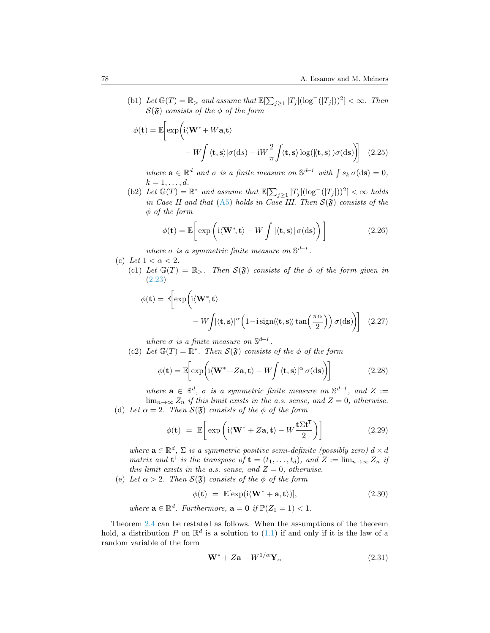(b1) *Let*  $\mathbb{G}(T) = \mathbb{R}$ *> and assume that*  $\mathbb{E}[\sum_{j\geq 1} |T_j|(\log^-(|T_j|))^2] < \infty$ *. Then*  $S(\mathfrak{F})$  *consists of the*  $\phi$  *of the form* 

$$
\phi(\mathbf{t}) = \mathbb{E}\bigg[\exp\bigg(i\langle \mathbf{W}^* + W\mathbf{a}, \mathbf{t}\rangle - W\int |\langle \mathbf{t}, \mathbf{s} \rangle| \sigma(\mathrm{d}s) - iW\frac{2}{\pi} \int \langle \mathbf{t}, \mathbf{s} \rangle \log(\langle \mathbf{t}, \mathbf{s} \rangle) \sigma(\mathrm{d}\mathbf{s})\bigg] \tag{2.25}
$$

*where*  $\mathbf{a} \in \mathbb{R}^d$  *and*  $\sigma$  *is a finite measure on*  $\mathbb{S}^{d-1}$  *with*  $\int s_k \sigma(\mathrm{d}\mathbf{s}) = 0$ *,*  $k = 1, \ldots, d$ *.* 

(b2) *Let*  $\mathbb{G}(T) = \mathbb{R}^*$  *and assume that*  $\mathbb{E}[\sum_{j\geq 1} |T_j|(\log^-(|T_j|))^2] < \infty$  *holds in Case II and that* [\(A5\)](#page-4-2) *holds in Case III. Then*  $S(\mathfrak{F})$  *consists of the φ of the form*

<span id="page-9-2"></span>
$$
\phi(\mathbf{t}) = \mathbb{E}\bigg[\exp\bigg(i\langle \mathbf{W}^*, \mathbf{t}\rangle - W \int |\langle \mathbf{t}, \mathbf{s}\rangle| \sigma(\mathrm{d}\mathbf{s})\bigg)\bigg]
$$
(2.26)

*where*  $\sigma$  *is a symmetric finite measure on*  $\mathbb{S}^{d-1}$ .

(c) Let  $1 < \alpha < 2$ .

(c1) Let  $\mathbb{G}(T) = \mathbb{R}_{>}$ *. Then*  $\mathcal{S}(\mathfrak{F})$  consists of the  $\phi$  of the form given in [\(2.23\)](#page-8-4)

$$
\phi(\mathbf{t}) = \mathbb{E}\bigg[\exp\bigg(i\langle \mathbf{W}^*, \mathbf{t}\rangle - W\bigg](\langle \mathbf{t}, \mathbf{s}\rangle)^{\alpha}\bigg(1 - i\operatorname{sign}(\langle \mathbf{t}, \mathbf{s}\rangle) \tan\bigg(\frac{\pi\alpha}{2}\bigg)\bigg) \sigma(\mathrm{d}\mathbf{s})\bigg]\bigg] \tag{2.27}
$$

*where*  $\sigma$  *is a finite measure on*  $\mathbb{S}^{d-1}$ .

(c2) Let  $\mathbb{G}(T) = \mathbb{R}^*$ . Then  $\mathcal{S}(\mathfrak{F})$  consists of the  $\phi$  of the form

$$
\phi(\mathbf{t}) = \mathbb{E}\bigg[\exp\bigg(i\langle \mathbf{W}^* + Z\mathbf{a}, \mathbf{t}\rangle - W\bigg(|\langle \mathbf{t}, \mathbf{s}\rangle|^\alpha \sigma(\mathrm{d}\mathbf{s})\bigg)\bigg] \tag{2.28}
$$

*where*  $\mathbf{a} \in \mathbb{R}^d$ ,  $\sigma$  *is a symmetric finite measure on*  $\mathbb{S}^{d-1}$ , and  $Z :=$  $\lim_{n\to\infty} Z_n$  *if this limit exists in the a.s. sense, and*  $Z = 0$ *, otherwise.* 

(d) Let  $\alpha = 2$ . Then  $\mathcal{S}(\mathfrak{F})$  consists of the  $\phi$  of the form

$$
\phi(\mathbf{t}) = \mathbb{E}\bigg[\exp\bigg(i\langle \mathbf{W}^* + Z\mathbf{a}, \mathbf{t}\rangle - W\frac{\mathbf{t}\Sigma\mathbf{t}^{\mathsf{T}}}{2}\bigg)\bigg] \tag{2.29}
$$

*where*  $\mathbf{a} \in \mathbb{R}^d$ ,  $\Sigma$  *is a symmetric positive semi-definite (possibly zero)*  $d \times d$ *matrix and*  $\mathbf{t}^{\mathsf{T}}$  *is the transpose of*  $\mathbf{t} = (t_1, \ldots, t_d)$ *, and*  $Z := \lim_{n \to \infty} Z_n$  *if this limit exists in the a.s. sense, and*  $Z = 0$ *, otherwise.* 

(e) Let  $\alpha > 2$ . Then  $\mathcal{S}(\mathfrak{F})$  consists of the  $\phi$  of the form

<span id="page-9-1"></span>
$$
\phi(\mathbf{t}) = \mathbb{E}[\exp(i\langle \mathbf{W}^* + \mathbf{a}, \mathbf{t} \rangle)], \tag{2.30}
$$

*where*  $\mathbf{a} \in \mathbb{R}^d$ *. Furthermore*,  $\mathbf{a} = \mathbf{0}$  *if*  $\mathbb{P}(Z_1 = 1) < 1$ *.* 

Theorem [2.4](#page-8-0) can be restated as follows. When the assumptions of the theorem hold, a distribution  $P$  on  $\mathbb{R}^d$  is a solution to  $(1.1)$  if and only if it is the law of a random variable of the form

<span id="page-9-0"></span>
$$
\mathbf{W}^* + Z\mathbf{a} + W^{1/\alpha} \mathbf{Y}_\alpha \tag{2.31}
$$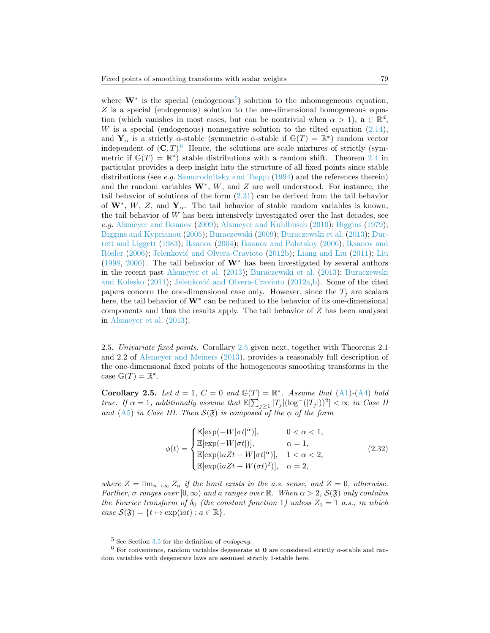where  $W^*$  is the special (endogenous<sup>[5](#page-10-0)</sup>) solution to the inhomogeneous equation, *Z* is a special (endogenous) solution to the one-dimensional homogeneous equation (which vanishes in most cases, but can be nontrivial when  $\alpha > 1$ ),  $\mathbf{a} \in \mathbb{R}^d$ , *W*is a special (endogenous) nonnegative solution to the tilted equation  $(2.14)$  $(2.14)$ , and  $Y_\alpha$  is a strictly *α*-stable (symmetric *α*-stable if  $\mathbb{G}(T) = \mathbb{R}^*$ ) random vector independent of  $(C, T)$ <sup>[6](#page-10-1)</sup> Hence, the solutions are scale mixtures of strictly (symmetric if  $\mathbb{G}(T) = \mathbb{R}^*$  stable distributions with a random shift. Theorem [2.4](#page-8-0) in particular provides a deep insight into the structure of all fixed points since stable distributions (see *e.g.* [Samorodnitsky and Taqqu](#page-45-7) [\(1994](#page-45-7)) and the references therein) and the random variables **W***<sup>∗</sup>* , *W*, and *Z* are well understood. For instance, the tailbehavior of solutions of the form  $(2.31)$  $(2.31)$  can be derived from the tail behavior of  $W^*$ , *W*, *Z*, and  $Y_\alpha$ . The tail behavior of stable random variables is known, the tail behavior of *W* has been intensively investigated over the last decades, see *e.g.* [Alsmeyer and Iksanov](#page-43-10) ([2009](#page-43-10)); [Alsmeyer and Kuhlbusch](#page-43-9) ([2010\)](#page-43-9); [Biggins](#page-43-11) ([1979\)](#page-43-11); [Biggins and Kyprianou](#page-44-1) ([2005\)](#page-44-1); [Buraczewski](#page-44-6) [\(2009](#page-44-6)); [Buraczewski et al.](#page-44-7) ([2013\)](#page-44-7); [Dur](#page-44-0)[rett and Liggett](#page-44-0) [\(1983](#page-44-0)); [Iksanov](#page-44-2) ([2004\)](#page-44-2); [Iksanov and Polotskiy](#page-44-8) ([2006\)](#page-44-8); [Iksanov and](#page-44-9) Rösler [\(2006](#page-44-9)); Jelenković and Olvera-Cravioto ([2012b](#page-44-10)); [Liang and Liu](#page-45-11) ([2011\)](#page-45-11); [Liu](#page-45-3) ([1998](#page-45-3), [2000](#page-45-12)). The tail behavior of **W***<sup>∗</sup>* has been investigated by several authors in the recent past [Alsmeyer et al.](#page-43-12) ([2013\)](#page-43-12); [Buraczewski et al.](#page-44-7) [\(2013](#page-44-7)); [Buraczewski](#page-44-11) [and Kolesko](#page-44-11) ([2014\)](#page-44-11); Jelenković and Olvera-Cravioto ([2012a,](#page-44-12)[b](#page-44-10)). Some of the cited papers concern the one-dimensional case only. However, since the  $T_j$  are scalars here, the tail behavior of **W***<sup>∗</sup>* can be reduced to the behavior of its one-dimensional components and thus the results apply. The tail behavior of *Z* has been analysed in [Alsmeyer et al.](#page-43-12) [\(2013](#page-43-12)).

2.5. *Univariate fixed points.* Corollary [2.5](#page-10-2) given next, together with Theorems 2.1 and 2.2 of [Alsmeyer and Meiners](#page-43-1) ([2013\)](#page-43-1), provides a reasonably full description of the one-dimensional fixed points of the homogeneous smoothing transforms in the case  $\mathbb{G}(T) = \mathbb{R}^*$ .

<span id="page-10-2"></span>**Corollary 2.5.** Let  $d = 1$ ,  $C = 0$  and  $\mathbb{G}(T) = \mathbb{R}^*$ . Assume that [\(A1\)](#page-3-0)-[\(A4\)](#page-4-4) hold *true.* If  $\alpha = 1$ , additionally assume that  $\mathbb{E}[\sum_{j\geq 1} |T_j|(\log^-(|T_j|))^2] < \infty$  in Case II *and* ([A5](#page-4-2)) *in Case III. Then*  $S(\mathfrak{F})$  *is composed of the*  $\phi$  *of the form* 

$$
\phi(t) = \begin{cases} \mathbb{E}[\exp(-W|\sigma t|^{\alpha})], & 0 < \alpha < 1, \\ \mathbb{E}[\exp(-W|\sigma t|)], & \alpha = 1, \\ \mathbb{E}[\exp(\mathrm{i} aZt - W|\sigma t|^{\alpha})], & 1 < \alpha < 2, \\ \mathbb{E}[\exp(\mathrm{i} aZt - W(\sigma t)^{2})], & \alpha = 2, \end{cases}
$$
(2.32)

*where*  $Z = \lim_{n \to \infty} Z_n$  *if the limit exists in the a.s. sense, and*  $Z = 0$ *, otherwise. Further,*  $\sigma$  *ranges over*  $[0, \infty)$  *and a ranges over* R*. When*  $\alpha > 2$ ,  $S(\mathfrak{F})$  *only contains the Fourier transform of*  $\delta_0$  *(the constant function 1) unless*  $Z_1 = 1$  *a.s., in which*  $case S(\mathfrak{F}) = \{t \mapsto \exp(\mathrm{i}at) : a \in \mathbb{R}\}.$ 

<span id="page-10-1"></span><span id="page-10-0"></span><sup>5</sup> See Section [3.5](#page-17-0) for the definition of *endogeny*.

<sup>6</sup> For convenience, random variables degenerate at **0** are considered strictly *α*-stable and random variables with degenerate laws are assumed strictly 1-stable here.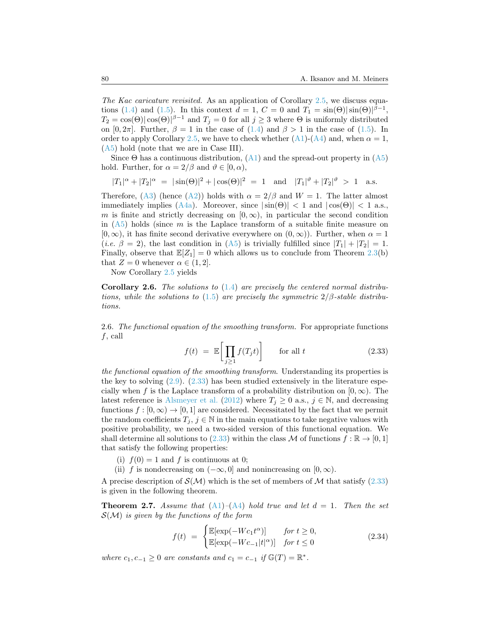*The Kac caricature revisited.* As an application of Corollary [2.5](#page-10-2), we discuss equa-tions([1.4](#page-2-1)) and ([1.5\)](#page-2-2). In this context  $d = 1$ ,  $C = 0$  and  $T_1 = \sin(\Theta) |\sin(\Theta)|^{\beta - 1}$ ,  $T_2 = \cos(\Theta) |\cos(\Theta)|^{\beta - 1}$  and  $T_j = 0$  for all  $j \geq 3$  where  $\Theta$  is uniformly distributed on $[0, 2\pi]$ . Further,  $\beta = 1$  in the case of  $(1.4)$  $(1.4)$  and  $\beta > 1$  in the case of  $(1.5)$  $(1.5)$ . In order to apply Corollary [2.5,](#page-10-2) we have to check whether  $(A1)-(A4)$  $(A1)-(A4)$  $(A1)-(A4)$  and, when  $\alpha = 1$ , ([A5](#page-4-2)) hold (note that we are in Case III).

Since $\Theta$  has a continuous distribution,  $(A1)$  $(A1)$  $(A1)$  and the spread-out property in  $(A5)$  $(A5)$  $(A5)$ hold. Further, for  $\alpha = 2/\beta$  and  $\vartheta \in [0, \alpha)$ ,

$$
|T_1|^{\alpha} + |T_2|^{\alpha} = |\sin(\Theta)|^2 + |\cos(\Theta)|^2 = 1 \text{ and } |T_1|^{\vartheta} + |T_2|^{\vartheta} > 1 \text{ a.s.}
$$

Therefore, $(A3)$  $(A3)$  $(A3)$  (hence  $(A2)$  $(A2)$  $(A2)$ ) holds with  $\alpha = 2/\beta$  and  $W = 1$ . The latter almost immediatelyimplies ([A4a](#page-4-0)). Moreover, since  $|\sin(\Theta)| < 1$  and  $|\cos(\Theta)| < 1$  a.s., *m* is finite and strictly decreasing on  $[0, \infty)$ , in particular the second condition in  $(A5)$  holds (since *m* is the Laplace transform of a suitable finite measure on  $[0, \infty)$ , it has finite second derivative everywhere on  $(0, \infty)$ ). Further, when  $\alpha = 1$  $(i.e. \beta = 2)$  $(i.e. \beta = 2)$  $(i.e. \beta = 2)$ , the last condition in ([A5\)](#page-4-2) is trivially fulfilled since  $|T_1| + |T_2| = 1$ . Finally, observe that  $\mathbb{E}[Z_1] = 0$  which allows us to conclude from Theorem [2.3](#page-7-2)(b) that  $Z = 0$  whenever  $\alpha \in (1, 2]$ .

Now Corollary [2.5](#page-10-2) yields

**Corollary 2.6.** *The solutions to* ([1.4](#page-2-1)) *are precisely the centered normal distributions, while the solutions to* ([1.5\)](#page-2-2) *are precisely the symmetric*  $2/\beta$ -stable distribu*tions.*

<span id="page-11-1"></span>2.6. *The functional equation of the smoothing transform.* For appropriate functions *f*, call

<span id="page-11-0"></span>
$$
f(t) = \mathbb{E}\left[\prod_{j\geq 1} f(T_j t)\right] \quad \text{for all } t \tag{2.33}
$$

*the functional equation of the smoothing transform*. Understanding its properties is the key to solving [\(2.9](#page-5-0)). [\(2.33\)](#page-11-0) has been studied extensively in the literature especially when *f* is the Laplace transform of a probability distribution on  $[0, \infty)$ . The latest reference is [Alsmeyer et al.](#page-43-0) ([2012\)](#page-43-0) where  $T_j \geq 0$  a.s.,  $j \in \mathbb{N}$ , and decreasing functions  $f : [0, \infty) \to [0, 1]$  are considered. Necessitated by the fact that we permit the random coefficients  $T_j$ ,  $j \in \mathbb{N}$  in the main equations to take negative values with positive probability, we need a two-sided version of this functional equation. We shalldetermine all solutions to ([2.33](#page-11-0)) within the class *M* of functions  $f : \mathbb{R} \to [0,1]$ that satisfy the following properties:

- (i)  $f(0) = 1$  and f is continuous at 0;
- (ii) *f* is nondecreasing on  $(-\infty, 0]$  and nonincreasing on  $[0, \infty)$ .

Aprecise description of  $\mathcal{S}(\mathcal{M})$  which is the set of members of  $\mathcal{M}$  that satisfy ([2.33](#page-11-0)) is given in the following theorem.

**Theorem 2.7.** *Assume that*  $(A1)$  $(A1)$  $(A1)$ – $(A4)$  $(A4)$  $(A4)$  *hold true and let*  $d = 1$ *. Then the set S*(*M*) *is given by the functions of the form*

$$
f(t) = \begin{cases} \mathbb{E}[\exp(-Wc_1t^{\alpha})] & \text{for } t \ge 0, \\ \mathbb{E}[\exp(-Wc_{-1}|t|^{\alpha})] & \text{for } t \le 0 \end{cases}
$$
 (2.34)

*where*  $c_1, c_{-1} \geq 0$  *are constants and*  $c_1 = c_{-1}$  *if*  $\mathbb{G}(T) = \mathbb{R}^*$ *.*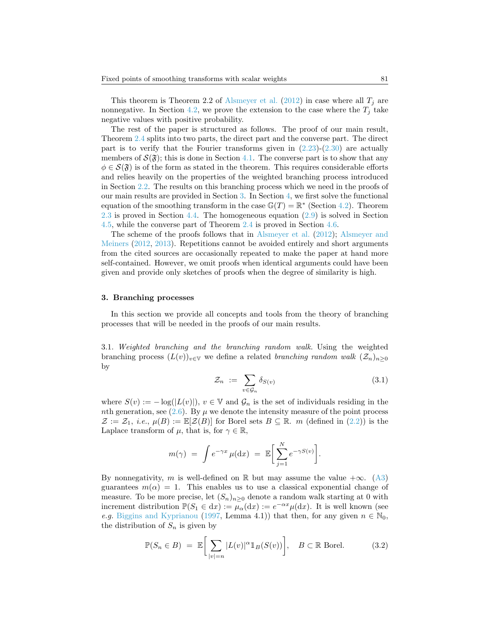This theorem is Theorem 2.2 of [Alsmeyer et al.](#page-43-0) ([2012\)](#page-43-0) in case where all  $T_j$  are nonnegative. In Section [4.2,](#page-23-0) we prove the extension to the case where the  $T_j$  take negative values with positive probability.

The rest of the paper is structured as follows. The proof of our main result, Theorem [2.4](#page-8-0) splits into two parts, the direct part and the converse part. The direct part is to verify that the Fourier transforms given in  $(2.23)-(2.30)$  $(2.23)-(2.30)$  are actually members of  $\mathcal{S}(\mathfrak{F})$ ; this is done in Section [4.1.](#page-23-1) The converse part is to show that any  $\phi \in \mathcal{S}(\mathfrak{F})$  is of the form as stated in the theorem. This requires considerable efforts and relies heavily on the properties of the weighted branching process introduced in Section [2.2.](#page-4-5) The results on this branching process which we need in the proofs of our main results are provided in Section [3.](#page-12-0) In Section [4,](#page-23-2) we first solve the functional equation of the smoothing transform in the case  $\mathbb{G}(T) = \mathbb{R}^*$  (Section [4.2\)](#page-23-0). Theorem [2.3](#page-7-2) is proved in Section [4.4.](#page-31-0) The homogeneous equation([2.9\)](#page-5-0) is solved in Section [4.5](#page-35-0), while the converse part of Theorem [2.4](#page-8-0) is proved in Section [4.6](#page-40-0).

The scheme of the proofs follows that in [Alsmeyer et al.](#page-43-0) [\(2012\)](#page-43-0); [Alsmeyer and](#page-43-5) [Meiners](#page-43-5) ([2012,](#page-43-5) [2013\)](#page-43-1). Repetitions cannot be avoided entirely and short arguments from the cited sources are occasionally repeated to make the paper at hand more self-contained. However, we omit proofs when identical arguments could have been given and provide only sketches of proofs when the degree of similarity is high.

#### <span id="page-12-0"></span>**3. Branching processes**

In this section we provide all concepts and tools from the theory of branching processes that will be needed in the proofs of our main results.

3.1. *Weighted branching and the branching random walk.* Using the weighted branching process  $(L(v))_{v \in V}$  we define a related *branching random walk*  $(\mathcal{Z}_n)_{n>0}$ by

$$
\mathcal{Z}_n := \sum_{v \in \mathcal{G}_n} \delta_{S(v)} \tag{3.1}
$$

where  $S(v) := -\log(|L(v)|)$ ,  $v \in \mathbb{V}$  and  $\mathcal{G}_n$  is the set of individuals residing in the *nth*generation, see  $(2.6)$  $(2.6)$ . By  $\mu$  we denote the intensity measure of the point process  $\mathcal{Z} := \mathcal{Z}_1$  $\mathcal{Z} := \mathcal{Z}_1$  $\mathcal{Z} := \mathcal{Z}_1$ , *i.e.*,  $\mu(B) := \mathbb{E}[\mathcal{Z}(B)]$  for Borel sets  $B \subseteq \mathbb{R}$ . *m* (defined in ([2.2\)](#page-3-4)) is the Laplace transform of  $\mu$ , that is, for  $\gamma \in \mathbb{R}$ ,

$$
m(\gamma) = \int e^{-\gamma x} \mu(\mathrm{d}x) = \mathbb{E} \bigg[ \sum_{j=1}^{N} e^{-\gamma S(v)} \bigg].
$$

Bynonnegativity, *m* is well-defined on R but may assume the value  $+\infty$ . ([A3](#page-3-1)) guarantees  $m(\alpha) = 1$ . This enables us to use a classical exponential change of measure. To be more precise, let  $(S_n)_{n>0}$  denote a random walk starting at 0 with increment distribution  $\mathbb{P}(S_1 \in dx) := \mu_\alpha(\mathrm{d}x) := e^{-\alpha x} \mu(\mathrm{d}x)$ . It is well known (see *e.g.* [Biggins and Kyprianou](#page-43-3) [\(1997](#page-43-3), Lemma 4.1)) that then, for any given  $n \in \mathbb{N}_0$ , the distribution of  $S_n$  is given by

<span id="page-12-1"></span>
$$
\mathbb{P}(S_n \in B) = \mathbb{E}\bigg[\sum_{|v|=n} |L(v)|^{\alpha} \mathbb{1}_B(S(v))\bigg], \quad B \subset \mathbb{R} \text{ Borel.}
$$
 (3.2)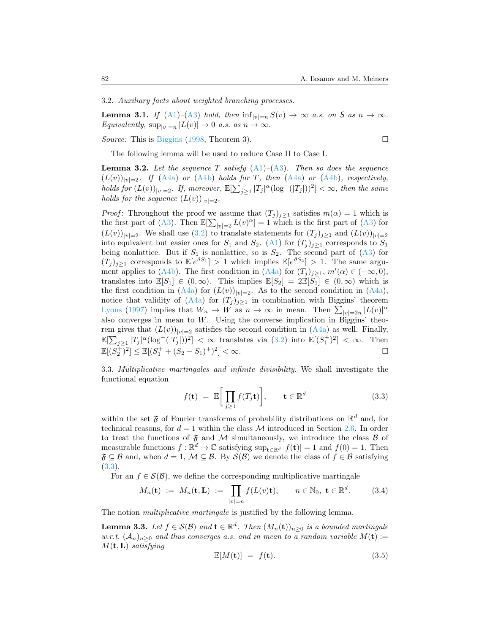3.2. *Auxiliary facts about weighted branching processes.*

<span id="page-13-2"></span>**Lemma 3.1.** *If* ([A1](#page-3-0))–[\(A3\)](#page-3-1) *hold, then*  $\inf_{|v|=n} S(v) \to \infty$  *a.s. on S as*  $n \to \infty$ *. Equivalently,*  $\sup_{|v|=n} |L(v)| \to 0$  *a.s. as*  $n \to \infty$ *.* 

*Source:* This is [Biggins](#page-43-13) [\(1998](#page-43-13), Theorem 3).

$$
\Box
$$

The following lemma will be used to reduce Case II to Case I.

<span id="page-13-1"></span>**Lemma 3.2.** *Let the sequence T satisfy* [\(A1\)](#page-3-0)*–*([A3](#page-3-1))*. Then so does the sequence*  $(L(v))_{|v|=2}$ *. If* ([A4a](#page-4-0)) *or* ([A4b\)](#page-4-1) *holds for T, then* [\(A4a\)](#page-4-0) *or* [\(A4b](#page-4-1))*, respectively,* holds for  $(L(v))_{|v|=2}$ . If, moreover,  $\mathbb{E}[\sum_{j\geq 1}|T_j|^{\alpha}(\log^-(|T_j|))^2]<\infty$ , then the same *holds for the sequence*  $(L(v))_{|v|=2}$ *.* 

*Proof*: Throughout the proof we assume that  $(T_j)_{j\geq 1}$  satisfies  $m(\alpha) = 1$  which is the first part of [\(A3\)](#page-3-1).Then  $\mathbb{E}[\sum_{|v|=2} L(v)^{\alpha}] = 1$  which is the first part of ([A3](#page-3-1)) for  $(L(v))_{|v|=2}$ . We shall use [\(3.2](#page-12-1)) to translate statements for  $(T_i)_{i\geq 1}$  and  $(L(v))_{|v|=2}$ intoequivalent but easier ones for  $S_1$  and  $S_2$ . ([A1](#page-3-0)) for  $(T_i)_{i\geq 1}$  corresponds to  $S_1$ beingnonlattice. But if  $S_1$  is nonlattice, so is  $S_2$ . The second part of  $(A3)$  $(A3)$  $(A3)$  for  $(T_j)_{j\geq 1}$  corresponds to  $\mathbb{E}[e^{\vartheta S_1}] > 1$  which implies  $\mathbb{E}[e^{\vartheta S_2}] > 1$ . The same argu-ment applies to [\(A4b](#page-4-1)). The first condition in [\(A4a\)](#page-4-0) for  $(T_j)_{j\geq 1}$ ,  $m'(\alpha) \in (-\infty, 0)$ , translates into  $\mathbb{E}[S_1] \in (0,\infty)$ . This implies  $\mathbb{E}[S_2] = 2\mathbb{E}[S_1] \in (0,\infty)$  which is thefirst condition in  $(A4a)$  $(A4a)$  $(A4a)$  for  $(L(v))_{|v|=2}$ . As to the second condition in  $(A4a)$ , notice that validity of  $(A4a)$  for  $(T_j)_{j\geq 1}$  in combination with Biggins' theorem [Lyons](#page-45-10) [\(1997](#page-45-10)) implies that  $W_n \to W$  as  $n \to \infty$  in mean. Then  $\sum_{|v|=2n} |L(v)|^{\alpha}$ also converges in mean to *W*. Using the converse implication in Biggins' theoremgives that  $(L(v))_{|v|=2}$  satisfies the second condition in  $(A4a)$  $(A4a)$  as well. Finally,  $\mathbb{E}[\sum_{j\geq 1} |T_j|^{\alpha} (\log^{-}(|T_j|))^2] < \infty$  $\mathbb{E}[\sum_{j\geq 1} |T_j|^{\alpha} (\log^{-}(|T_j|))^2] < \infty$  $\mathbb{E}[\sum_{j\geq 1} |T_j|^{\alpha} (\log^{-}(|T_j|))^2] < \infty$  translates via ([3.2\)](#page-12-1) into  $\mathbb{E}[(S_1^+)^2] < \infty$ . Then  $\mathbb{E}[(S_2^+)^2] \leq \mathbb{E}[(S_1^+ + (S_2 - S_1)^+)^2] < \infty.$ 

3.3. *Multiplicative martingales and infinite divisibility.* We shall investigate the functional equation

<span id="page-13-0"></span>
$$
f(\mathbf{t}) = \mathbb{E}\bigg[\prod_{j\geq 1} f(T_j \mathbf{t})\bigg], \qquad \mathbf{t} \in \mathbb{R}^d \tag{3.3}
$$

within the set  $\mathfrak F$  of Fourier transforms of probability distributions on  $\mathbb R^d$  and, for technical reasons, for  $d = 1$  within the class M introduced in Section [2.6](#page-11-1). In order to treat the functions of  $\mathfrak F$  and M simultaneously, we introduce the class  $\mathcal B$  of measurable functions  $f : \mathbb{R}^d \to \mathbb{C}$  satisfying  $\sup_{\mathbf{t} \in \mathbb{R}^d} |f(\mathbf{t})| = 1$  and  $f(0) = 1$ . Then  $\mathfrak{F} \subseteq \mathcal{B}$  and, when  $d = 1$ ,  $\mathcal{M} \subseteq \mathcal{B}$ . By  $\mathcal{S}(\mathcal{B})$  we denote the class of  $f \in \mathcal{B}$  satisfying ([3.3](#page-13-0)).

For an  $f \in \mathcal{S}(\mathcal{B})$ , we define the corresponding multiplicative martingale

<span id="page-13-3"></span>
$$
M_n(\mathbf{t}) \ := \ M_n(\mathbf{t}, \mathbf{L}) \ := \ \prod_{|v|=n} f(L(v)\mathbf{t}), \qquad n \in \mathbb{N}_0, \ \mathbf{t} \in \mathbb{R}^d. \tag{3.4}
$$

The notion *multiplicative martingale* is justified by the following lemma.

**Lemma 3.3.** *Let*  $f \in \mathcal{S}(\mathcal{B})$  *and*  $\mathbf{t} \in \mathbb{R}^d$ . *Then*  $(M_n(\mathbf{t}))_{n \geq 0}$  *is a bounded martingale w.r.t.*  $(A_n)_{n\geq 0}$  *and thus converges a.s. and in mean to a random variable*  $M(\mathbf{t}) :=$ *M*(**t***,***L**) *satisfying*

$$
\mathbb{E}[M(\mathbf{t})] = f(\mathbf{t}).\tag{3.5}
$$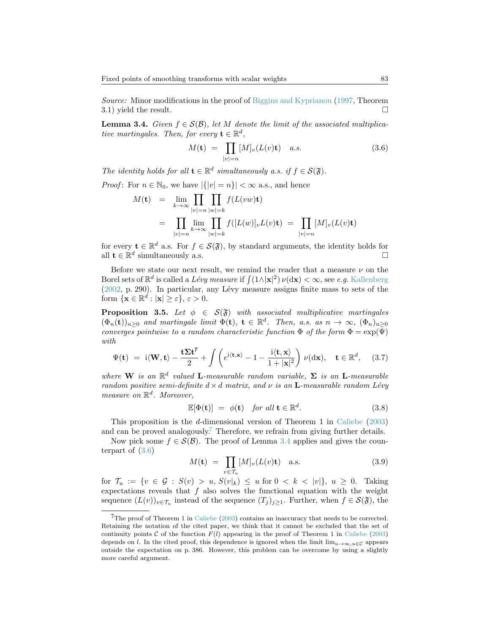*Source:* Minor modifications in the proof of [Biggins and Kyprianou](#page-43-3) [\(1997](#page-43-3), Theorem 3.1) yield the result.  $\Box$ 

<span id="page-14-1"></span>**Lemma 3.4.** *Given*  $f \in S(\mathcal{B})$ *, let M denote the limit of the associated multiplicative martingales. Then, for every*  $\mathbf{t} \in \mathbb{R}^d$ ,

<span id="page-14-2"></span>
$$
M(\mathbf{t}) = \prod_{|v|=n} [M]_v(L(v)\mathbf{t}) \quad a.s.
$$
\n(3.6)

*The identity holds for all*  $\mathbf{t} \in \mathbb{R}^d$  *simultaneously a.s. if*  $f \in S(\mathfrak{F})$ *.* 

*Proof*: For  $n \in \mathbb{N}_0$ , we have  $|\{|v| = n\}| < \infty$  a.s., and hence

$$
M(\mathbf{t}) = \lim_{k \to \infty} \prod_{|v|=n} \prod_{|w|=k} f(L(vw)\mathbf{t})
$$
  
= 
$$
\prod_{|v|=n} \lim_{k \to \infty} \prod_{|w|=k} f([L(w)]_v L(v)\mathbf{t}) = \prod_{|v|=n} [M]_v (L(v)\mathbf{t})
$$

for every  $\mathbf{t} \in \mathbb{R}^d$  a.s. For  $f \in \mathcal{S}(\mathfrak{F})$ , by standard arguments, the identity holds for all  $\mathbf{t} \in \mathbb{R}^d$  simultaneously a.s.

Before we state our next result, we remind the reader that a measure  $\nu$  on the Borel sets of  $\mathbb{R}^d$  is called a *Lévy measure* if  $\int (1 \wedge |\mathbf{x}|^2) \, \nu(\mathrm{d}\mathbf{x}) < \infty$ , see *e.g.* [Kallenberg](#page-44-13)  $(2002, p. 290)$  $(2002, p. 290)$  $(2002, p. 290)$ . In particular, any Lévy measure assigns finite mass to sets of the form  $\{\mathbf{x} \in \mathbb{R}^d : |\mathbf{x}| \ge \varepsilon\}, \varepsilon > 0.$ 

<span id="page-14-3"></span>**Proposition 3.5.** *Let*  $\phi \in S(\mathfrak{F})$  *with associated multiplicative martingales*  $(\Phi_n(\mathbf{t}))_{n\geq 0}$  and martingale limit  $\Phi(\mathbf{t})$ ,  $\mathbf{t} \in \mathbb{R}^d$ . Then, a.s. as  $n \to \infty$ ,  $(\Phi_n)_{n\geq 0}$ *converges pointwise to a random characteristic function*  $\Phi$  *of the form*  $\Phi = \exp(\Psi)$ *with*

<span id="page-14-4"></span>
$$
\Psi(\mathbf{t}) = \mathbf{i} \langle \mathbf{W}, \mathbf{t} \rangle - \frac{\mathbf{t} \Sigma \mathbf{t}^T}{2} + \int \left( e^{\mathbf{i} \langle \mathbf{t}, \mathbf{x} \rangle} - 1 - \frac{\mathbf{i} \langle \mathbf{t}, \mathbf{x} \rangle}{1 + |\mathbf{x}|^2} \right) \nu(\mathrm{d}\mathbf{x}), \quad \mathbf{t} \in \mathbb{R}^d, \quad (3.7)
$$

*where* **W** *is an*  $\mathbb{R}^d$  *valued* **L***-measurable random variable,*  $\Sigma$  *is an* **L***-measurable random positive semi-definite*  $d \times d$  *matrix, and*  $\nu$  *is an* **L**-measurable random Lévy *measure on* R *d . Moreover,*

$$
\mathbb{E}[\Phi(\mathbf{t})] = \phi(\mathbf{t}) \quad \text{for all } \mathbf{t} \in \mathbb{R}^d. \tag{3.8}
$$

This proposition is the *d*-dimensional version of Theorem 1 in [Caliebe](#page-44-5) ([2003](#page-44-5)) and can be proved analogously.<sup>[7](#page-14-0)</sup> Therefore, we refrain from giving further details.

Now pick some  $f \in \mathcal{S}(\mathcal{B})$ . The proof of Lemma [3.4](#page-14-1) applies and gives the counterpart of [\(3.6](#page-14-2))

<span id="page-14-5"></span>
$$
M(\mathbf{t}) = \prod_{v \in \mathcal{T}_u} [M]_v(L(v)\mathbf{t}) \quad \text{a.s.}
$$
 (3.9)

for  $\mathcal{T}_u := \{ v \in \mathcal{G} : S(v) > u, S(v|_k) \leq u \text{ for } 0 < k < |v| \}, u \geq 0$ . Taking expectations reveals that  $f$  also solves the functional equation with the weight sequence  $(L(v))_{v \in \mathcal{T}_u}$  instead of the sequence  $(T_j)_{j \geq 1}$ . Further, when  $f \in \mathcal{S}(\mathfrak{F})$ , the

<span id="page-14-0"></span> $7$ The proof of Theorem 1 in [Caliebe](#page-44-5) ([2003\)](#page-44-5) contains an inaccuracy that needs to be corrected. Retaining the notation of the cited paper, we think that it cannot be excluded that the set of continuity points *C* of the function  $F(l)$  appearing in the proof of Theorem 1 in [Caliebe](#page-44-5) [\(2003](#page-44-5)) depends on *l*. In the cited proof, this dependence is ignored when the limit  $\lim_{u\to\infty} u \in \mathcal{C}$  appears outside the expectation on p. 386. However, this problem can be overcome by using a slightly more careful argument.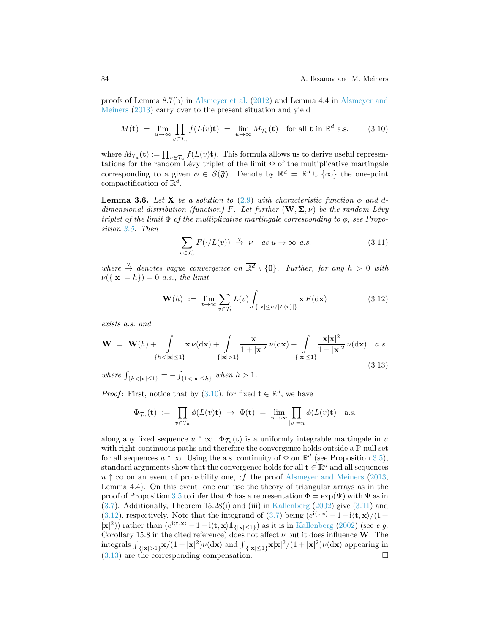proofs of Lemma 8.7(b) in [Alsmeyer et al.](#page-43-0) ([2012\)](#page-43-0) and Lemma 4.4 in [Alsmeyer and](#page-43-1) [Meiners](#page-43-1) ([2013\)](#page-43-1) carry over to the present situation and yield

<span id="page-15-0"></span>
$$
M(\mathbf{t}) = \lim_{u \to \infty} \prod_{v \in \mathcal{T}_u} f(L(v)\mathbf{t}) = \lim_{u \to \infty} M_{\mathcal{T}_u}(\mathbf{t}) \quad \text{for all } \mathbf{t} \text{ in } \mathbb{R}^d \text{ a.s.}
$$
 (3.10)

where  $M_{\mathcal{T}_u}(\mathbf{t}) := \prod_{v \in \mathcal{T}_u} f(L(v)\mathbf{t})$ . This formula allows us to derive useful representations for the random Lévy triplet of the limit  $\Phi$  of the multiplicative martingale corresponding to a given  $\phi \in \mathcal{S}(\mathfrak{F})$ . Denote by  $\overline{\mathbb{R}^d} = \mathbb{R}^d \cup \{\infty\}$  the one-point compactification of R *d* .

<span id="page-15-4"></span>**Lemma 3.6.** Let **X** be a solution to [\(2.9](#page-5-0)) with characteristic function  $\phi$  and d*dimensional distribution (function) F. Let further*  $(\mathbf{W}, \Sigma, \nu)$  *be the random Lévy triplet of the limit*  $\Phi$  *of the multiplicative martingale corresponding to*  $\phi$ , *see Proposition [3.5.](#page-14-3) Then*

<span id="page-15-1"></span>
$$
\sum_{v \in \mathcal{T}_u} F(\cdot/L(v)) \stackrel{\text{v}}{\to} \nu \quad \text{as } u \to \infty \text{ a.s.}
$$
 (3.11)

*where*  $\stackrel{v}{\rightarrow}$  *denotes vague convergence on*  $\overline{\mathbb{R}^d} \setminus \{0\}$ *. Further, for any*  $h > 0$  *with ν*(*{|***x***|* = *h}*) = 0 *a.s., the limit*

<span id="page-15-2"></span>
$$
\mathbf{W}(h) := \lim_{t \to \infty} \sum_{v \in \mathcal{T}_t} L(v) \int_{\{|\mathbf{x}| \le h/|L(v)|\}} \mathbf{x} F(\mathrm{d}\mathbf{x}) \tag{3.12}
$$

*exists a.s. and*

<span id="page-15-3"></span>
$$
\mathbf{W} = \mathbf{W}(h) + \int_{\{h < |\mathbf{x}| \le 1\}} \mathbf{x} \, \nu(\mathrm{d}\mathbf{x}) + \int_{\{|\mathbf{x}| > 1\}} \frac{\mathbf{x}}{1 + |\mathbf{x}|^2} \, \nu(\mathrm{d}\mathbf{x}) - \int_{\{|\mathbf{x}| \le 1\}} \frac{\mathbf{x} |\mathbf{x}|^2}{1 + |\mathbf{x}|^2} \, \nu(\mathrm{d}\mathbf{x}) \quad a.s. \tag{3.13}
$$

*where*  $\int_{\{h < |\mathbf{x}| \leq 1\}} = -\int_{\{1 < |\mathbf{x}| \leq h\}} when h > 1.$ 

*Proof*:First, notice that by  $(3.10)$  $(3.10)$  $(3.10)$ , for fixed  $\mathbf{t} \in \mathbb{R}^d$ , we have

$$
\Phi_{\mathcal{T}_u}(\mathbf{t}) \ := \ \prod_{v \in \mathcal{T}_u} \phi(L(v)\mathbf{t}) \ \to \ \Phi(\mathbf{t}) \ = \ \lim_{n \to \infty} \prod_{|v|=n} \phi(L(v)\mathbf{t}) \quad \text{a.s.}
$$

along any fixed sequence  $u \uparrow \infty$ .  $\Phi_{\mathcal{T}_u}(\mathbf{t})$  is a uniformly integrable martingale in *u* with right-continuous paths and therefore the convergence holds outside a P-null set for all sequences  $u \uparrow \infty$ . Using the a.s. continuity of  $\Phi$  on  $\mathbb{R}^d$  (see Proposition [3.5\)](#page-14-3), standard arguments show that the convergence holds for all  $\mathbf{t} \in \mathbb{R}^d$  and all sequences  $u \uparrow \infty$  on an event of probability one, *cf.* the proof [Alsmeyer and Meiners](#page-43-1) ([2013,](#page-43-1) Lemma 4.4). On this event, one can use the theory of triangular arrays as in the proof of Proposition [3.5](#page-14-3) to infer that  $\Phi$  has a representation  $\Phi = \exp(\Psi)$  with  $\Psi$  as in ([3.7](#page-14-4)). Additionally, Theorem 15.28(i) and (iii) in [Kallenberg](#page-44-13) [\(2002](#page-44-13)) give([3.11](#page-15-1)) and ([3.12](#page-15-2)), respectively. Note that the integrand of [\(3.7](#page-14-4)) being  $(e^{i\langle \mathbf{t}, \mathbf{x} \rangle} - 1 - i\langle \mathbf{t}, \mathbf{x} \rangle/(1 +$  $|\mathbf{x}|^2$ ) rather than  $(e^{i\langle \mathbf{t}, \mathbf{x}\rangle} - 1 - i\langle \mathbf{t}, \mathbf{x}\rangle \mathbb{1}_{\{|\mathbf{x}|\leq 1\}})$  as it is in [Kallenberg](#page-44-13) ([2002\)](#page-44-13) (see *e.g.* Corollary 15.8 in the cited reference) does not affect  $\nu$  but it does influence **W**. The integrals  $\int_{\{|x|>1\}} x/(1+|x|^2)\nu(dx)$  and  $\int_{\{|x|\leq 1\}} x|x|^2/(1+|x|^2)\nu(dx)$  appearing in  $(3.13)$  $(3.13)$  $(3.13)$  are the corresponding compensation.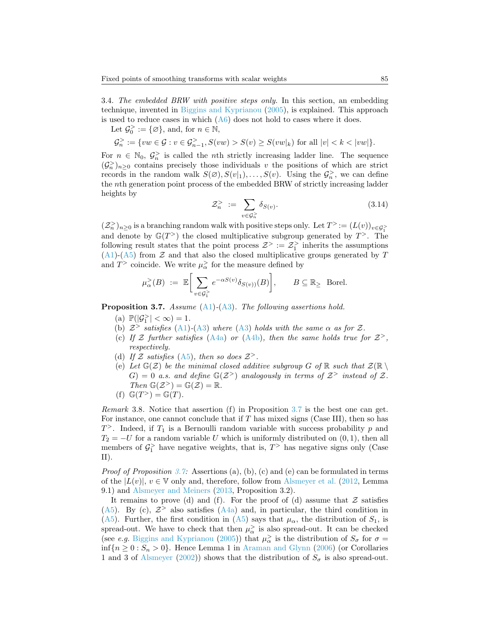<span id="page-16-1"></span>3.4. *The embedded BRW with positive steps only.* In this section, an embedding technique, invented in [Biggins and Kyprianou](#page-44-1) [\(2005](#page-44-1)), is explained. This approach is used to reduce cases in which  $(A6)$  does not hold to cases where it does.

Let  $\mathcal{G}_0^{\geq} := {\emptyset}$ , and, for  $n \in \mathbb{N}$ ,

$$
\mathcal{G}_n^>:=\{vw\in\mathcal{G}:v\in\mathcal{G}_{n-1}^>,S(vw)>S(v)\geq S(vw|_k)\text{ for all }|v|
$$

For  $n \in \mathbb{N}_0$ ,  $\mathcal{G}_n^>$  is called the *n*th strictly increasing ladder line. The sequence  $(\mathcal{G}_n^{\geq})_{n\geq 0}$  contains precisely those individuals *v* the positions of which are strict records in the random walk  $S(\emptyset), S(v|_1), \ldots, S(v)$ . Using the  $\mathcal{G}_n$ , we can define the *n*th generation point process of the embedded BRW of strictly increasing ladder heights by

$$
\mathcal{Z}_n^> := \sum_{v \in \mathcal{G}_n^>} \delta_{S(v)}.\tag{3.14}
$$

 $(\mathcal{Z}_n^> )_{n \geq 0}$  is a branching random walk with positive steps only. Let  $T^> := (L(v))_{v \in \mathcal{G}_1^>}$ and denote by  $\mathbb{G}(T^>)$  the closed multiplicative subgroup generated by  $T^>$ . The following result states that the point process  $\mathcal{Z}^{\geq} := \mathcal{Z}_1^{\geq}$  inherits the assumptions ([A1](#page-3-0))-[\(A5\)](#page-4-2) from *Z* and that also the closed multiplicative groups generated by *T* and  $T$ <sup>></sup> coincide. We write  $\mu_{\alpha}$  for the measure defined by

$$
\mu_{\alpha}^>(B) \ := \ \mathbb{E}\bigg[\sum_{v \in \mathcal{G}_1^>}\,e^{-\alpha S(v)}\delta_{S(v))}(B)\bigg], \qquad B \subseteq \mathbb{R}_{\ge}\;\;\text{Borel}.
$$

<span id="page-16-0"></span>**Proposition 3.7.** *Assume* [\(A1\)](#page-3-0)*-*([A3](#page-3-1))*. The following assertions hold.*

- (a)  $\mathbb{P}(|\mathcal{G}_1^{\ge}| < \infty) = 1$ .
- (b)  $Z^>$  *satisfies* ([A1](#page-3-0))-([A3\)](#page-3-1) *where* [\(A3\)](#page-3-1) *holds with the same*  $\alpha$  *as for*  $Z$ *.*
- (c) If  $\mathcal Z$  further satisfies [\(A4a\)](#page-4-0) or [\(A4b](#page-4-1)), then the same holds true for  $\mathcal Z$ <sup>></sup>, *respectively.*
- (d) If  $Z$  satisfies [\(A5\)](#page-4-2), then so does  $Z$ <sup>></sup>.
- (e) Let  $\mathbb{G}(\mathcal{Z})$  be the minimal closed additive subgroup G of R such that  $\mathcal{Z}(\mathbb{R} \setminus \mathbb{R})$  $G$ ) = 0 *a.s.* and define  $\mathbb{G}(Z^>)$  analogously in terms of  $Z^>$  instead of Z.  $Then \mathbb{G}(\mathcal{Z}^{\geq}) = \mathbb{G}(\mathcal{Z}) = \mathbb{R}.$

(f) 
$$
\mathbb{G}(T^{\gt}) = \mathbb{G}(T)
$$
.

*Remark* 3.8*.* Notice that assertion (f) in Proposition [3.7](#page-16-0) is the best one can get. For instance, one cannot conclude that if *T* has mixed signs (Case III), then so has *T <sup>&</sup>gt;*. Indeed, if *T*<sup>1</sup> is a Bernoulli random variable with success probability *p* and  $T_2 = -U$  for a random variable *U* which is uniformly distributed on  $(0, 1)$ , then all members of  $\mathcal{G}_1^>$  have negative weights, that is,  $T$ <sup>></sup> has negative signs only (Case II).

*Proof of Proposition* [3.7](#page-16-0)*:* Assertions (a), (b), (c) and (e) can be formulated in terms of the  $|L(v)|$ ,  $v \in V$  only and, therefore, follow from [Alsmeyer et al.](#page-43-0) [\(2012](#page-43-0), Lemma 9.1) and [Alsmeyer and Meiners](#page-43-1) [\(2013](#page-43-1), Proposition 3.2).

It remains to prove (d) and (f). For the proof of (d) assume that  $Z$  satisfies ([A5](#page-4-2)).By (c),  $\mathcal{Z}^>$  also satisfies ([A4a](#page-4-0)) and, in particular, the third condition in ([A5](#page-4-2)). Further, the first condition in [\(A5\)](#page-4-2) says that  $\mu_{\alpha}$ , the distribution of  $S_1$ , is spread-out. We have to check that then  $\mu_{\alpha}^>$  is also spread-out. It can be checked (see *e.g.* [Biggins and Kyprianou](#page-44-1) ([2005\)](#page-44-1)) that  $\mu_{\alpha}^>$  is the distribution of  $S_{\sigma}$  for  $\sigma =$ inf ${n \geq 0 : S_n > 0}$ . Hence Lemma 1 in [Araman and Glynn](#page-43-14) ([2006](#page-43-14)) (or Corollaries 1 and 3 of [Alsmeyer](#page-43-15) ([2002\)](#page-43-15)) shows that the distribution of  $S_{\sigma}$  is also spread-out.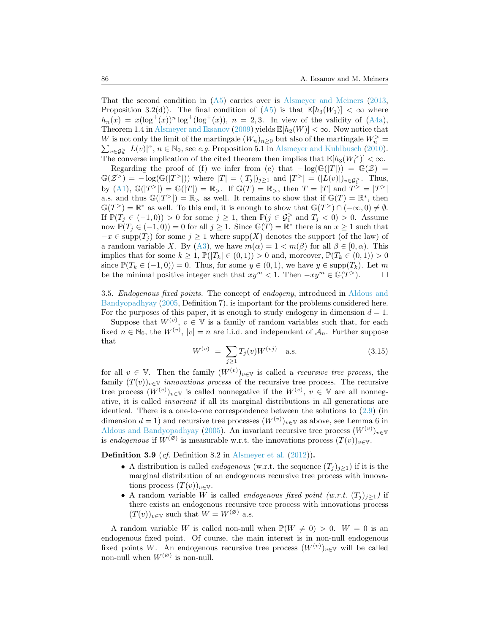That the second condition in([A5](#page-4-2)) carries over is [Alsmeyer and Meiners](#page-43-1) ([2013,](#page-43-1) Proposition 3.2(d)). The final condition of  $(A5)$  is that  $\mathbb{E}[h_3(W_1)] < \infty$  where  $h_n(x) = x(\log^+(x))^n \log^+(x)$ ,  $n = 2,3$ . In view of the validity of [\(A4a\)](#page-4-0), Theorem 1.4 in [Alsmeyer and Iksanov](#page-43-10) [\(2009](#page-43-10)) yields  $\mathbb{E}[h_2(W)] < \infty$ . Now notice that *W* is not only the limit of the martingale  $(W_n)_{n\geq 0}$  but also of the martingale  $W_n^{\geq 0} = \sum_{n \in \mathbb{Z}^2} |L(v)|^{\alpha}$ ,  $n \in \mathbb{N}_0$ , see *e.g.* Proposition 5.1 in Alsmeyer and Kuhlbusch (2010).  $v \in G_n^{\geq}$   $|L(v)|^{\alpha}$ ,  $n \in \mathbb{N}_0$ , see *e.g.* Proposition 5.1 in [Alsmeyer and Kuhlbusch](#page-43-9) ([2010\)](#page-43-9). The converse implication of the cited theorem then implies that  $\mathbb{E}[h_3(W_1^{\geq})] < \infty$ .

Regarding the proof of (f) we infer from (e) that  $-\log(G(|T|)) = G(Z)$  $\mathbb{G}(\mathcal{Z}^>) = -\log(\mathbb{G}(|T^>|))$  where  $|T| = (|T_j|)_{j\geq 1}$  and  $|T^>| = (|L(v)|)_{v\in\mathcal{G}_1^>}.$  Thus, by [\(A1\)](#page-3-0),  $\mathbb{G}(|T^>|\) = \mathbb{G}(|T|\) = \mathbb{R}_{>}$ . If  $\mathbb{G}(T) = \mathbb{R}_{>}$ , then  $T = |T|$  and  $T^> = |T^>|\$ a.s. and thus  $\mathbb{G}(|T^>|) = \mathbb{R}$  as well. It remains to show that if  $\mathbb{G}(T) = \mathbb{R}^*$ , then  $\mathbb{G}(T^>)=\mathbb{R}^*$  as well. To this end, it is enough to show that  $\mathbb{G}(T^>)\cap(-\infty,0)\neq\emptyset$ . If  $\mathbb{P}(T_j \in (-1,0)) > 0$  for some  $j \geq 1$ , then  $\mathbb{P}(j \in \mathcal{G}_1^>$  and  $T_j < 0) > 0$ . Assume now  $\mathbb{P}(T_j \in (-1,0)) = 0$  for all  $j \geq 1$ . Since  $\mathbb{G}(T) = \mathbb{R}^*$  there is an  $x \geq 1$  such that  $-x \in \text{supp}(T_j)$  for some  $j \geq 1$  where  $\text{supp}(X)$  denotes the support (of the law) of arandom variable *X*. By ([A3](#page-3-1)), we have  $m(\alpha) = 1 < m(\beta)$  for all  $\beta \in [0, \alpha)$ . This implies that for some  $k \geq 1$ ,  $\mathbb{P}(|T_k| \in (0,1)) > 0$  and, moreover,  $\mathbb{P}(T_k \in (0,1)) > 0$ since  $\mathbb{P}(T_k \in (-1,0)) = 0$ . Thus, for some  $y \in (0,1)$ , we have  $y \in \text{supp}(T_k)$ . Let m be the minimal positive integer such that  $xy^m < 1$ . Then  $-xy^m \in \mathbb{G}(T^>)$ .  $\Box$ 

<span id="page-17-0"></span>3.5. *Endogenous fixed points.* The concept of *endogeny*, introduced in [Aldous and](#page-43-16) [Bandyopadhyay](#page-43-16) [\(2005](#page-43-16), Definition 7), is important for the problems considered here. For the purposes of this paper, it is enough to study endogeny in dimension  $d = 1$ .

Suppose that  $W^{(v)}$ ,  $v \in V$  is a family of random variables such that, for each fixed  $n \in \mathbb{N}_0$ , the  $W^{(v)}$ ,  $|v| = n$  are i.i.d. and independent of  $A_n$ . Further suppose that

<span id="page-17-1"></span>
$$
W^{(v)} = \sum_{j\geq 1} T_j(v) W^{(vj)} \quad \text{a.s.} \tag{3.15}
$$

for all  $v \in V$ . Then the family  $(W^{(v)})_{v \in V}$  is called a *recursive tree process*, the family  $(T(v))_{v \in V}$  *innovations process* of the recursive tree process. The recursive tree process  $(W^{(v)})_{v \in V}$  is called nonnegative if the  $W^{(v)}$ ,  $v \in V$  are all nonnegative, it is called *invariant* if all its marginal distributions in all generations are identical. There is a one-to-one correspondence between the solutions to([2.9\)](#page-5-0) (in dimension  $d = 1$ ) and recursive tree processes  $(W^{(v)})_{v \in V}$  as above, see Lemma 6 in [Aldous and Bandyopadhyay](#page-43-16) ([2005\)](#page-43-16). An invariant recursive tree process  $(W^{(v)})_{v \in V}$ is *endogenous* if  $W^{(\emptyset)}$  is measurable w.r.t. the innovations process  $(T(v))_{v \in V}$ .

**Definition 3.9** (*cf.* Definition 8.2 in [Alsmeyer et al.](#page-43-0) [\(2012](#page-43-0)))**.**

- A distribution is called *endogenous* (w.r.t. the sequence  $(T_i)_{i\geq 1}$ ) if it is the marginal distribution of an endogenous recursive tree process with innovations process  $(T(v))_{v \in \mathbb{V}}$ .
- A random variable *W* is called *endogenous fixed point* (w.r.t.  $(T_i)_{i\geq 1}$ ) if there exists an endogenous recursive tree process with innovations process  $(T(v))_{v \in \mathbb{V}}$  such that  $W = W^{(\emptyset)}$  a.s.

A random variable *W* is called non-null when  $\mathbb{P}(W \neq 0) > 0$ .  $W = 0$  is an endogenous fixed point. Of course, the main interest is in non-null endogenous fixed points *W*. An endogenous recursive tree process  $(W^{(v)})_{v \in V}$  will be called non-null when  $W^{(\varnothing)}$  is non-null.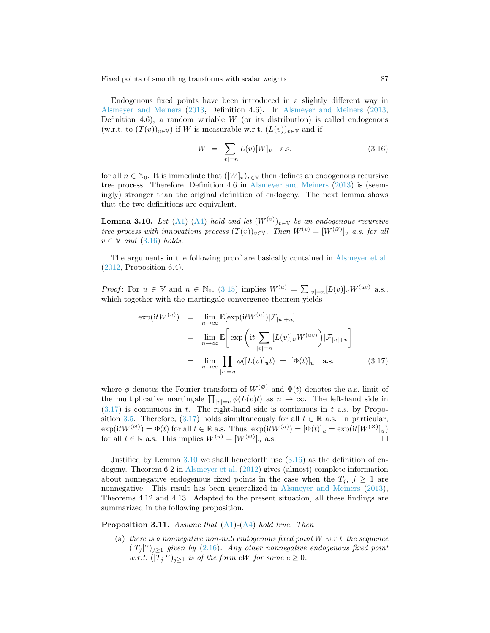Endogenous fixed points have been introduced in a slightly different way in [Alsmeyer and Meiners](#page-43-1) ([2013](#page-43-1), Definition 4.6). In [Alsmeyer and Meiners](#page-43-1) ([2013,](#page-43-1) Definition 4.6), a random variable  $W$  (or its distribution) is called endogenous  $(w.r.t. to (T(v))_{v \in V})$  if *W* is measurable w.r.t.  $(L(v))_{v \in V}$  and if

<span id="page-18-0"></span>
$$
W = \sum_{|v|=n} L(v)[W]_v \quad \text{a.s.} \tag{3.16}
$$

for all  $n \in \mathbb{N}_0$ . It is immediate that  $([W]_v)_{v \in \mathbb{V}}$  then defines an endogenous recursive tree process. Therefore, Definition 4.6 in [Alsmeyer and Meiners](#page-43-1) ([2013\)](#page-43-1) is (seemingly) stronger than the original definition of endogeny. The next lemma shows that the two definitions are equivalent.

<span id="page-18-2"></span>**Lemma 3.10.** *Let* ([A1](#page-3-0))-([A4](#page-4-4)) *hold and let*  $(W^{(v)})_{v \in V}$  *be an endogenous recursive tree process with innovations process*  $(T(v))_{v \in V}$ *. Then*  $W^{(v)} = [W^{(\varnothing)}]_v$  *a.s. for all*  $v \in \mathbb{V}$  *and* [\(3.16\)](#page-18-0) *holds.* 

The arguments in the following proof are basically contained in [Alsmeyer et al.](#page-43-0) ([2012](#page-43-0), Proposition 6.4).

*Proof*: For  $u \in \mathbb{V}$  and  $n \in \mathbb{N}_0$ , [\(3.15\)](#page-17-1) implies  $W^{(u)} = \sum_{|v|=n} [L(v)]_u W^{(uv)}$  a.s., which together with the martingale convergence theorem yields

<span id="page-18-1"></span>
$$
\exp(itW^{(u)}) = \lim_{n \to \infty} \mathbb{E}[\exp(itW^{(u)})|\mathcal{F}_{|u|+n}]
$$
  
\n
$$
= \lim_{n \to \infty} \mathbb{E}\bigg[\exp\bigg(it\sum_{|v|=n} [L(v)]_u W^{(uv)}\bigg)|\mathcal{F}_{|u|+n}\bigg]
$$
  
\n
$$
= \lim_{n \to \infty} \prod_{|v|=n} \phi([L(v)]_u t) = [\Phi(t)]_u \text{ a.s.}
$$
 (3.17)

where  $\phi$  denotes the Fourier transform of  $W^{(\emptyset)}$  and  $\Phi(t)$  denotes the a.s. limit of the multiplicative martingale  $\prod_{|v|=n} \phi(L(v)t)$  as  $n \to \infty$ . The left-hand side in ([3.17](#page-18-1)) is continuous in *t*. The right-hand side is continuous in *t* a.s. by Propo-sition [3.5](#page-14-3). Therefore,  $(3.17)$  holds simultaneously for all  $t \in \mathbb{R}$  a.s. In particular,  $\exp(itW^{(\emptyset)}) = \Phi(t)$  for all  $t \in \mathbb{R}$  a.s. Thus,  $\exp(itW^{(u)}) = [\Phi(t)]_u = \exp(it[W^{(\emptyset)}]_u)$ for all  $t \in \mathbb{R}$  a.s. This implies  $W^{(u)} = [W^{(\emptyset)}]_u$  a.s.

Justified by Lemma  $3.10$  we shall henceforth use  $(3.16)$  as the definition of endogeny. Theorem 6.2 in [Alsmeyer et al.](#page-43-0) [\(2012](#page-43-0)) gives (almost) complete information about nonnegative endogenous fixed points in the case when the  $T_j$ ,  $j \geq 1$  are nonnegative. This result has been generalized in [Alsmeyer and Meiners](#page-43-1) ([2013\)](#page-43-1), Theorems 4.12 and 4.13. Adapted to the present situation, all these findings are summarized in the following proposition.

<span id="page-18-3"></span>**Proposition 3.11.** *Assume that* ([A1\)](#page-3-0)*-*[\(A4\)](#page-4-4) *hold true. Then*

(a) *there is a nonnegative non-null endogenous fixed point W w.r.t. the sequence*  $(|T_j|^{\alpha})_{j\geq 1}$  *given by* [\(2.16](#page-7-1))*. Any other nonnegative endogenous fixed point w.r.t.*  $(|T_j|^{\alpha})_{j\geq 1}$  *is of the form cW for some*  $c \geq 0$ *.*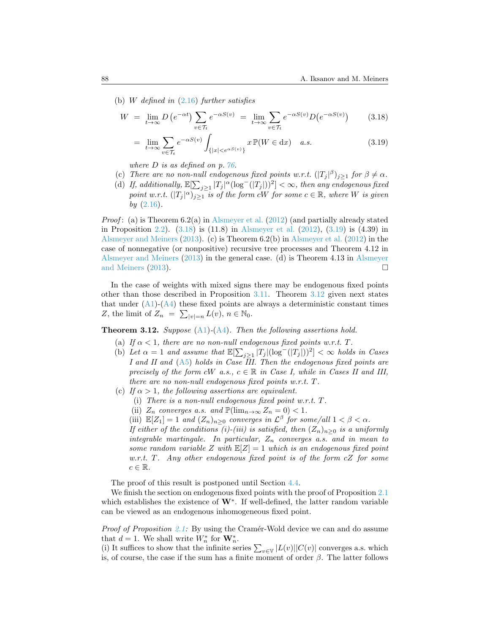(b) *W defined in* [\(2.16\)](#page-7-1) *further satisfies*

$$
W = \lim_{t \to \infty} D\left(e^{-\alpha t}\right) \sum_{v \in \mathcal{T}_t} e^{-\alpha S(v)} = \lim_{t \to \infty} \sum_{v \in \mathcal{T}_t} e^{-\alpha S(v)} D\left(e^{-\alpha S(v)}\right) \tag{3.18}
$$

<span id="page-19-1"></span><span id="page-19-0"></span>
$$
= \lim_{t \to \infty} \sum_{v \in \mathcal{T}_t} e^{-\alpha S(v)} \int_{\{|x| < e^{\alpha S(v)}\}} x \, \mathbb{P}(W \in \text{d}x) \quad a.s. \tag{3.19}
$$

*where D is as defined on p. [76.](#page-7-1)*

- (c) There are no non-null endogenous fixed points w.r.t.  $(|T_j|^{\beta})_{j\geq 1}$  for  $\beta \neq \alpha$ .
- (d) If, additionally,  $\mathbb{E}[\sum_{j\geq 1} |T_j|^{\alpha} (\log^-(|T_j|))^2] < \infty$ , then any endogenous fixed *point w.r.t.*  $(|T_j|^{\alpha})_{j \geq 1}$  *is of the form cW for some*  $c \in \mathbb{R}$ *, where W is given by* [\(2.16\)](#page-7-1)*.*

*Proof*: (a) is Theorem 6.2(a) in [Alsmeyer et al.](#page-43-0) ([2012\)](#page-43-0) (and partially already stated in Proposition [2.2](#page-7-0)). [\(3.18\)](#page-19-0) is (11.8) in [Alsmeyer et al.](#page-43-0) [\(2012](#page-43-0)), [\(3.19\)](#page-19-1) is (4.39) in [Alsmeyer and Meiners](#page-43-1) ([2013](#page-43-1)). (c) is Theorem 6.2(b) in [Alsmeyer et al.](#page-43-0) [\(2012](#page-43-0)) in the case of nonnegative (or nonpositive) recursive tree processes and Theorem 4.12 in [Alsmeyer and Meiners](#page-43-1) [\(2013](#page-43-1)) in the general case. (d) is Theorem 4.13 in [Alsmeyer](#page-43-1) [and Meiners](#page-43-1) [\(2013](#page-43-1)).

In the case of weights with mixed signs there may be endogenous fixed points other than those described in Proposition [3.11.](#page-18-3) Theorem [3.12](#page-19-2) given next states thatunder  $(A1)$  $(A1)$  $(A1)$ - $(A4)$  these fixed points are always a deterministic constant times *Z*, the limit of  $Z_n = \sum_{|v|=n} L(v)$ ,  $n \in \mathbb{N}_0$ .

<span id="page-19-2"></span>**Theorem 3.12.** *Suppose* [\(A1\)](#page-3-0)*-*[\(A4\)](#page-4-4)*. Then the following assertions hold.*

- (a) If  $\alpha < 1$ , there are no non-null endogenous fixed points w.r.t. T.
- (b) Let  $\alpha = 1$  and assume that  $\mathbb{E}[\sum_{j\geq 1} |T_j|(\log^-(|T_j|))^2] < \infty$  holds in Cases *I and II and* ([A5](#page-4-2)) *holds in Case III. Then the endogenous fixed points are precisely of the form cW a.s.,*  $c \in \mathbb{R}$  *in Case I, while in Cases II and III, there are no non-null endogenous fixed points w.r.t. T.*
- (c) *If*  $\alpha > 1$ *, the following assertions are equivalent.* 
	- (i) *There is a non-null endogenous fixed point w.r.t. T.*
	- (ii)  $Z_n$  *converges a.s.* and  $\mathbb{P}(\lim_{n\to\infty}Z_n=0)<1$ .
	- (iii)  $\mathbb{E}[Z_1] = 1$  *and*  $(Z_n)_{n \geq 0}$  *converges in*  $\mathcal{L}^{\beta}$  *for some/all*  $1 < \beta < \alpha$ *.*

*If either of the conditions (i)-(iii) is satisfied, then*  $(Z_n)_{n>0}$  *is a uniformly integrable martingale. In particular, Z<sup>n</sup> converges a.s. and in mean to some random variable Z with* E[*Z*] = 1 *which is an endogenous fixed point w.r.t. T. Any other endogenous fixed point is of the form cZ for some c ∈* R*.*

The proof of this result is postponed until Section [4.4](#page-31-0).

We finish the section on endogenous fixed points with the proof of Proposition [2.1](#page-6-2) which establishes the existence of **W***<sup>∗</sup>* . If well-defined, the latter random variable can be viewed as an endogenous inhomogeneous fixed point.

*Proof of Proposition* [2.1](#page-6-2): By using the Cramér-Wold device we can and do assume that  $d = 1$ . We shall write  $W_n^*$  for  $\mathbf{W}_n^*$ .

(i) It suffices to show that the infinite series  $\sum_{v \in V} |L(v)| |C(v)|$  converges a.s. which is, of course, the case if the sum has a finite moment of order *β*. The latter follows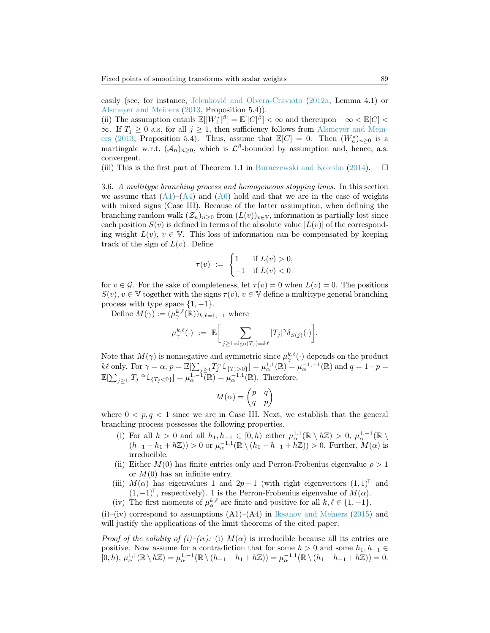easily (see, for instance, Jelenković and Olvera-Cravioto [\(2012a](#page-44-12), Lemma 4.1) or [Alsmeyer and Meiners](#page-43-1) ([2013,](#page-43-1) Proposition 5.4)).

(ii) The assumption entails  $\mathbb{E}[|W_1^*|^{\beta}] = \mathbb{E}[|C|^{\beta}] < \infty$  and thereupon  $-\infty < \mathbb{E}[C] <$  $\infty$ . If *T*<sup>*j*</sup> ≥ 0 a.s. for all *j* ≥ 1, then sufficiency follows from [Alsmeyer and Mein](#page-43-1)[ers](#page-43-1) [\(2013](#page-43-1), Proposition 5.4). Thus, assume that  $\mathbb{E}[C] = 0$ . Then  $(W_n^*)_{n\geq 0}$  is a martingale w.r.t.  $(A_n)_{n\geq 0}$ , which is  $\mathcal{L}^{\beta}$ -bounded by assumption and, hence, a.s. convergent.

(iii) This is the first part of Theorem 1.1 in [Buraczewski and Kolesko](#page-44-11) ([2014\)](#page-44-11).  $\Box$ 

3.6. *A multitype branching process and homogeneous stopping lines.* In this section weassume that  $(A1)$  $(A1)$  $(A1)$ – $(A4)$  and  $(A6)$  hold and that we are in the case of weights with mixed signs (Case III). Because of the latter assumption, when defining the branching random walk  $(\mathcal{Z}_n)_{n>0}$  from  $(L(v))_{v\in V}$ , information is partially lost since each position  $S(v)$  is defined in terms of the absolute value  $|L(v)|$  of the corresponding weight  $L(v)$ ,  $v \in V$ . This loss of information can be compensated by keeping track of the sign of  $L(v)$ . Define

$$
\tau(v) \ := \ \begin{cases} 1 & \text{if } L(v) > 0, \\ -1 & \text{if } L(v) < 0 \end{cases}
$$

for  $v \in \mathcal{G}$ . For the sake of completeness, let  $\tau(v) = 0$  when  $L(v) = 0$ . The positions  $S(v), v \in V$  together with the signs  $\tau(v), v \in V$  define a multitype general branching process with type space  $\{1, -1\}$ .

Define  $M(\gamma) := (\mu^{k,\ell}_{\gamma}(\mathbb{R}))_{k,\ell=1,-1}$  where

$$
\mu^{k,\ell}_{\gamma}(\cdot) \ := \ \mathbb{E}\bigg[\sum_{j\geq 1: \text{sign}(T_j)=k\ell} |T_j|^{\gamma}\delta_{S(j)}(\cdot)\bigg].
$$

Note that  $M(\gamma)$  is nonnegative and symmetric since  $\mu^{k,\ell}_{\gamma}(\cdot)$  depends on the product  $k\ell$  only. For  $\gamma = \alpha$ ,  $p = \mathbb{E}[\sum_{j\geq 1} T_j^{\alpha} \mathbb{1}_{\{T_j > 0\}}] = \mu_{\alpha}^{1,1}(\mathbb{R}) = \mu_{\alpha}^{-1,-1}(\mathbb{R})$  and  $q = 1 - p =$  $\mathbb{E}[\sum_{j\geq 1}|T_j|^{\alpha}1\!\!1_{\{T_j<0\}}] = \mu_{\alpha}^{1,-1}(\mathbb{R}) = \mu_{\alpha}^{-1,1}(\mathbb{R})$ . Therefore,

$$
M(\alpha)=\begin{pmatrix}p&q\\q&p\end{pmatrix}
$$

where  $0 < p, q < 1$  since we are in Case III. Next, we establish that the general branching process possesses the following properties.

- (i) For all  $h > 0$  and all  $h_1, h_{-1} \in [0, h)$  either  $\mu_{\alpha}^{1,1}(\mathbb{R} \setminus h\mathbb{Z}) > 0$ ,  $\mu_{\alpha}^{1,-1}(\mathbb{R} \setminus h\mathbb{Z})$  $(h_{-1} - h_1 + h\mathbb{Z})$  > 0 or  $\mu_{\alpha}^{-1,1}(\mathbb{R} \setminus (h_1 - h_{-1} + h\mathbb{Z})) > 0$ . Further,  $M(\alpha)$  is irreducible.
- (ii) Either  $M(0)$  has finite entries only and Perron-Frobenius eigenvalue  $\rho > 1$ or  $M(0)$  has an infinite entry.
- (iii)  $M(\alpha)$  has eigenvalues 1 and  $2p-1$  (with right eigenvectors  $(1,1)^T$  and (1*, −*1)<sup>T</sup>, respectively). 1 is the Perron-Frobenius eigenvalue of *M*(*α*).
- (iv) The first moments of  $\mu_{\alpha}^{k,\ell}$  are finite and positive for all  $k, \ell \in \{1, -1\}$ .

(i)–(iv) correspond to assumptions (A1)–(A4) in [Iksanov and Meiners](#page-44-14) ([2015\)](#page-44-14) and will justify the applications of the limit theorems of the cited paper.

*Proof of the validity of (i)–(iv):* (i)  $M(\alpha)$  is irreducible because all its entries are positive. Now assume for a contradiction that for some  $h > 0$  and some  $h_1, h_{-1} \in$  $[0,h), \mu_\alpha^{1,1}(\mathbb{R} \setminus h\mathbb{Z}) = \mu_\alpha^{1,-1}(\mathbb{R} \setminus (h_{-1}-h_1+h\mathbb{Z})) = \mu_\alpha^{-1,1}(\mathbb{R} \setminus (h_1-h_{-1}+h\mathbb{Z})) = 0.$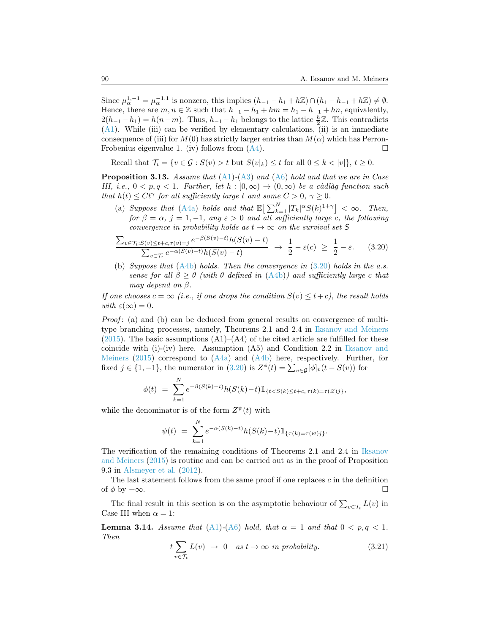Since  $\mu_{\alpha}^{1,-1} = \mu_{\alpha}^{-1,1}$  is nonzero, this implies  $(h_{-1} - h_1 + h\mathbb{Z}) \cap (h_1 - h_{-1} + h\mathbb{Z}) \neq \emptyset$ . Hence, there are  $m, n \in \mathbb{Z}$  such that  $h_{-1} - h_1 + hm = h_1 - h_{-1} + hn$ , equivalently, 2( $h$ <sub>−1</sub> −  $h$ <sub>1</sub>) =  $h(n-m)$ . Thus,  $h$ <sub>−1</sub> −  $h$ <sub>1</sub> belongs to the lattice  $\frac{h}{2}$  Z. This contradicts ([A1](#page-3-0)). While (iii) can be verified by elementary calculations, (ii) is an immediate consequence of (iii) for  $M(0)$  has strictly larger entries than  $M(\alpha)$  which has PerronFrobeniuseigenvalue 1. (iv) follows from  $(A4)$  $(A4)$  $(A4)$ .

Recall that  $\mathcal{T}_t = \{v \in \mathcal{G} : S(v) > t \text{ but } S(v|_k) \leq t \text{ for all } 0 \leq k < |v| \}, t \geq 0.$ 

<span id="page-21-2"></span>**Proposition 3.13.** *Assume that* ([A1](#page-3-0))*-*([A3](#page-3-1)) *and* ([A6](#page-4-3)) *hold and that we are in Case III, i.e.,*  $0 < p, q < 1$ *. Further, let*  $h : [0, \infty) \rightarrow (0, \infty)$  *be a càdlàg function such that*  $h(t) \leq Ct^{\gamma}$  *for all sufficiently large t and some*  $C > 0$ ,  $\gamma \geq 0$ *.* 

(a) *Suppose that* ([A4a](#page-4-0)) *holds and that*  $\mathbb{E}\left[\sum_{k=1}^{N} |T_k|^{\alpha} S(k)^{1+\gamma}\right] < \infty$ *. Then, for*  $\beta = \alpha$ ,  $j = 1, -1$ , any  $\varepsilon > 0$  and all sufficiently large *c*, the following *convergence in probability holds as*  $t \to \infty$  *on the survival set* 5

<span id="page-21-0"></span>
$$
\frac{\sum_{v \in \mathcal{T}_t: S(v) \le t+c, \tau(v)=j} e^{-\beta(S(v)-t)} h(S(v)-t)}{\sum_{v \in \mathcal{T}_t} e^{-\alpha(S(v)-t)} h(S(v)-t)} \to \frac{1}{2} - \varepsilon(c) \ge \frac{1}{2} - \varepsilon.
$$
 (3.20)

(b) *Suppose that* ([A4b\)](#page-4-1) *holds. Then the convergence in* ([3.20](#page-21-0)) *holds in the a.s. sense for all*  $\beta \geq \theta$  *(with*  $\theta$  *defined in*  $(A4b)$  $(A4b)$ *)* and sufficiently large c that *may depend on β.*

*If one chooses*  $c = \infty$  (*i.e., if one drops the condition*  $S(v) \leq t + c$ *), the result holds with*  $\varepsilon(\infty) = 0$ .

*Proof*: (a) and (b) can be deduced from general results on convergence of multitype branching processes, namely, Theorems 2.1 and 2.4 in [Iksanov and Meiners](#page-44-14) ([2015](#page-44-14)). The basic assumptions  $(A1)$ – $(A4)$  of the cited article are fulfilled for these coincide with  $(i)$ - $(iv)$  here. Assumption  $(A5)$  and Condition 2.2 in [Iksanov and](#page-44-14) [Meiners](#page-44-14) [\(2015](#page-44-14))correspond to  $(A4a)$  $(A4a)$  $(A4a)$  and  $(A4b)$  here, respectively. Further, for fixed $j \in \{1, -1\}$ , the numerator in ([3.20\)](#page-21-0) is  $Z^{\phi}(t) = \sum_{v \in \mathcal{G}} [\phi]_v(t - S(v))$  for

$$
\phi(t) = \sum_{k=1}^{N} e^{-\beta(S(k)-t)} h(S(k)-t) \mathbb{1}_{\{t < S(k) \le t+c, \tau(k) = \tau(\varnothing)j\}},
$$

while the denominator is of the form  $Z^{\psi}(t)$  with

$$
\psi(t) = \sum_{k=1}^{N} e^{-\alpha(S(k)-t)} h(S(k)-t) \mathbb{1}_{\{\tau(k)=\tau(\varnothing)j\}}.
$$

The verification of the remaining conditions of Theorems 2.1 and 2.4 in [Iksanov](#page-44-14) [and Meiners](#page-44-14) ([2015\)](#page-44-14) is routine and can be carried out as in the proof of Proposition 9.3 in [Alsmeyer et al.](#page-43-0) [\(2012](#page-43-0)).

The last statement follows from the same proof if one replaces *c* in the definition of *φ* by +*∞*.

The final result in this section is on the asymptotic behaviour of  $\sum_{v \in \mathcal{T}_t} L(v)$  in Case III when  $\alpha = 1$ :

<span id="page-21-3"></span>**Lemma 3.14.** *Assume that* [\(A1\)](#page-3-0) $-(A6)$  $-(A6)$  *hold, that*  $\alpha = 1$  *and that*  $0 < p, q < 1$ *. Then*

<span id="page-21-1"></span>
$$
t\sum_{v\in\mathcal{T}_t} L(v) \rightarrow 0 \quad as \ t\rightarrow\infty \ \text{in probability.} \tag{3.21}
$$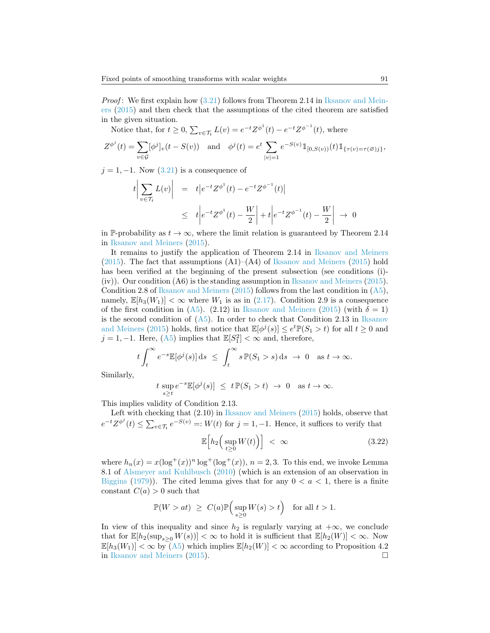*Proof*:We first explain how  $(3.21)$  $(3.21)$  follows from Theorem 2.14 in [Iksanov and Mein](#page-44-14)[ers](#page-44-14) [\(2015](#page-44-14)) and then check that the assumptions of the cited theorem are satisfied in the given situation.

Notice that, for  $t \ge 0$ ,  $\sum_{v \in \mathcal{T}_t} L(v) = e^{-t} Z^{\phi^1}(t) - e^{-t} Z^{\phi^{-1}}(t)$ , where

$$
Z^{\phi^j}(t) = \sum_{v \in \mathcal{G}} [\phi^j]_v(t - S(v)) \text{ and } \phi^j(t) = e^t \sum_{|v|=1} e^{-S(v)} 1\!\!1_{[0, S(v))}(t) 1\!\!1_{\{\tau(v) = \tau(\emptyset)j\}},
$$

*j*= 1, −1. Now ([3.21](#page-21-1)) is a consequence of

$$
t \left| \sum_{v \in \mathcal{T}_t} L(v) \right| = t \left| e^{-t} Z^{\phi^1}(t) - e^{-t} Z^{\phi^{-1}}(t) \right|
$$
  
 
$$
\leq t \left| e^{-t} Z^{\phi^1}(t) - \frac{W}{2} \right| + t \left| e^{-t} Z^{\phi^{-1}}(t) - \frac{W}{2} \right| \to 0
$$

in P-probability as  $t \to \infty$ , where the limit relation is guaranteed by Theorem 2.14 in [Iksanov and Meiners](#page-44-14) ([2015](#page-44-14)).

It remains to justify the application of Theorem 2.14 in [Iksanov and Meiners](#page-44-14) ([2015](#page-44-14)). The fact that assumptions  $(A1)$ – $(A4)$  of [Iksanov and Meiners](#page-44-14) [\(2015](#page-44-14)) hold has been verified at the beginning of the present subsection (see conditions (i)- (iv)). Our condition (A6) is the standing assumption in [Iksanov and Meiners](#page-44-14) ([2015\)](#page-44-14). Condition 2.8 of [Iksanov and Meiners](#page-44-14) [\(2015](#page-44-14)) follows from the last condition in  $(A5)$ , namely, $\mathbb{E}[h_3(W_1)] < \infty$  where  $W_1$  is as in ([2.17](#page-7-4)). Condition 2.9 is a consequence of the first condition in [\(A5\)](#page-4-2). (2.12) in [Iksanov and Meiners](#page-44-14) [\(2015](#page-44-14)) (with  $\delta = 1$ ) is the second condition of  $(A5)$ . In order to check that Condition 2.13 in [Iksanov](#page-44-14) [and Meiners](#page-44-14) [\(2015](#page-44-14)) holds, first notice that  $\mathbb{E}[\phi^j(s)] \leq e^t \mathbb{P}(S_1 > t)$  for all  $t \geq 0$  and *j* = 1, −1. Here, [\(A5\)](#page-4-2) implies that  $\mathbb{E}[S_1^2] < \infty$  and, therefore,

$$
t \int_t^{\infty} e^{-s} \mathbb{E}[\phi^j(s)] ds \leq \int_t^{\infty} s \mathbb{P}(S_1 > s) ds \to 0 \text{ as } t \to \infty.
$$

Similarly,

$$
t \sup_{s \ge t} e^{-s} \mathbb{E}[\phi^j(s)] \le t \mathbb{P}(S_1 > t) \to 0 \text{ as } t \to \infty.
$$

This implies validity of Condition 2.13.

Left with checking that (2.10) in [Iksanov and Meiners](#page-44-14) [\(2015\)](#page-44-14) holds, observe that  $e^{-t}Z^{\phi^j}(t) \le \sum_{v \in \mathcal{T}_t} e^{-S(v)} =: W(t)$  for  $j = 1, -1$ . Hence, it suffices to verify that

$$
\mathbb{E}\Big[h_2\Big(\sup_{t\geq 0} W(t)\Big)\Big] < \infty \tag{3.22}
$$

where  $h_n(x) = x(\log^+(x))^n \log^+(\log^+(x))$ ,  $n = 2, 3$ . To this end, we invoke Lemma 8.1 of [Alsmeyer and Kuhlbusch](#page-43-9) ([2010\)](#page-43-9) (which is an extension of an observation in [Biggins](#page-43-11) ([1979](#page-43-11))). The cited lemma gives that for any  $0 < a < 1$ , there is a finite constant  $C(a) > 0$  such that

$$
\mathbb{P}(W > at) \ \geq \ C(a) \mathbb{P}\Big(\sup_{s \geq 0} W(s) > t \Big) \quad \text{for all $t > 1$.}
$$

In view of this inequality and since  $h_2$  is regularly varying at  $+\infty$ , we conclude that for  $\mathbb{E}[h_2(\sup_{s>0} W(s))] < \infty$  to hold it is sufficient that  $\mathbb{E}[h_2(W)] < \infty$ . Now  $\mathbb{E}[h_3(W_1)] < \infty$  $\mathbb{E}[h_3(W_1)] < \infty$  $\mathbb{E}[h_3(W_1)] < \infty$  by ([A5\)](#page-4-2) which implies  $\mathbb{E}[h_2(W)] < \infty$  according to Proposition 4.2 in [Iksanov and Meiners](#page-44-14) ([2015](#page-44-14)).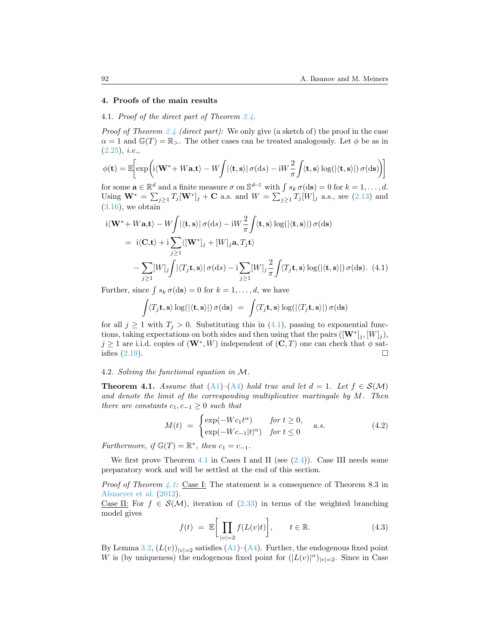#### <span id="page-23-2"></span>**4. Proofs of the main results**

# <span id="page-23-1"></span>4.1. *Proof of the direct part of Theorem [2.4.](#page-8-0)*

*Proof of Theorem [2.4](#page-8-0) (direct part):* We only give (a sketch of) the proof in the case  $\alpha = 1$  and  $\mathbb{G}(T) = \mathbb{R}_{>}$ . The other cases can be treated analogously. Let  $\phi$  be as in ([2.25](#page-9-2)), *i.e.*,

$$
\phi(\mathbf{t}) = \mathbb{E}\bigg[\exp\bigg(\mathrm{i}\langle \mathbf{W}^* + W\mathbf{a}, \mathbf{t}\rangle - W\bigg/\langle \mathbf{t}, \mathbf{s}\rangle \,|\, \sigma(\mathrm{d}s) - \mathrm{i}W\frac{2}{\pi}\int \langle \mathbf{t}, \mathbf{s}\rangle \log(\langle \mathbf{t}, \mathbf{s}\rangle \,|\, \sigma(\mathrm{d}\mathbf{s})\bigg)\bigg]
$$

for some  $\mathbf{a} \in \mathbb{R}^d$  and a finite measure  $\sigma$  on  $\mathbb{S}^{d-1}$  with  $\int s_k \sigma(\text{d}\mathbf{s}) = 0$  for  $k = 1, \ldots, d$ . Using $W^* = \sum_{j\geq 1} T_j[W^*]_j + C$  a.s. and  $W = \sum_{j\geq 1} T_j[W]_j$  a.s., see ([2.13](#page-6-3)) and  $(3.16)$  $(3.16)$  $(3.16)$ , we obtain

$$
i\langle \mathbf{W}^* + W\mathbf{a}, \mathbf{t} \rangle - W \int |\langle \mathbf{t}, \mathbf{s} \rangle| \sigma(\mathrm{d}s) - iW \frac{2}{\pi} \int \langle \mathbf{t}, \mathbf{s} \rangle \log(|\langle \mathbf{t}, \mathbf{s} \rangle|) \sigma(\mathrm{d}s)
$$
  
\n
$$
= i\langle \mathbf{C}, \mathbf{t} \rangle + i \sum_{j \ge 1} \langle [\mathbf{W}^*]_j + [W]_j \mathbf{a}, T_j \mathbf{t} \rangle
$$
  
\n
$$
- \sum_{j \ge 1} [W]_j \int |\langle T_j \mathbf{t}, \mathbf{s} \rangle| \sigma(\mathrm{d}s) - i \sum_{j \ge 1} [W]_j \frac{2}{\pi} \int \langle T_j \mathbf{t}, \mathbf{s} \rangle \log(|\langle \mathbf{t}, \mathbf{s} \rangle|) \sigma(\mathrm{d}s). \tag{4.1}
$$

Further, since  $\int s_k \sigma(\text{d}s) = 0$  for  $k = 1, \ldots, d$ , we have

<span id="page-23-3"></span>
$$
\int \langle T_j \mathbf{t}, \mathbf{s} \rangle \log(|\langle \mathbf{t}, \mathbf{s} \rangle|) \sigma(\mathrm{d}\mathbf{s}) = \int \langle T_j \mathbf{t}, \mathbf{s} \rangle \log(|\langle T_j \mathbf{t}, \mathbf{s} \rangle|) \sigma(\mathrm{d}\mathbf{s})
$$

forall  $j \ge 1$  with  $T_j > 0$ . Substituting this in ([4.1](#page-23-3)), passing to exponential functions, taking expectations on both sides and then using that the pairs  $([\mathbf{W}^*]_j, [W]_j)$ ,  $j \geq 1$  are i.i.d. copies of  $(\mathbf{W}^*, W)$  independent of  $(\mathbf{C}, T)$  one can check that  $\phi$  satisfies  $(2.19)$ .

#### <span id="page-23-0"></span>4.2. *Solving the functional equation in M.*

<span id="page-23-4"></span>**Theorem 4.1.** *Assume that* ([A1](#page-3-0))–([A4](#page-4-4)) *hold true and let*  $d = 1$ *. Let*  $f \in S(\mathcal{M})$ *and denote the limit of the corresponding multiplicative martingale by M. Then there are constants*  $c_1, c_{-1} \geq 0$  *such that* 

<span id="page-23-5"></span>
$$
M(t) = \begin{cases} \exp(-Wc_1t^{\alpha}) & \text{for } t \ge 0, \\ \exp(-Wc_{-1}|t|^{\alpha}) & \text{for } t \le 0 \end{cases}
$$
 (4.2)

*Furthermore, if*  $\mathbb{G}(T) = \mathbb{R}^*$ *, then*  $c_1 = c_{-1}$ *.* 

We first prove Theorem [4.1](#page-23-4) in Cases I and II (see  $(2.4)$ ). Case III needs some preparatory work and will be settled at the end of this section.

*Proof of Theorem [4.1:](#page-23-4)* Case I: The statement is a consequence of Theorem 8.3 in [Alsmeyer et al.](#page-43-0) ([2012](#page-43-0)).

Case II: For  $f \in \mathcal{S}(\mathcal{M})$ , iteration of [\(2.33](#page-11-0)) in terms of the weighted branching model gives

$$
f(t) = \mathbb{E}\bigg[\prod_{|v|=2} f(L(v)t)\bigg], \qquad t \in \mathbb{R}.\tag{4.3}
$$

By Lemma [3.2](#page-13-1), $(L(v))_{|v|=2}$  satisfies ([A1](#page-3-0))–([A4](#page-4-4)). Further, the endogenous fixed point *W* is (by uniqueness) the endogenous fixed point for  $(|L(v)|^{\alpha})_{|v|=2}$ . Since in Case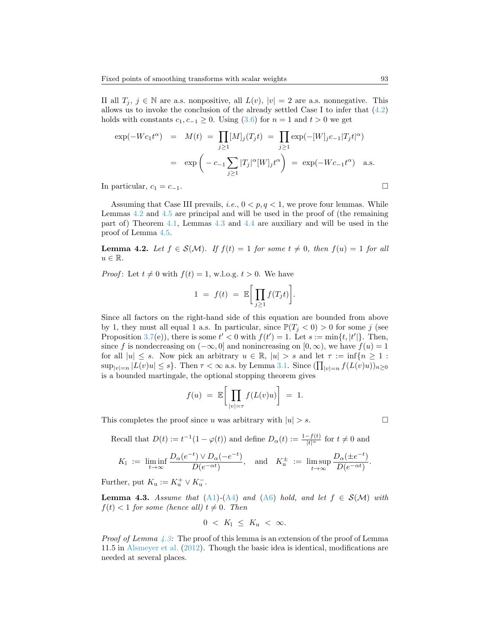II all *T*<sub>*j*</sub>, *j* ∈ N are a.s. nonpositive, all *L*(*v*),  $|v| = 2$  are a.s. nonnegative. This allowsus to invoke the conclusion of the already settled Case I to infer that  $(4.2)$  $(4.2)$  $(4.2)$ holds with constants  $c_1, c_{-1} \geq 0$ . Using [\(3.6\)](#page-14-2) for  $n = 1$  and  $t > 0$  we get

$$
\exp(-Wc_1t^{\alpha}) = M(t) = \prod_{j\geq 1} [M]_j(T_jt) = \prod_{j\geq 1} \exp(-[W]_jc_{-1}|T_jt|^{\alpha})
$$

$$
= \exp\left(-c_{-1}\sum_{j\geq 1}|T_j|^{\alpha}[W]_jt^{\alpha}\right) = \exp(-Wc_{-1}t^{\alpha}) \text{ a.s.}
$$
In particular,  $c_1 = c_{-1}$ .

Assuming that Case III prevails, *i.e.*, 0 *< p, q <* 1, we prove four lemmas. While Lemmas [4.2](#page-24-0) and [4.5](#page-26-0) are principal and will be used in the proof of (the remaining part of) Theorem [4.1](#page-23-4), Lemmas [4.3](#page-24-1) and [4.4](#page-25-0) are auxiliary and will be used in the proof of Lemma [4.5](#page-26-0).

<span id="page-24-0"></span>**Lemma 4.2.** Let  $f \in \mathcal{S}(\mathcal{M})$ . If  $f(t) = 1$  for some  $t \neq 0$ , then  $f(u) = 1$  for all  $u \in \mathbb{R}$ .

*Proof*: Let  $t \neq 0$  with  $f(t) = 1$ , w.l.o.g.  $t > 0$ . We have

$$
1 = f(t) = \mathbb{E}\bigg[\prod_{j\geq 1} f(T_j t)\bigg].
$$

Since all factors on the right-hand side of this equation are bounded from above by 1, they must all equal 1 a.s. In particular, since  $\mathbb{P}(T_j < 0) > 0$  for some *j* (see Proposition [3.7\(](#page-16-0)e)), there is some  $t' < 0$  with  $f(t') = 1$ . Let  $s := \min\{t, |t'|\}$ . Then, since *f* is nondecreasing on  $(-\infty, 0]$  and nonincreasing on  $[0, \infty)$ , we have  $f(u) = 1$ for all  $|u| \leq s$ . Now pick an arbitrary  $u \in \mathbb{R}$ ,  $|u| > s$  and let  $\tau := \inf\{n \geq 1$ :  $\sup_{|v|=n} |L(v)u| \leq s$ . Then  $\tau < \infty$  a.s. by Lemma [3.1](#page-13-2). Since  $(\prod_{|v|=n} f(L(v)u))_{n\geq 0}$ is a bounded martingale, the optional stopping theorem gives

$$
f(u) = \mathbb{E}\bigg[\prod_{|v|=\tau} f(L(v)u)\bigg] = 1.
$$

This completes the proof since *u* was arbitrary with  $|u| > s$ .

Recall that 
$$
D(t) := t^{-1}(1 - \varphi(t))
$$
 and define  $D_{\alpha}(t) := \frac{1 - f(t)}{|t|^{\alpha}}$  for  $t \neq 0$  and

$$
K_1 := \liminf_{t \to \infty} \frac{D_{\alpha}(e^{-t}) \vee D_{\alpha}(-e^{-t})}{D(e^{-\alpha t})}, \text{ and } K_u^{\pm} := \limsup_{t \to \infty} \frac{D_{\alpha}(\pm e^{-t})}{D(e^{-\alpha t})}.
$$

Further, put  $K_u := K_u^+ \vee K_u^-$ .

<span id="page-24-1"></span>**Lemma 4.3.** *Assume that* [\(A1](#page-3-0)) $-(A4)$  $-(A4)$  $-(A4)$  *and* ([A6](#page-4-3)) *hold, and let*  $f \in S(\mathcal{M})$  *with*  $f(t) < 1$  *for some (hence all)*  $t \neq 0$ *. Then* 

$$
0 < K_1 \leq K_\mathbf{u} < \infty.
$$

*Proof of Lemma*  $\angle 4.3$ : The proof of this lemma is an extension of the proof of Lemma 11.5 in [Alsmeyer et al.](#page-43-0) ([2012\)](#page-43-0). Though the basic idea is identical, modifications are needed at several places.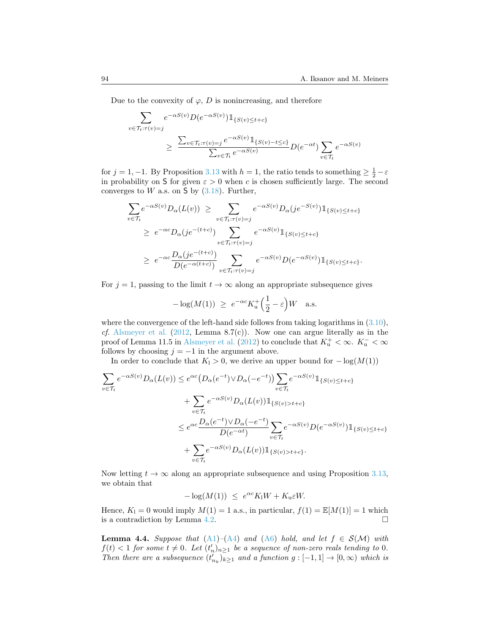Due to the convexity of  $\varphi$ , *D* is nonincreasing, and therefore

$$
\sum_{v \in \mathcal{T}_t: \tau(v) = j} e^{-\alpha S(v)} D(e^{-\alpha S(v)}) \mathbb{1}_{\{S(v) \le t + c\}}
$$
\n
$$
\ge \frac{\sum_{v \in \mathcal{T}_t: \tau(v) = j} e^{-\alpha S(v)} \mathbb{1}_{\{S(v) - t \le c\}}}{\sum_{v \in \mathcal{T}_t} e^{-\alpha S(v)}} D(e^{-\alpha t}) \sum_{v \in \mathcal{T}_t} e^{-\alpha S(v)}
$$

for  $j = 1, -1$ . By Proposition [3.13](#page-21-2) with  $h = 1$ , the ratio tends to something  $\geq \frac{1}{2} - \varepsilon$ in probability on S for given  $\varepsilon > 0$  when *c* is chosen sufficiently large. The second convergesto  $W$  a.s. on  $S$  by  $(3.18)$  $(3.18)$ . Further,

$$
\sum_{v \in \mathcal{T}_t} e^{-\alpha S(v)} D_{\alpha}(L(v)) \geq \sum_{v \in \mathcal{T}_t : \tau(v) = j} e^{-\alpha S(v)} D_{\alpha}(je^{-S(v)}) \mathbb{1}_{\{S(v) \leq t + c\}} \n\geq e^{-\alpha c} D_{\alpha}(je^{-(t+c)}) \sum_{v \in \mathcal{T}_t : \tau(v) = j} e^{-\alpha S(v)} \mathbb{1}_{\{S(v) \leq t + c\}} \n\geq e^{-\alpha c} \frac{D_{\alpha}(je^{-(t+c)})}{D(e^{-\alpha(t+c)})} \sum_{v \in \mathcal{T}_t : \tau(v) = j} e^{-\alpha S(v)} D(e^{-\alpha S(v)}) \mathbb{1}_{\{S(v) \leq t + c\}}.
$$

For  $j = 1$ , passing to the limit  $t \to \infty$  along an appropriate subsequence gives

$$
-\log(M(1)) \ge e^{-\alpha c} K_{\mathrm{u}}^+\left(\frac{1}{2} - \varepsilon\right) W \quad \text{a.s.}
$$

wherethe convergence of the left-hand side follows from taking logarithms in  $(3.10)$  $(3.10)$ , *cf.* [Alsmeyer et al.](#page-43-0) ([2012,](#page-43-0) Lemma 8.7(c)). Now one can argue literally as in the proof of Lemma 11.5 in [Alsmeyer et al.](#page-43-0) ([2012\)](#page-43-0) to conclude that  $K_u^+ < \infty$ .  $K_u^ < \infty$ follows by choosing  $j = -1$  in the argument above.

In order to conclude that  $K_1 > 0$ , we derive an upper bound for  $− log(M(1))$ 

$$
\sum_{v \in \mathcal{T}_t} e^{-\alpha S(v)} D_{\alpha}(L(v)) \le e^{\alpha c} (D_{\alpha}(e^{-t}) \vee D_{\alpha}(-e^{-t})) \sum_{v \in \mathcal{T}_t} e^{-\alpha S(v)} \mathbb{1}_{\{S(v) \le t + c\}}
$$
  
+ 
$$
\sum_{v \in \mathcal{T}_t} e^{-\alpha S(v)} D_{\alpha}(L(v)) \mathbb{1}_{\{S(v) > t + c\}}
$$
  

$$
\le e^{\alpha c} \frac{D_{\alpha}(e^{-t}) \vee D_{\alpha}(-e^{-t})}{D(e^{-\alpha t})} \sum_{v \in \mathcal{T}_t} e^{-\alpha S(v)} D(e^{-\alpha S(v)}) \mathbb{1}_{\{S(v) \le t + c\}}
$$
  
+ 
$$
\sum_{v \in \mathcal{T}_t} e^{-\alpha S(v)} D_{\alpha}(L(v)) \mathbb{1}_{\{S(v) > t + c\}}.
$$

Now letting  $t \to \infty$  along an appropriate subsequence and using Proposition [3.13,](#page-21-2) we obtain that

$$
-\log(M(1)) \le e^{\alpha c} K_1 W + K_u \varepsilon W.
$$

Hence,  $K_1 = 0$  would imply  $M(1) = 1$  a.s., in particular,  $f(1) = \mathbb{E}[M(1)] = 1$  which is a contradiction by Lemma [4.2.](#page-24-0)  $\Box$ 

<span id="page-25-0"></span>**Lemma 4.4.** *Suppose that*  $(A1)$ – $(A4)$  *and*  $(A6)$  *hold, and let*  $f \in S(\mathcal{M})$  *with*  $f(t) < 1$  *for some*  $t \neq 0$ *. Let*  $(t'_n)_{n \geq 1}$  *be a sequence of non-zero reals tending to* 0*. Then there are a subsequence*  $(t'_{n_k})_{k\geq 1}$  *and a function*  $g: [-1,1] \rightarrow [0,\infty)$  *which is*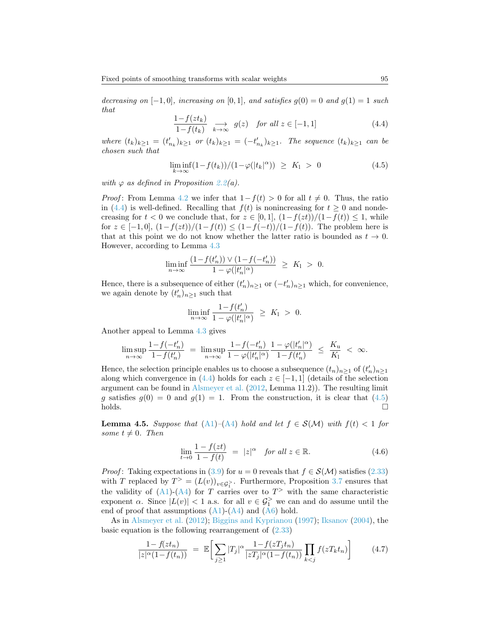*decreasing on*  $[-1,0]$ *, increasing on*  $[0,1]$ *, and satisfies*  $g(0) = 0$  *and*  $g(1) = 1$  *such that*

<span id="page-26-1"></span>
$$
\frac{1 - f(zt_k)}{1 - f(t_k)} \xrightarrow[k \to \infty]{} g(z) \quad \text{for all } z \in [-1, 1]
$$
\n
$$
(4.4)
$$

where  $(t_k)_{k\geq 1} = (t'_{n_k})_{k\geq 1}$  or  $(t_k)_{k\geq 1} = (-t'_{n_k})_{k\geq 1}$ . The sequence  $(t_k)_{k\geq 1}$  can be *chosen such that*

<span id="page-26-2"></span>
$$
\liminf_{k \to \infty} \left( 1 - f(t_k) \right) / \left( 1 - \varphi(|t_k|^\alpha) \right) \ge K_1 > 0 \tag{4.5}
$$

*with*  $\varphi$  *as defined in Proposition [2.2](#page-7-0)(a).* 

*Proof*: From Lemma [4.2](#page-24-0) we infer that  $1 - f(t) > 0$  for all  $t \neq 0$ . Thus, the ratio in([4.4](#page-26-1)) is well-defined. Recalling that  $f(t)$  is nonincreasing for  $t \geq 0$  and nondecreasing for  $t < 0$  we conclude that, for  $z \in [0,1]$ ,  $(1-f(zt))/(1-f(t)) \leq 1$ , while for  $z \in [-1,0], (1-f(zt))/(1-f(t)) \leq (1-f(-t))/(1-f(t)).$  The problem here is that at this point we do not know whether the latter ratio is bounded as  $t \to 0$ . However, according to Lemma [4.3](#page-24-1)

$$
\liminf_{n \to \infty} \frac{(1 - f(t'_n)) \vee (1 - f(-t'_n))}{1 - \varphi(|t'_n|^\alpha)} \ge K_1 > 0.
$$

Hence, there is a subsequence of either  $(t'_n)_{n\geq 1}$  or  $(-t'_n)_{n\geq 1}$  which, for convenience, we again denote by  $(t'_n)_{n\geq 1}$  such that

$$
\liminf_{n \to \infty} \frac{1 - f(t'_n)}{1 - \varphi(|t'_n|^\alpha)} \ge K_1 > 0.
$$

Another appeal to Lemma [4.3](#page-24-1) gives

$$
\limsup_{n \to \infty} \frac{1 - f(-t'_n)}{1 - f(t'_n)} = \limsup_{n \to \infty} \frac{1 - f(-t'_n)}{1 - \varphi(|t'_n|^\alpha)} \frac{1 - \varphi(|t'_n|^\alpha)}{1 - f(t'_n)} \le \frac{K_u}{K_1} < \infty.
$$

Hence, the selection principle enables us to choose a subsequence  $(t_n)_{n\geq 1}$  of  $(t'_n)_{n\geq 1}$ along which convergence in  $(4.4)$  holds for each  $z \in [-1,1]$  (details of the selection argument can be found in [Alsmeyer et al.](#page-43-0) [\(2012](#page-43-0), Lemma 11.2)). The resulting limit *g*satisfies  $g(0) = 0$  and  $g(1) = 1$ . From the construction, it is clear that ([4.5](#page-26-2))  $\Box$ holds.

<span id="page-26-0"></span>**Lemma 4.5.** *Suppose that*  $(A1)$  $(A1)$  $(A1)$ – $(A4)$  $(A4)$  $(A4)$  *hold and let*  $f \in S(\mathcal{M})$  *with*  $f(t) < 1$  *for some*  $t \neq 0$ *. Then* 

<span id="page-26-4"></span>
$$
\lim_{t \to 0} \frac{1 - f(zt)}{1 - f(t)} = |z|^{\alpha} \quad \text{for all } z \in \mathbb{R}.
$$
 (4.6)

*Proof*:Taking expectations in ([3.9](#page-14-5)) for  $u = 0$  reveals that  $f \in \mathcal{S}(\mathcal{M})$  satisfies ([2.33](#page-11-0)) with *T* replaced by  $T^> = (L(v))_{v \in \mathcal{G}_1^>}$ . Furthermore, Proposition [3.7](#page-16-0) ensures that the validity of  $(A1)-(A4)$  $(A1)-(A4)$  $(A1)-(A4)$  for *T* carries over to  $T^>$  with the same characteristic exponent *α*. Since  $|L(v)| < 1$  a.s. for all  $v \in \mathcal{G}_1^>$  we can and do assume until the endof proof that assumptions  $(A1)-(A4)$  $(A1)-(A4)$  $(A1)-(A4)$  $(A1)-(A4)$  and  $(A6)$  hold.

As in [Alsmeyer et al.](#page-43-0) ([2012\)](#page-43-0); [Biggins and Kyprianou](#page-43-3) [\(1997](#page-43-3)); [Iksanov](#page-44-2) ([2004\)](#page-44-2), the basicequation is the following rearrangement of  $(2.33)$  $(2.33)$  $(2.33)$ 

<span id="page-26-3"></span>
$$
\frac{1 - f(zt_n)}{|z|^\alpha (1 - f(t_n))} = \mathbb{E} \bigg[ \sum_{j \ge 1} |T_j|^\alpha \frac{1 - f(zT_j t_n)}{|zT_j|^\alpha (1 - f(t_n))} \prod_{k < j} f(zT_k t_n) \bigg] \tag{4.7}
$$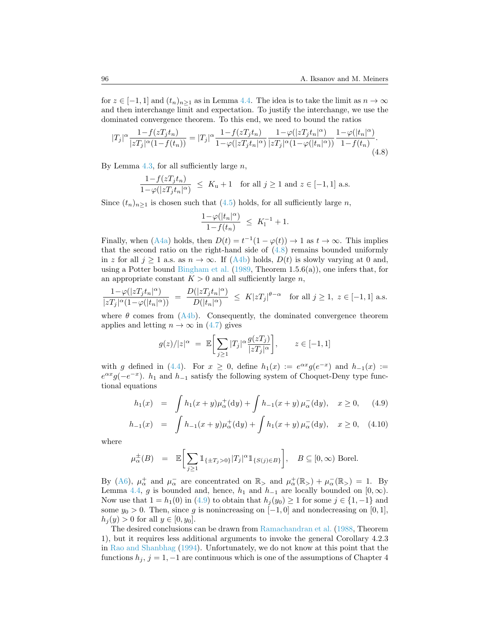for  $z \in [-1,1]$  and  $(t_n)_{n>1}$  as in Lemma [4.4](#page-25-0). The idea is to take the limit as  $n \to \infty$ and then interchange limit and expectation. To justify the interchange, we use the dominated convergence theorem. To this end, we need to bound the ratios

$$
|T_j|^{\alpha} \frac{1 - f(zT_j t_n)}{|zT_j|^{\alpha} (1 - f(t_n))} = |T_j|^{\alpha} \frac{1 - f(zT_j t_n)}{1 - \varphi(|zT_j t_n|^{\alpha})} \frac{1 - \varphi(|zT_j t_n|^{\alpha})}{|zT_j|^{\alpha} (1 - \varphi(|t_n|^{\alpha}))} \frac{1 - \varphi(|t_n|^{\alpha})}{1 - f(t_n)}.
$$
\n(4.8)

By Lemma [4.3,](#page-24-1) for all sufficiently large *n*,

$$
\frac{1 - f(zT_j t_n)}{1 - \varphi(|zT_j t_n|^\alpha)} \le K_u + 1 \quad \text{for all } j \ge 1 \text{ and } z \in [-1, 1] \text{ a.s.}
$$

Since  $(t_n)_{n\geq 1}$  is chosen such that  $(4.5)$  holds, for all sufficiently large *n*,

<span id="page-27-0"></span>
$$
\frac{1-\varphi(|t_n|^\alpha)}{1-f(t_n)} \ \leq \ K_1^{-1} + 1.
$$

Finally, when  $(A4a)$  holds, then  $D(t) = t^{-1}(1 - \varphi(t)) \to 1$  as  $t \to \infty$ . This implies that the second ratio on the right-hand side of  $(4.8)$  remains bounded uniformly in*z* for all  $j \ge 1$  a.s. as  $n \to \infty$ . If ([A4b\)](#page-4-1) holds,  $D(t)$  is slowly varying at 0 and, using a Potter bound [Bingham et al.](#page-44-15)  $(1989,$  $(1989,$  Theorem 1.5.6(a)), one infers that, for an appropriate constant  $K > 0$  and all sufficiently large *n*,

$$
\frac{1-\varphi(|zT_jt_n|^\alpha)}{|zT_j|^\alpha(1-\varphi(|t_n|^\alpha))}\;=\;\frac{D(|zT_jt_n|^\alpha)}{D(|t_n|^\alpha)}\;\leq\; K|zT_j|^{\theta-\alpha}\quad\text{for all }j\geq 1,\;z\in[-1,1]\text{ a.s.}
$$

where $\theta$  comes from  $(A4b)$  $(A4b)$ . Consequently, the dominated convergence theorem applies and letting  $n \to \infty$  in [\(4.7\)](#page-26-3) gives

$$
g(z)/|z|^{\alpha} = \mathbb{E}\bigg[\sum_{j\geq 1} |T_j|^{\alpha} \frac{g(zT_j)}{|zT_j|^{\alpha}}\bigg], \qquad z \in [-1, 1]
$$

with *g* defined in [\(4.4\)](#page-26-1). For  $x \ge 0$ , define  $h_1(x) := e^{\alpha x} g(e^{-x})$  and  $h_{-1}(x) :=$  $e^{\alpha x}g(-e^{-x})$ . *h*<sub>1</sub> and *h*<sub>−1</sub> satisfy the following system of Choquet-Deny type functional equations

$$
h_1(x) = \int h_1(x+y)\mu_\alpha^+(dy) + \int h_{-1}(x+y)\,\mu_\alpha^-(dy), \quad x \ge 0, \quad (4.9)
$$

<span id="page-27-1"></span>
$$
h_{-1}(x) = \int h_{-1}(x+y)\mu_{\alpha}^{+}(dy) + \int h_{1}(x+y)\mu_{\alpha}^{-}(dy), \quad x \ge 0, \quad (4.10)
$$

where

$$
\mu_{\alpha}^{\pm}(B) = \mathbb{E}\bigg[\sum_{j\geq 1} \mathbb{1}_{\{\pm T_j > 0\}} |T_j|^{\alpha} \mathbb{1}_{\{S(j)\in B\}}\bigg], \quad B \subseteq [0, \infty) \text{ Borel.}
$$

By [\(A6\)](#page-4-3),  $\mu_{\alpha}^{+}$  and  $\mu_{\alpha}^{-}$  are concentrated on  $\mathbb{R}_{>}$  and  $\mu_{\alpha}^{+}(\mathbb{R}_{>}) + \mu_{\alpha}^{-}(\mathbb{R}_{>}) = 1$ . By Lemma [4.4,](#page-25-0) *g* is bounded and, hence,  $h_1$  and  $h_{-1}$  are locally bounded on [0, $\infty$ ). Now use that  $1 = h_1(0)$  in [\(4.9](#page-27-1)) to obtain that  $h_j(y_0) \geq 1$  for some  $j \in \{1, -1\}$  and some  $y_0 > 0$ . Then, since g is nonincreasing on  $[-1, 0]$  and nondecreasing on  $[0, 1]$ ,  $h_j(y) > 0$  for all  $y \in [0, y_0]$ .

The desired conclusions can be drawn from [Ramachandran et al.](#page-45-13) [\(1988](#page-45-13), Theorem 1), but it requires less additional arguments to invoke the general Corollary 4.2.3 in [Rao and Shanbhag](#page-45-14) [\(1994](#page-45-14)). Unfortunately, we do not know at this point that the functions  $h_j$ ,  $j = 1, -1$  are continuous which is one of the assumptions of Chapter 4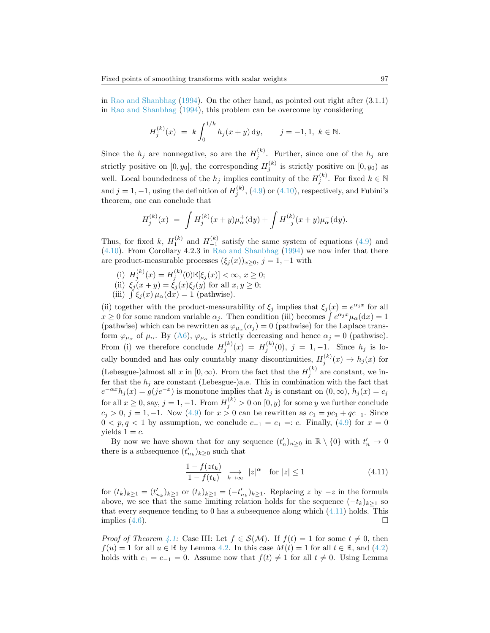in [Rao and Shanbhag](#page-45-14) ([1994\)](#page-45-14). On the other hand, as pointed out right after (3.1.1) in [Rao and Shanbhag](#page-45-14) ([1994\)](#page-45-14), this problem can be overcome by considering

$$
H_j^{(k)}(x) = k \int_0^{1/k} h_j(x+y) \, dy, \qquad j = -1, 1, \ k \in \mathbb{N}.
$$

Since the  $h_j$  are nonnegative, so are the  $H_j^{(k)}$ . Further, since one of the  $h_j$  are strictly positive on  $[0, y_0]$ , the corresponding  $H_j^{(k)}$  is strictly positive on  $[0, y_0)$  as well. Local boundedness of the  $h_j$  implies continuity of the  $H_j^{(k)}$ . For fixed  $k \in \mathbb{N}$ and $j = 1, -1$ , using the definition of  $H_j^{(k)}$ , ([4.9](#page-27-1)) or ([4.10](#page-27-1)), respectively, and Fubini's theorem, one can conclude that

$$
H_j^{(k)}(x) \;=\; \int H_j^{(k)}(x+y)\mu^+_{\alpha}(\mathrm{d}y) + \int H_{-j}^{(k)}(x+y)\mu^-_{\alpha}(\mathrm{d}y).
$$

Thus,for fixed *k*,  $H_1^{(k)}$  and  $H_{-1}^{(k)}$  satisfy the same system of equations ([4.9](#page-27-1)) and ([4.10](#page-27-1)). From Corollary 4.2.3 in [Rao and Shanbhag](#page-45-14) ([1994](#page-45-14)) we now infer that there are product-measurable processes  $(\xi_i(x))_{x>0}, j = 1, -1$  with

- (i)  $H_j^{(k)}(x) = H_j^{(k)}(0) \mathbb{E}[\xi_j(x)] < \infty, x \ge 0;$
- (ii)  $\xi_j(x+y) = \xi_j(x)\xi_j(y)$  for all  $x, y \ge 0$ ;
- (iii)  $\int \xi_j(x) \mu_\alpha(dx) = 1$  (pathwise).

(ii) together with the product-measurability of  $\xi_j$  implies that  $\xi_j(x) = e^{\alpha_j x}$  for all  $x \geq 0$  for some random variable  $\alpha_j$ . Then condition (iii) becomes  $\int e^{\alpha_j x} \mu_\alpha(dx) = 1$ (pathwise) which can be rewritten as  $\varphi_{\mu}(\alpha_j) = 0$  (pathwise) for the Laplace transform  $\varphi_{\mu_{\alpha}}$  of  $\mu_{\alpha}$ . By [\(A6\)](#page-4-3),  $\varphi_{\mu_{\alpha}}$  is strictly decreasing and hence  $\alpha_j = 0$  (pathwise). From (i) we therefore conclude  $H_j^{(k)}(x) = H_j^{(k)}(0), j = 1, -1$ . Since  $h_j$  is locally bounded and has only countably many discontinuities,  $H_j^{(k)}(x) \to h_j(x)$  for (Lebesgue-)almost all *x* in  $[0, \infty)$ . From the fact that the  $H_j^{(k)}$  are constant, we infer that the  $h_j$  are constant (Lebesgue-)a.e. This in combination with the fact that  $e^{-\alpha x}h_j(x) = g(j e^{-x})$  is monotone implies that  $h_j$  is constant on  $(0, \infty)$ ,  $h_j(x) = c_j$  $f(x) = \int_0^x f(x) \, dx \leq 0$ , say,  $j = 1, -1$ . From  $H_j^{(k)} > 0$  on  $[0, y)$  for some *y* we further conclude  $c_j$  > 0,  $j = 1, -1$ . Now [\(4.9\)](#page-27-1) for  $x > 0$  can be rewritten as  $c_1 = pc_1 + qc_{-1}$ . Since  $0 < p, q < 1$  by assumption, we conclude  $c_{-1} = c_1 = c$ . Finally, [\(4.9\)](#page-27-1) for  $x = 0$ yields  $1 = c$ .

By now we have shown that for any sequence  $(t'_n)_{n\geq 0}$  in  $\mathbb{R}\setminus\{0\}$  with  $t'_n \to 0$ there is a subsequence  $(t'_{n_k})_{k\geq 0}$  such that

<span id="page-28-0"></span>
$$
\frac{1 - f(zt_k)}{1 - f(t_k)} \underset{k \to \infty}{\longrightarrow} |z|^{\alpha} \quad \text{for } |z| \le 1 \tag{4.11}
$$

for  $(t_k)_{k\geq 1} = (t'_{n_k})_{k\geq 1}$  or  $(t_k)_{k\geq 1} = (-t'_{n_k})_{k\geq 1}$ . Replacing z by  $-z$  in the formula above, we see that the same limiting relation holds for the sequence  $(-t_k)_{k>1}$  so that every sequence tending to 0 has a subsequence along which  $(4.11)$  holds. This implies  $(4.6)$ .

*Proof of Theorem [4.1:](#page-23-4)* Case III: Let  $f \in S(\mathcal{M})$ . If  $f(t) = 1$  for some  $t \neq 0$ , then *f*(*u*)= 1 for all *u* ∈ ℝ by Lemma [4.2.](#page-24-0) In this case  $M(t) = 1$  for all  $t \in \mathbb{R}$ , and ([4.2](#page-23-5)) holds with  $c_1 = c_{-1} = 0$ . Assume now that  $f(t) \neq 1$  for all  $t \neq 0$ . Using Lemma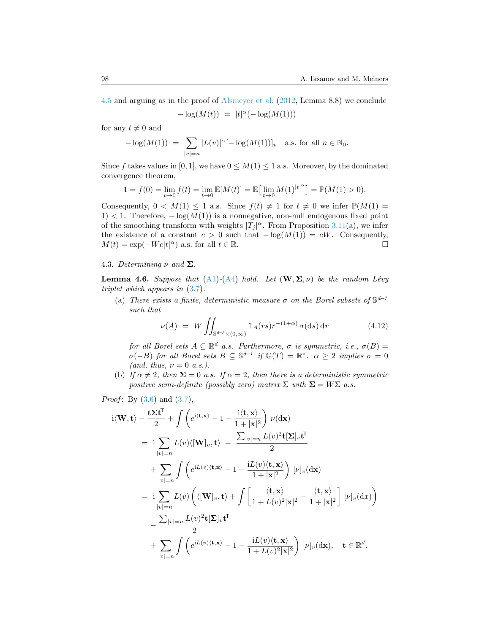[4.5](#page-26-0) and arguing as in the proof of [Alsmeyer et al.](#page-43-0) [\(2012](#page-43-0), Lemma 8.8) we conclude

$$
-\log(M(t)) = |t|^{\alpha}(-\log(M(1)))
$$

for any  $t \neq 0$  and

$$
-\log(M(1)) = \sum_{|v|=n} |L(v)|^{\alpha} [-\log(M(1))]_{v} \text{ a.s. for all } n \in \mathbb{N}_{0}.
$$

Since f takes values in [0, 1], we have  $0 \leq M(1) \leq 1$  a.s. Moreover, by the dominated convergence theorem,

$$
1 = f(0) = \lim_{t \to 0} f(t) = \lim_{t \to 0} \mathbb{E}[M(t)] = \mathbb{E}\left[\lim_{t \to 0} M(1)^{|t|^{\alpha}}\right] = \mathbb{P}(M(1) > 0).
$$

Consequently,  $0 < M(1) \leq 1$  a.s. Since  $f(t) \neq 1$  for  $t \neq 0$  we infer  $\mathbb{P}(M(1) =$ 1) *<* 1. Therefore, *−* log(*M*(1)) is a nonnegative, non-null endogenous fixed point of the smoothing transform with weights  $|T_j|^{\alpha}$ . From Proposition [3.11](#page-18-3)(a), we infer the existence of a constant  $c > 0$  such that  $-\log(M(1)) = cW$ . Consequently,  $M(t) = \exp(-Wc|t|^{\alpha})$  a.s. for all  $t \in \mathbb{R}$ .

# 4.3. *Determining*  $\nu$  *and*  $\Sigma$ *.*

<span id="page-29-1"></span>**Lemma 4.6.** *Suppose that* ([A1](#page-3-0))-[\(A4\)](#page-4-4) *hold.* Let  $(\mathbf{W}, \Sigma, \nu)$  be the random Lévy *triplet which appears in* ([3.7\)](#page-14-4)*.*

(a) *There exists a finite, deterministic measure*  $\sigma$  *on the Borel subsets of*  $\mathbb{S}^{d-1}$ *such that*

<span id="page-29-0"></span>
$$
\nu(A) = W \iint_{\mathbb{S}^{d-1} \times (0,\infty)} \mathbb{1}_A(rs)r^{-(1+\alpha)} \sigma(\mathrm{d}s) \,\mathrm{d}r \tag{4.12}
$$

*for all Borel sets*  $A \subseteq \mathbb{R}^d$  *a.s. Furthermore,*  $\sigma$  *is symmetric, i.e.,*  $\sigma(B) =$  $\sigma(-B)$  *for all Borel sets*  $B \subseteq \mathbb{S}^{d-1}$  *if*  $\mathbb{G}(T) = \mathbb{R}^*$ *.*  $\alpha \geq 2$  *implies*  $\sigma = 0$  $(and, thus, \nu = 0 \ a.s.).$ 

(b) *If*  $\alpha \neq 2$ *, then*  $\Sigma = 0$  *a.s. If*  $\alpha = 2$ *, then there is a deterministic symmetric positive semi-definite (possibly zero) matrix*  $\Sigma$  *with*  $\Sigma = W\Sigma$  *a.s.* 

*Proof*: By 
$$
(3.6)
$$
 and  $(3.7)$ ,

$$
i\langle \mathbf{W}, \mathbf{t} \rangle - \frac{\mathbf{t} \Sigma \mathbf{t}^{\mathsf{T}}}{2} + \int \left( e^{i\langle \mathbf{t}, \mathbf{x} \rangle} - 1 - \frac{i\langle \mathbf{t}, \mathbf{x} \rangle}{1 + |\mathbf{x}|^{2}} \right) \nu(\mathrm{d}\mathbf{x})
$$
  
\n
$$
= i \sum_{|v|=n} L(v) \langle [\mathbf{W}]_{v}, \mathbf{t} \rangle - \frac{\sum_{|v|=n} L(v)^{2} \mathbf{t} [\Sigma]_{v} \mathbf{t}^{\mathsf{T}}}{2}
$$
  
\n
$$
+ \sum_{|v|=n} \int \left( e^{iL(v)\langle \mathbf{t}, \mathbf{x} \rangle} - 1 - \frac{iL(v)\langle \mathbf{t}, \mathbf{x} \rangle}{1 + |\mathbf{x}|^{2}} \right) [\nu]_{v}(\mathrm{d}\mathbf{x})
$$
  
\n
$$
= i \sum_{|v|=n} L(v) \left( \langle [\mathbf{W}]_{v}, \mathbf{t} \rangle + \int \left[ \frac{\langle \mathbf{t}, \mathbf{x} \rangle}{1 + L(v)^{2} |\mathbf{x}|^{2}} - \frac{\langle \mathbf{t}, \mathbf{x} \rangle}{1 + |\mathbf{x}|^{2}} \right] [\nu]_{v}(\mathrm{d}x) \right)
$$
  
\n
$$
- \frac{\sum_{|v|=n} L(v)^{2} \mathbf{t} [\Sigma]_{v} \mathbf{t}^{\mathsf{T}}}{2}
$$
  
\n
$$
+ \sum_{|v|=n} \int \left( e^{iL(v)\langle \mathbf{t}, \mathbf{x} \rangle} - 1 - \frac{iL(v)\langle \mathbf{t}, \mathbf{x} \rangle}{1 + L(v)^{2} |\mathbf{x}|^{2}} \right) [\nu]_{v}(\mathrm{d}\mathbf{x}), \quad \mathbf{t} \in \mathbb{R}^{d}.
$$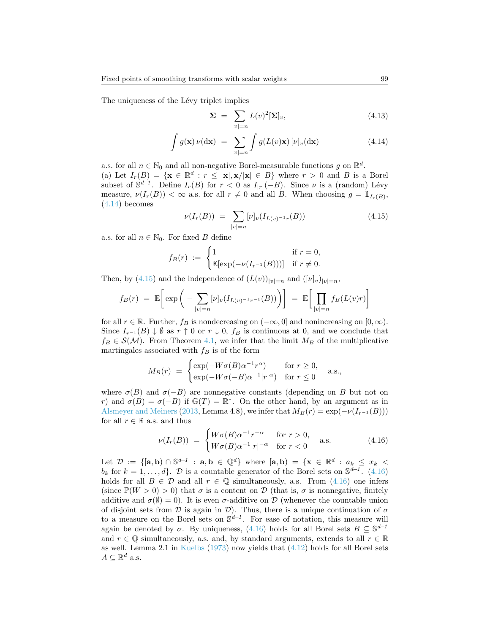The uniqueness of the Lévy triplet implies

<span id="page-30-3"></span><span id="page-30-0"></span>
$$
\Sigma = \sum_{|v|=n} L(v)^2 [\Sigma]_v, \tag{4.13}
$$

$$
\int g(\mathbf{x}) \nu(\mathrm{d}\mathbf{x}) = \sum_{|v|=n} \int g(L(v)\mathbf{x}) \left[\nu\right]_v(\mathrm{d}\mathbf{x}) \tag{4.14}
$$

a.s. for all  $n \in \mathbb{N}_0$  and all non-negative Borel-measurable functions *g* on  $\mathbb{R}^d$ . (a) Let  $I_r(B) = \{ \mathbf{x} \in \mathbb{R}^d : r \leq |\mathbf{x}|, \mathbf{x}/|\mathbf{x}| \in B \}$  where  $r > 0$  and B is a Borel subset of  $\mathbb{S}^{d-1}$ . Define  $I_r(B)$  for  $r < 0$  as  $I_{|r|}(-B)$ . Since  $\nu$  is a (random) Lévy measure,  $\nu(I_r(B)) < \infty$  a.s. for all  $r \neq 0$  and all *B*. When choosing  $g = \mathbb{1}_{I_r(B)}$ , ([4.14](#page-30-0)) becomes

<span id="page-30-1"></span>
$$
\nu(I_r(B)) = \sum_{|v|=n} [\nu]_v(I_{L(v)^{-1}r}(B)) \tag{4.15}
$$

a.s. for all  $n \in \mathbb{N}_0$ . For fixed *B* define

$$
f_B(r) := \begin{cases} 1 & \text{if } r = 0, \\ \mathbb{E}[\exp(-\nu(I_{r^{-1}}(B)))] & \text{if } r \neq 0. \end{cases}
$$

Then, by [\(4.15](#page-30-1)) and the independence of  $(L(v))_{|v|=n}$  and  $([v]_v)_{|v|=n}$ ,

$$
f_B(r) = \mathbb{E}\bigg[\exp\bigg(-\sum_{|v|=n} [\nu]_v(I_{L(v)^{-1}r^{-1}}(B))\bigg)\bigg] = \mathbb{E}\bigg[\prod_{|v|=n} f_B(L(v)r)\bigg]
$$

for all  $r \in \mathbb{R}$ . Further,  $f_B$  is nondecreasing on  $(-\infty, 0]$  and nonincreasing on  $[0, \infty)$ . Since  $I_{r^{-1}}(B) \downarrow \emptyset$  as  $r \uparrow 0$  or  $r \downarrow 0$ ,  $f_B$  is continuous at 0, and we conclude that  $f_B \in \mathcal{S}(\mathcal{M})$ . From Theorem [4.1](#page-23-4), we infer that the limit  $M_B$  of the multiplicative martingales associated with  $f_B$  is of the form

$$
M_B(r) = \begin{cases} \exp(-W\sigma(B)\alpha^{-1}r^{\alpha}) & \text{for } r \ge 0, \\ \exp(-W\sigma(-B)\alpha^{-1}|r|^{\alpha}) & \text{for } r \le 0 \end{cases}
$$
 a.s.,

where  $\sigma(B)$  and  $\sigma(-B)$  are nonnegative constants (depending on *B* but not on *r*) and  $\sigma(B) = \sigma(-B)$  if  $\mathbb{G}(T) = \mathbb{R}^*$ . On the other hand, by an argument as in [Alsmeyer and Meiners](#page-43-1) ([2013,](#page-43-1) Lemma 4.8), we infer that  $M_B(r) = \exp(-\nu(I_{r-1}(B)))$ for all  $r \in \mathbb{R}$  a.s. and thus

<span id="page-30-2"></span>
$$
\nu(I_r(B)) = \begin{cases} W\sigma(B)\alpha^{-1}r^{-\alpha} & \text{for } r > 0, \\ W\sigma(B)\alpha^{-1}|r|^{-\alpha} & \text{for } r < 0 \end{cases}
$$
 a.s. (4.16)

Let  $\mathcal{D} := \{[\mathbf{a}, \mathbf{b}) \cap \mathbb{S}^{d-1} : \mathbf{a}, \mathbf{b} \in \mathbb{Q}^d\}$  where  $[\mathbf{a}, \mathbf{b}) = \{\mathbf{x} \in \mathbb{R}^d : a_k \leq x_k \leq x_k\}$ *b<sub>k</sub>*for  $k = 1, \ldots, d$ . *D* is a countable generator of the Borel sets on  $\mathbb{S}^{d-1}$ . ([4.16](#page-30-2)) holdsfor all  $B \in \mathcal{D}$  and all  $r \in \mathbb{Q}$  simultaneously, a.s. From ([4.16\)](#page-30-2) one infers (since  $\mathbb{P}(W > 0) > 0$ ) that  $\sigma$  is a content on  $\mathcal{D}$  (that is,  $\sigma$  is nonnegative, finitely additive and  $\sigma(\emptyset) = 0$ ). It is even  $\sigma$ -additive on  $\mathcal D$  (whenever the countable union of disjoint sets from  $D$  is again in  $D$ ). Thus, there is a unique continuation of  $\sigma$ to a measure on the Borel sets on S *d−1* . For ease of notation, this measure will again be denoted by  $\sigma$ . By uniqueness, [\(4.16\)](#page-30-2) holds for all Borel sets  $B \subseteq \mathbb{S}^{d-1}$ and  $r \in \mathbb{Q}$  simultaneously, a.s. and, by standard arguments, extends to all  $r \in \mathbb{R}$ as well. Lemma 2.1 in [Kuelbs](#page-45-15) ([1973\)](#page-45-15) now yields that [\(4.12](#page-29-0)) holds for all Borel sets  $A \subseteq \mathbb{R}^d$  a.s.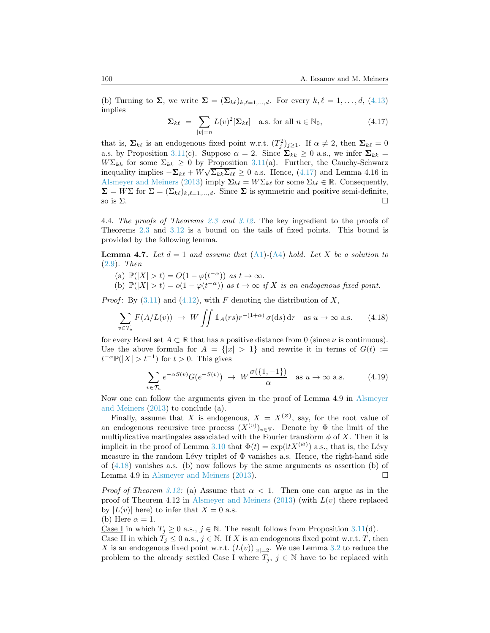(b)Turning to  $\Sigma$ , we write  $\Sigma = (\Sigma_{k\ell})_{k,\ell=1,\dots,d}$ . For every  $k,\ell=1,\dots,d$ , ([4.13](#page-30-3)) implies

<span id="page-31-1"></span>
$$
\Sigma_{k\ell} = \sum_{|v|=n} L(v)^2 [\Sigma_{k\ell}] \quad \text{a.s. for all } n \in \mathbb{N}_0,
$$
\n(4.17)

that is,  $\Sigma_{k\ell}$  is an endogenous fixed point w.r.t.  $(T_j^2)_{j\geq 1}$ . If  $\alpha \neq 2$ , then  $\Sigma_{k\ell} = 0$ a.s. by Proposition [3.11](#page-18-3)(c). Suppose  $\alpha = 2$ . Since  $\Sigma_{kk} \geq 0$  a.s., we infer  $\Sigma_{kk} =$  $W\Sigma_{kk}$  for some  $\Sigma_{kk} \geq 0$  by Proposition [3.11](#page-18-3)(a). Further, the Cauchy-Schwarz inequalityimplies  $-\Sigma_{k\ell} + W\sqrt{\Sigma_{kk}\Sigma_{\ell\ell}} \ge 0$  a.s. Hence, ([4.17](#page-31-1)) and Lemma 4.16 in [Alsmeyer and Meiners](#page-43-1) ([2013\)](#page-43-1) imply  $\Sigma_{k\ell} = W \Sigma_{k\ell}$  for some  $\Sigma_{k\ell} \in \mathbb{R}$ . Consequently,  $\Sigma = W\Sigma$  for  $\Sigma = (\Sigma_{k\ell})_{k,\ell=1,\dots,d}$ . Since  $\Sigma$  is symmetric and positive semi-definite, so is  $\Sigma$ .

<span id="page-31-0"></span>4.4. *The proofs of Theorems [2.3](#page-7-2) and [3.12](#page-19-2).* The key ingredient to the proofs of Theorems [2.3](#page-7-2) and [3.12](#page-19-2) is a bound on the tails of fixed points. This bound is provided by the following lemma.

<span id="page-31-3"></span>**Lemma 4.7.** Let  $d = 1$  and assume that  $(A1)$  $(A1)$  $(A1)$ - $(A4)$  $(A4)$  $(A4)$  hold. Let X be a solution to ([2.9](#page-5-0))*. Then*

- (a)  $\mathbb{P}(|X| > t) = O(1 \varphi(t^{-\alpha}))$  *as*  $t \to \infty$ *.*
- (b)  $\mathbb{P}(|X| > t) = o(1 \varphi(t^{-\alpha}))$  *as*  $t \to \infty$  *if X is an endogenous fixed point.*

*Proof*:By  $(3.11)$  and  $(4.12)$  $(4.12)$  $(4.12)$ , with *F* denoting the distribution of *X*,

<span id="page-31-2"></span>
$$
\sum_{v \in \mathcal{T}_u} F(A/L(v)) \to W \iint \mathbb{1}_A(rs)r^{-(1+\alpha)} \sigma(\mathrm{d}s) \,\mathrm{d}r \quad \text{as } u \to \infty \text{ a.s.} \tag{4.18}
$$

for every Borel set  $A \subset \mathbb{R}$  that has a positive distance from 0 (since  $\nu$  is continuous). Use the above formula for  $A = \{|x| > 1\}$  and rewrite it in terms of  $G(t) :=$  $t^{-\alpha} \mathbb{P}(|X| > t^{-1})$  for  $t > 0$ . This gives

$$
\sum_{v \in \mathcal{T}_u} e^{-\alpha S(v)} G(e^{-S(v)}) \to W \frac{\sigma(\{1, -1\})}{\alpha} \quad \text{as } u \to \infty \text{ a.s.}
$$
 (4.19)

Now one can follow the arguments given in the proof of Lemma 4.9 in [Alsmeyer](#page-43-1) [and Meiners](#page-43-1) [\(2013](#page-43-1)) to conclude (a).

Finally, assume that *X* is endogenous,  $X = X^{(\emptyset)}$ , say, for the root value of an endogenous recursive tree process  $(X^{(v)})_{v \in V}$ . Denote by  $\Phi$  the limit of the multiplicative martingales associated with the Fourier transform  $\phi$  of X. Then it is implicit in the proof of Lemma [3.10](#page-18-2) that  $\Phi(t) = \exp(itX^{(\varnothing)})$  a.s., that is, the Lévy measure in the random Lévy triplet of  $\Phi$  vanishes a.s. Hence, the right-hand side of  $(4.18)$  vanishes a.s. (b) now follows by the same arguments as assertion (b) of Lemma 4.9 in [Alsmeyer and Meiners](#page-43-1) [\(2013](#page-43-1)).

*Proof of Theorem [3.12:](#page-19-2)* (a) Assume that  $\alpha < 1$ . Then one can argue as in the proof of Theorem 4.12 in [Alsmeyer and Meiners](#page-43-1) ([2013\)](#page-43-1) (with *L*(*v*) there replaced by  $|L(v)|$  here) to infer that  $X = 0$  a.s. (b) Here  $\alpha = 1$ .

Case I in which  $T_i \geq 0$  a.s.,  $j \in \mathbb{N}$ . The result follows from Proposition [3.11\(](#page-18-3)d).

<u>Case II</u> in which  $T_j \leq 0$  a.s.,  $j \in \mathbb{N}$ . If X is an endogenous fixed point w.r.t. *T*, then *X* is an endogenous fixed point w.r.t.  $(L(v))_{|v|=2}$ . We use Lemma [3.2](#page-13-1) to reduce the problem to the already settled Case I where  $T_j$ ,  $j \in \mathbb{N}$  have to be replaced with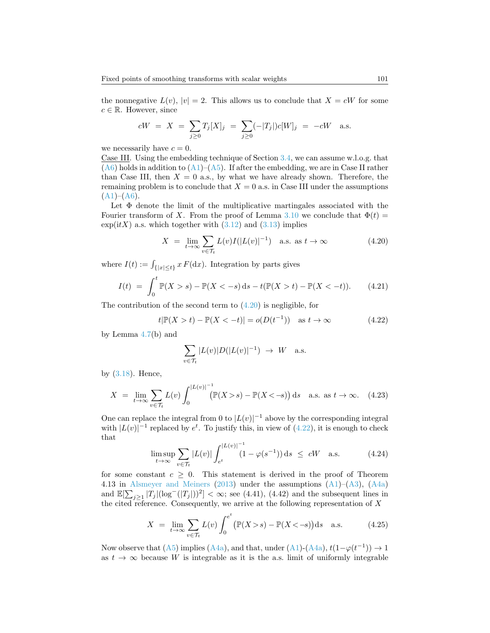the nonnegative  $L(v)$ ,  $|v|=2$ . This allows us to conclude that  $X = cW$  for some  $c \in \mathbb{R}$ . However, since

$$
cW = X = \sum_{j\geq 0} T_j[X]_j = \sum_{j\geq 0} (-|T_j|)c[W]_j = -cW
$$
 a.s.

we necessarily have  $c = 0$ .

Case III. Using the embedding technique of Section [3.4](#page-16-1), we can assume w.l.o.g. that  $(A6)$  $(A6)$  $(A6)$ holds in addition to  $(A1)$  $(A1)$ – $(A5)$ . If after the embedding, we are in Case II rather than Case III, then  $X = 0$  a.s., by what we have already shown. Therefore, the remaining problem is to conclude that  $X = 0$  a.s. in Case III under the assumptions  $(A1)–(A6)$  $(A1)–(A6)$  $(A1)–(A6)$  $(A1)–(A6)$  $(A1)–(A6)$ .

Let  $\Phi$  denote the limit of the multiplicative martingales associated with the Fourier transform of *X*. From the proof of Lemma [3.10](#page-18-2) we conclude that  $\Phi(t)$  =  $\exp(itX)$ a.s. which together with  $(3.12)$  $(3.12)$  $(3.12)$  and  $(3.13)$  $(3.13)$  $(3.13)$  implies

<span id="page-32-0"></span>
$$
X = \lim_{t \to \infty} \sum_{v \in \mathcal{T}_t} L(v)I(|L(v)|^{-1}) \quad \text{a.s. as } t \to \infty \tag{4.20}
$$

where  $I(t) := \int_{\{|x| \le t\}} x F(\mathrm{d}x)$ . Integration by parts gives

$$
I(t) = \int_0^t \mathbb{P}(X > s) - \mathbb{P}(X < -s) ds - t(\mathbb{P}(X > t) - \mathbb{P}(X < -t)).
$$
 (4.21)

The contribution of the second term to  $(4.20)$  is negligible, for

<span id="page-32-1"></span>
$$
t|\mathbb{P}(X > t) - \mathbb{P}(X < -t)| = o(D(t^{-1})) \quad \text{as } t \to \infty
$$
 (4.22)

by Lemma [4.7\(](#page-31-3)b) and

$$
\sum_{v \in \mathcal{T}_t} |L(v)| D(|L(v)|^{-1}) \rightarrow W \quad \text{a.s.}
$$

by([3.18](#page-19-0)). Hence,

$$
X = \lim_{t \to \infty} \sum_{v \in \mathcal{T}_t} L(v) \int_0^{|L(v)|^{-1}} (\mathbb{P}(X > s) - \mathbb{P}(X < -s)) ds \quad \text{a.s. as } t \to \infty. \tag{4.23}
$$

One can replace the integral from 0 to  $|L(v)|^{-1}$  above by the corresponding integral with $|L(v)|^{-1}$  replaced by  $e^t$ . To justify this, in view of  $(4.22)$  $(4.22)$ , it is enough to check that

<span id="page-32-2"></span>
$$
\limsup_{t \to \infty} \sum_{v \in \mathcal{T}_t} |L(v)| \int_{e^t}^{|L(v)|^{-1}} (1 - \varphi(s^{-1})) \, \mathrm{d} s \leq cW \quad \text{a.s.} \tag{4.24}
$$

for some constant  $c \geq 0$ . This statement is derived in the proof of Theorem 4.13 in [Alsmeyer and Meiners](#page-43-1) [\(2013](#page-43-1)) under the assumptions([A1](#page-3-0))–([A3](#page-3-1)),([A4a](#page-4-0)) and  $\mathbb{E}[\sum_{j\geq 1} |T_j|(\log^{-}(|T_j|))^2] < \infty$ ; see (4.41), (4.42) and the subsequent lines in the cited reference. Consequently, we arrive at the following representation of *X*

$$
X = \lim_{t \to \infty} \sum_{v \in \mathcal{T}_t} L(v) \int_0^{e^t} \left( \mathbb{P}(X > s) - \mathbb{P}(X < -s) \right) ds \quad \text{a.s.}
$$
 (4.25)

Nowobserve that  $(A5)$  implies  $(A4a)$ , and that, under  $(A1)$  $(A1)$  $(A1)$ - $(A4a)$ ,  $t(1-\varphi(t^{-1})) \rightarrow 1$ as  $t \to \infty$  because W is integrable as it is the a.s. limit of uniformly integrable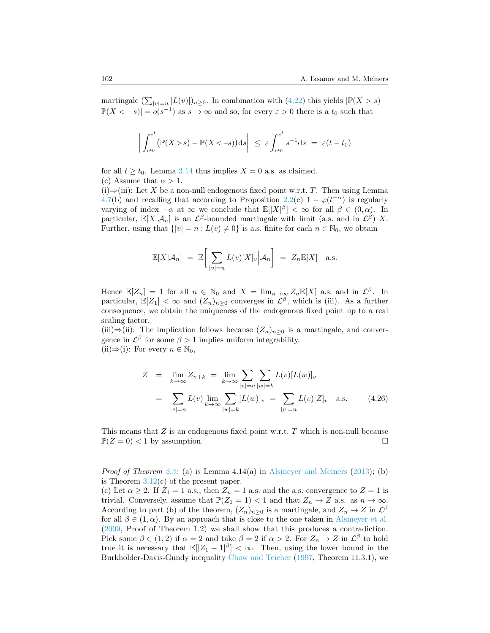martingale  $(\sum_{|v|=n} |L(v)|)_{n\geq 0}$ . In combination with [\(4.22\)](#page-32-1) this yields  $|\mathbb{P}(X>s) \mathbb{P}(X < -s)$  =  $o(s^{-1})$  as  $s \to \infty$  and so, for every  $\varepsilon > 0$  there is a  $t_0$  such that

$$
\left| \int_{e^{t_0}}^{e^t} \left( \mathbb{P}(X > s) - \mathbb{P}(X < -s) \right) \, \mathrm{d}s \right| \leq \varepsilon \int_{e^{t_0}}^{e^t} s^{-1} \, \mathrm{d}s \ = \ \varepsilon(t - t_0)
$$

for all  $t \geq t_0$ . Lemma [3.14](#page-21-3) thus implies  $X = 0$  a.s. as claimed. (c) Assume that  $\alpha > 1$ .

(i)*⇒*(iii): Let *X* be a non-null endogenous fixed point w.r.t. *T*. Then using Lemma [4.7](#page-31-3)(b) and recalling that according to Proposition [2.2\(](#page-7-0)c)  $1 - \varphi(t^{-\alpha})$  is regularly varying of index *−α* at *∞* we conclude that E[*|X| β* ] *< ∞* for all *β ∈* (0*, α*). In particular,  $\mathbb{E}[X|\mathcal{A}_n]$  is an  $\mathcal{L}^{\beta}$ -bounded martingale with limit (a.s. and in  $\mathcal{L}^{\beta}$ ) X. Further, using that  $\{|v| = n : L(v) \neq 0\}$  is a.s. finite for each  $n \in \mathbb{N}_0$ , we obtain

$$
\mathbb{E}[X|\mathcal{A}_n] = \mathbb{E}\bigg[\sum_{|v|=n} L(v)[X]_v \bigg|\mathcal{A}_n\bigg] = Z_n \mathbb{E}[X] \quad \text{a.s.}
$$

Hence  $\mathbb{E}[Z_n] = 1$  for all  $n \in \mathbb{N}_0$  and  $X = \lim_{n \to \infty} Z_n \mathbb{E}[X]$  a.s. and in  $\mathcal{L}^{\beta}$ . In particular,  $\mathbb{E}[Z_1] < \infty$  and  $(Z_n)_{n\geq 0}$  converges in  $\mathcal{L}^{\beta}$ , which is (iii). As a further consequence, we obtain the uniqueness of the endogenous fixed point up to a real scaling factor.

(iii) $\Rightarrow$ (ii): The implication follows because  $(Z_n)_{n\geq 0}$  is a martingale, and convergence in  $\mathcal{L}^{\beta}$  for some  $\beta > 1$  implies uniform integrability. (ii) $\Rightarrow$ (i): For every *n* ∈ N<sub>0</sub>,

$$
Z = \lim_{k \to \infty} Z_{n+k} = \lim_{k \to \infty} \sum_{|v|=n} \sum_{|w|=k} L(v)[L(w)]_v
$$
  
= 
$$
\sum_{|v|=n} L(v) \lim_{k \to \infty} \sum_{|w|=k} [L(w)]_v = \sum_{|v|=n} L(v)[Z]_v \text{ a.s.}
$$
 (4.26)

This means that *Z* is an endogenous fixed point w.r.t. *T* which is non-null because  $\mathbb{P}(Z=0) < 1$  by assumption.

*Proof of Theorem [2.3:](#page-7-2)* (a) is Lemma 4.14(a) in [Alsmeyer and Meiners](#page-43-1) ([2013\)](#page-43-1); (b) is Theorem  $3.12(c)$  $3.12(c)$  of the present paper.

(c) Let  $\alpha \geq 2$ . If  $Z_1 = 1$  a.s., then  $Z_n = 1$  a.s. and the a.s. convergence to  $Z = 1$  is trivial. Conversely, assume that  $\mathbb{P}(Z_1 = 1) < 1$  and that  $Z_n \to Z$  a.s. as  $n \to \infty$ . According to part (b) of the theorem,  $(Z_n)_{n\geq 0}$  is a martingale, and  $Z_n \to Z$  in  $\mathcal{L}^{\beta}$ for all  $\beta \in (1, \alpha)$ . By an approach that is close to the one taken in [Alsmeyer et al.](#page-43-17) ([2009](#page-43-17), Proof of Theorem 1.2) we shall show that this produces a contradiction. Pick some  $\beta \in (1, 2)$  if  $\alpha = 2$  and take  $\beta = 2$  if  $\alpha > 2$ . For  $Z_n \to Z$  in  $\mathcal{L}^{\beta}$  to hold true it is necessary that  $\mathbb{E}[|Z_1 - 1|^{\beta}] < \infty$ . Then, using the lower bound in the Burkholder-Davis-Gundy inequality [Chow and Teicher](#page-44-16) ([1997,](#page-44-16) Theorem 11.3.1), we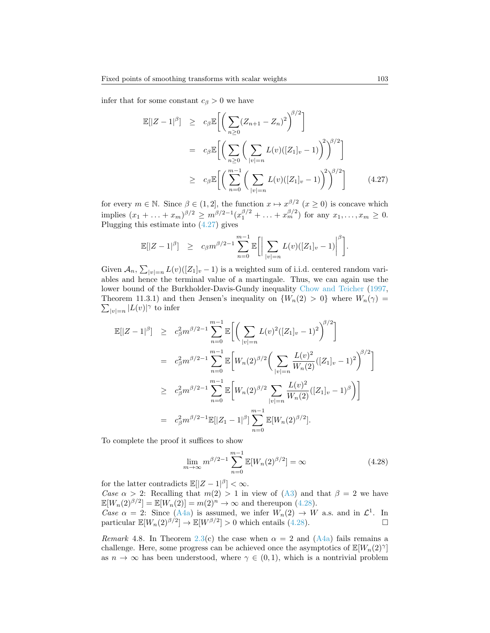infer that for some constant  $c_{\beta} > 0$  we have

<span id="page-34-0"></span>
$$
\mathbb{E}[|Z-1|^{\beta}] \ge c_{\beta} \mathbb{E}\bigg[\bigg(\sum_{n\geq 0} (Z_{n+1} - Z_n)^2\bigg)^{\beta/2}\bigg]
$$
  
\n
$$
= c_{\beta} \mathbb{E}\bigg[\bigg(\sum_{n\geq 0} \bigg(\sum_{|v|=n} L(v)([Z_1]_v - 1)\bigg)^2\bigg)^{\beta/2}\bigg]
$$
  
\n
$$
\ge c_{\beta} \mathbb{E}\bigg[\bigg(\sum_{n=0}^{m-1} \bigg(\sum_{|v|=n} L(v)([Z_1]_v - 1)\bigg)^2\bigg)^{\beta/2}\bigg] \qquad (4.27)
$$

for every  $m \in \mathbb{N}$ . Since  $\beta \in (1,2]$ , the function  $x \mapsto x^{\beta/2}$   $(x \ge 0)$  is concave which implies  $(x_1 + ... + x_m)^{\beta/2} \ge m^{\beta/2 - 1} (x_1^{\beta/2} + ... + x_m^{\beta/2})$  for any  $x_1, ..., x_m \ge 0$ . Plugging this estimate into([4.27](#page-34-0)) gives

$$
\mathbb{E}[|Z-1|^{\beta}] \geq c_{\beta} m^{\beta/2-1} \sum_{n=0}^{m-1} \mathbb{E}\bigg[\bigg|\sum_{|v|=n} L(v)([Z_1]_v-1)\bigg|^{\beta}\bigg].
$$

Given  $\mathcal{A}_n$ ,  $\sum_{|v|=n} L(v) ([Z_1]_v - 1)$  is a weighted sum of i.i.d. centered random variables and hence the terminal value of a martingale. Thus, we can again use the lower bound of the Burkholder-Davis-Gundy inequality [Chow and Teicher](#page-44-16) ([1997,](#page-44-16) Theorem 11.3.1) and then Jensen's inequality on  ${W_n(2) > 0}$  where  $W_n(\gamma) =$  $\sum_{|v|=n} |L(v)|^{\gamma}$  to infer

$$
\mathbb{E}[|Z-1|^{\beta}] \geq c_{\beta}^{2} m^{\beta/2-1} \sum_{n=0}^{m-1} \mathbb{E}\bigg[\bigg(\sum_{|v|=n} L(v)^{2}([Z_{1}]_{v}-1)^{2}\bigg)^{\beta/2}\bigg]
$$
  
\n
$$
= c_{\beta}^{2} m^{\beta/2-1} \sum_{n=0}^{m-1} \mathbb{E}\bigg[W_{n}(2)^{\beta/2}\bigg(\sum_{|v|=n} \frac{L(v)^{2}}{W_{n}(2)}([Z_{1}]_{v}-1)^{2}\bigg)^{\beta/2}\bigg]
$$
  
\n
$$
\geq c_{\beta}^{2} m^{\beta/2-1} \sum_{n=0}^{m-1} \mathbb{E}\bigg[W_{n}(2)^{\beta/2} \sum_{|v|=n} \frac{L(v)^{2}}{W_{n}(2)}([Z_{1}]_{v}-1)^{\beta}\bigg)\bigg]
$$
  
\n
$$
= c_{\beta}^{2} m^{\beta/2-1} \mathbb{E}[|Z_{1}-1|^{\beta}] \sum_{n=0}^{m-1} \mathbb{E}[W_{n}(2)^{\beta/2}].
$$

To complete the proof it suffices to show

<span id="page-34-1"></span>
$$
\lim_{m \to \infty} m^{\beta/2 - 1} \sum_{n=0}^{m-1} \mathbb{E}[W_n(2)^{\beta/2}] = \infty
$$
 (4.28)

for the latter contradicts  $\mathbb{E}[|Z-1|^{\beta}] < \infty$ .

*Case*  $\alpha > 2$ : Recalling that  $m(2) > 1$  in view of [\(A3\)](#page-3-1) and that  $\beta = 2$  we have  $\mathbb{E}[W_n(2)^{\beta/2}] = \mathbb{E}[W_n(2)] = m(2)^n \to \infty$  and thereupon [\(4.28](#page-34-1)). *Case*  $\alpha = 2$ : Since [\(A4a\)](#page-4-0) is assumed, we infer  $W_n(2) \to W$  a.s. and in  $\mathcal{L}^1$ . In particular $\mathbb{E}[W_n(2)^{\beta/2}] \to \mathbb{E}[W^{\beta/2}] > 0$  which entails ([4.28\)](#page-34-1).

*Remark* 4.8. In Theorem [2.3\(](#page-7-2)c) the case when  $\alpha = 2$  and [\(A4a\)](#page-4-0) fails remains a challenge. Here, some progress can be achieved once the asymptotics of  $\mathbb{E}[W_n(2)^\gamma]$ as  $n \to \infty$  has been understood, where  $\gamma \in (0,1)$ , which is a nontrivial problem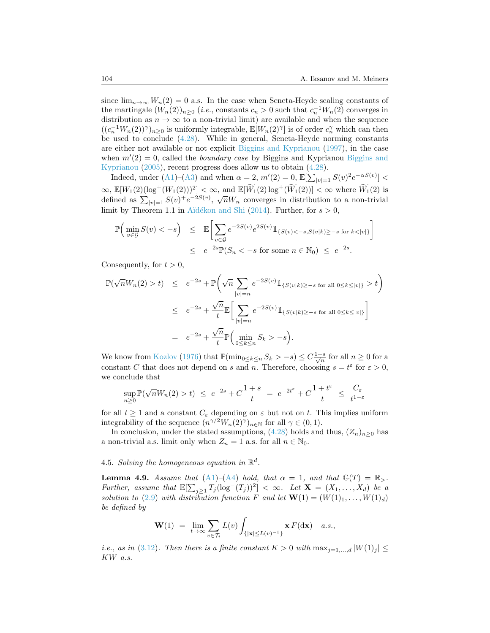since  $\lim_{n\to\infty} W_n(2) = 0$  a.s. In the case when Seneta-Heyde scaling constants of the martingale  $(W_n(2))_{n\geq 0}$  (*i.e.*, constants  $c_n > 0$  such that  $c_n^{-1}W_n(2)$  converges in distribution as  $n \to \infty$  to a non-trivial limit) are available and when the sequence  $((c_n^{-1}W_n(2))^{\gamma})_{n\geq 0}$  is uniformly integrable,  $\mathbb{E}[W_n(2)^{\gamma}]$  is of order  $c_n^{\gamma}$  which can then be used to conclude [\(4.28\)](#page-34-1). While in general, Seneta-Heyde norming constants are either not available or not explicit [Biggins and Kyprianou](#page-43-3) ([1997](#page-43-3)), in the case when  $m'(2) = 0$ , called the *boundary case* by [Biggins and](#page-44-1) Kyprianou Biggins and [Kyprianou](#page-44-1) [\(2005](#page-44-1)), recent progress does allow us to obtain([4.28](#page-34-1)).

Indeed,under  $(A1)$  $(A1)$  $(A1)$ – $(A3)$  $(A3)$  $(A3)$  and when  $\alpha = 2$ ,  $m'(2) = 0$ ,  $\mathbb{E}[\sum_{|v|=1} S(v)^2 e^{-\alpha S(v)}]$  <  $\infty$ ,  $\mathbb{E}[W_1(2)(\log^+(W_1(2)))^2]$  <  $\infty$ , and  $\mathbb{E}[\widetilde{W}_1(2)\log^+(\widetilde{W}_1(2))]$  <  $\infty$  where  $\widetilde{W}_1(2)$  is  $\infty$ ,  $\mathbb{E}[W_1(z)(\log (W_1(z)))] \leq \infty$ , and  $\mathbb{E}[W_1(z)]$  is  $(W_1(z)) \leq \infty$  where  $W_1(z)$  is defined as  $\sum_{|v|=1} S(v)^+ e^{-2S(v)}$ ,  $\sqrt{n}W_n$  converges in distribution to a non-trivial limit by Theorem 1.1 in Aïdékon and Shi ([2014](#page-43-18)). Further, for  $s > 0$ ,

$$
\mathbb{P}\Big(\min_{v \in \mathcal{G}} S(v) < -s\Big) \leq \mathbb{E}\Big[\sum_{v \in \mathcal{G}} e^{-2S(v)} e^{2S(v)} \mathbb{1}_{\{S(v) < -s, S(v|k) \ge -s \text{ for } k < |v|\}}\Big]
$$
\n
$$
\leq e^{-2s} \mathbb{P}(S_n < -s \text{ for some } n \in \mathbb{N}_0) \leq e^{-2s}.
$$

Consequently, for  $t > 0$ ,

$$
\mathbb{P}(\sqrt{n}W_n(2) > t) \le e^{-2s} + \mathbb{P}\left(\sqrt{n}\sum_{|v|=n} e^{-2S(v)} 1\!\!1_{\{S(v|k)\ge -s \text{ for all } 0\le k\le |v|\}} > t\right)
$$
  

$$
\le e^{-2s} + \frac{\sqrt{n}}{t} \mathbb{E}\left[\sum_{|v|=n} e^{-2S(v)} 1\!\!1_{\{S(v|k)\ge -s \text{ for all } 0\le k\le |v|\}}\right]
$$
  

$$
= e^{-2s} + \frac{\sqrt{n}}{t} \mathbb{P}\left(\min_{0\le k\le n} S_k > -s\right).
$$

We know from [Kozlov](#page-44-17) [\(1976](#page-44-17)) that  $\mathbb{P}(\min_{0 \le k \le n} S_k > -s) \le C \frac{1+s}{\sqrt{n}}$  for all  $n \ge 0$  for a constant *C* that does not depend on *s* and *n*. Therefore, choosing  $s = t^{\varepsilon}$  for  $\varepsilon > 0$ , we conclude that

$$
\sup_{n\geq 0}\mathbb{P}(\sqrt{n}W_n(2)>t) \ \leq \ e^{-2s}+C\frac{1+s}{t} \ = \ e^{-2t^\varepsilon}+C\frac{1+t^\varepsilon}{t} \ \leq \ \frac{C_\varepsilon}{t^{1-\varepsilon}}
$$

for all  $t \geq 1$  and a constant  $C_{\varepsilon}$  depending on  $\varepsilon$  but not on  $t$ . This implies uniform integrability of the sequence  $(n^{\gamma/2}W_n(2)^{\gamma})_{n\in\mathbb{N}}$  for all  $\gamma \in (0,1)$ .

Inconclusion, under the stated assumptions,  $(4.28)$  $(4.28)$  $(4.28)$  holds and thus,  $(Z_n)_{n>0}$  has a non-trivial a.s. limit only when  $Z_n = 1$  a.s. for all  $n \in \mathbb{N}_0$ .

# <span id="page-35-0"></span>4.5. *Solving the homogeneous equation in*  $\mathbb{R}^d$ .

<span id="page-35-1"></span>**Lemma 4.9.** *Assume that* ([A1](#page-3-0))–([A4](#page-4-4)) *hold, that*  $\alpha = 1$ *, and that*  $\mathbb{G}(T) = \mathbb{R}_{>}$ *. Further, assume that*  $\mathbb{E}[\sum_{j\geq 1} T_j(\log^-(T_j))^2] < \infty$ *. Let*  $\mathbf{X} = (X_1, \ldots, X_d)$  *be a solution to* [\(2.9\)](#page-5-0) *with distribution function F and let*  $\mathbf{W}(1) = (W(1)_1, \ldots, W(1)_d)$ *be defined by*

$$
\mathbf{W}(1) = \lim_{t \to \infty} \sum_{v \in \mathcal{T}_t} L(v) \int_{\{|\mathbf{x}| \le L(v)^{-1}\}} \mathbf{x} F(\mathrm{d}\mathbf{x}) \quad a.s.,
$$

*i.e., as in* ([3.12\)](#page-15-2)*. Then there is a finite constant*  $K > 0$  *with*  $\max_{j=1,\dots,d} |W(1)_j| \leq$ *KW a.s.*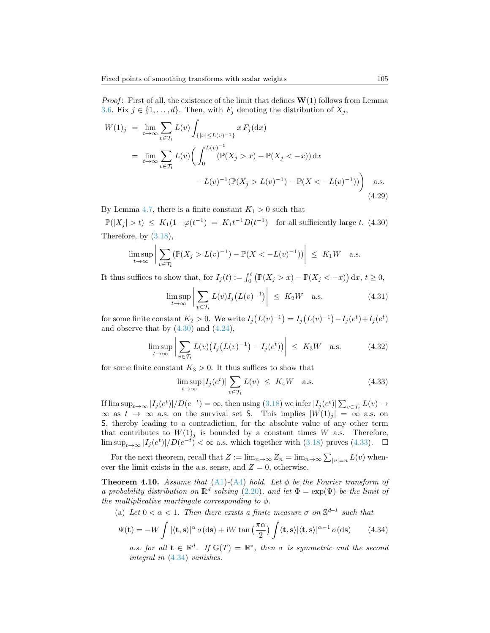*Proof* : First of all, the existence of the limit that defines **W**(1) follows from Lemma [3.6](#page-15-4). Fix  $j \in \{1, \ldots, d\}$ . Then, with  $F_j$  denoting the distribution of  $X_j$ ,

$$
W(1)_j = \lim_{t \to \infty} \sum_{v \in \mathcal{T}_t} L(v) \int_{\{|x| \le L(v)^{-1}\}} x F_j(\mathrm{d}x)
$$
  
= 
$$
\lim_{t \to \infty} \sum_{v \in \mathcal{T}_t} L(v) \Big( \int_0^{L(v)^{-1}} (\mathbb{P}(X_j > x) - \mathbb{P}(X_j < -x)) \, \mathrm{d}x
$$
  

$$
- L(v)^{-1} (\mathbb{P}(X_j > L(v)^{-1}) - \mathbb{P}(X < -L(v)^{-1})) \Big) \quad \text{a.s.}
$$
(4.29)

By Lemma [4.7,](#page-31-3) there is a finite constant  $K_1 > 0$  such that

<span id="page-36-0"></span> $\mathbb{P}(|X_j| > t) \le K_1(1 - \varphi(t^{-1}) = K_1 t^{-1} D(t^{-1})$  for all sufficiently large *t.* (4.30) Therefore, by [\(3.18](#page-19-0)),

$$
\limsup_{t \to \infty} \left| \sum_{v \in \mathcal{T}_t} (\mathbb{P}(X_j > L(v)^{-1}) - \mathbb{P}(X < -L(v)^{-1})) \right| \leq K_1 W \quad \text{a.s.}
$$

It thus suffices to show that, for  $I_j(t) := \int_0^t (\mathbb{P}(X_j > x) - \mathbb{P}(X_j < -x)) dx, t \ge 0$ ,

$$
\limsup_{t \to \infty} \left| \sum_{v \in \mathcal{T}_t} L(v) I_j \left( L(v)^{-1} \right) \right| \leq K_2 W \quad \text{a.s.} \tag{4.31}
$$

for some finite constant  $K_2 > 0$ . We write  $I_j(L(v)^{-1}) = I_j(L(v)^{-1}) - I_j(e^t) + I_j(e^t)$ andobserve that by  $(4.30)$  $(4.30)$  and  $(4.24)$ ,

$$
\limsup_{t \to \infty} \left| \sum_{v \in \mathcal{T}_t} L(v) \left( I_j \left( L(v)^{-1} \right) - I_j(e^t) \right) \right| \le K_3 W \quad \text{a.s.} \tag{4.32}
$$

for some finite constant  $K_3 > 0$ . It thus suffices to show that

<span id="page-36-1"></span>
$$
\limsup_{t \to \infty} |I_j(e^t)| \sum_{v \in \mathcal{T}_t} L(v) \leq K_4 W \quad \text{a.s.} \tag{4.33}
$$

If $\limsup_{t\to\infty}|I_j(e^t)|/D(e^{-t})=\infty$ , then using ([3.18\)](#page-19-0) we infer  $|I_j(e^t)|\sum_{v\in\mathcal{T}_t}L(v)\to$  $\infty$  as *t* →  $\infty$  a.s. on the survival set S. This implies  $|W(1)_j| = \infty$  a.s. on S, thereby leading to a contradiction, for the absolute value of any other term that contributes to  $W(1)<sub>j</sub>$  is bounded by a constant times *W* a.s. Therefore, limsup<sub>*t*→∞</sub>  $|I_j(e^t)|/D(e^{-t}) < \infty$  a.s. which together with ([3.18](#page-19-0)) proves [\(4.33\)](#page-36-1). □

For the next theorem, recall that  $Z := \lim_{n \to \infty} Z_n = \lim_{n \to \infty} \sum_{|v|=n} L(v)$  whenever the limit exists in the a.s. sense, and  $Z = 0$ , otherwise.

<span id="page-36-3"></span>**Theorem 4.10.** *Assume that*  $(A1)$  $(A1)$  $(A1)$ - $(A4)$  *hold. Let*  $\phi$  *be the Fourier transform of a probability distribution on*  $\mathbb{R}^d$  solving ([2.20](#page-8-2)), and let  $\Phi = \exp(\Psi)$  be the limit of *the multiplicative martingale corresponding to*  $\phi$ *.* 

(a) Let  $0 < \alpha < 1$ . Then there exists a finite measure  $\sigma$  on  $\mathbb{S}^{d-1}$  such that

<span id="page-36-2"></span>
$$
\Psi(\mathbf{t}) = -W \int |\langle \mathbf{t}, \mathbf{s} \rangle|^{\alpha} \sigma(\mathrm{d}s) + \mathrm{i} W \tan\left(\frac{\pi \alpha}{2}\right) \int \langle \mathbf{t}, \mathbf{s} \rangle |\langle \mathbf{t}, \mathbf{s} \rangle|^{\alpha - 1} \sigma(\mathrm{d}s) \tag{4.34}
$$

*a.s. for all*  $\mathbf{t} \in \mathbb{R}^d$ . If  $\mathbb{G}(T) = \mathbb{R}^*$ , then  $\sigma$  is symmetric and the second *integral in* ([4.34](#page-36-2)) *vanishes.*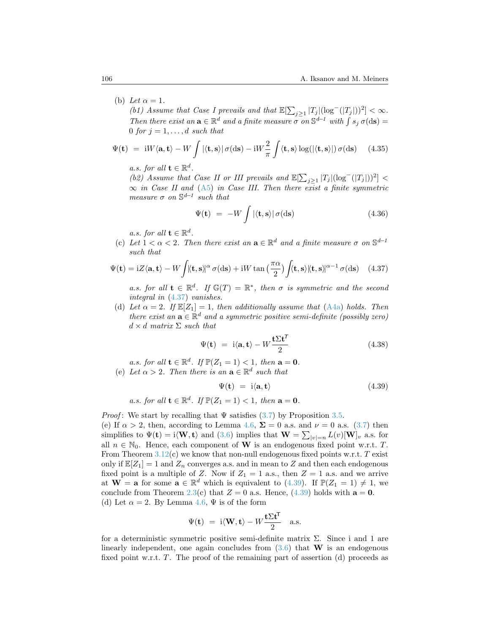## (b) Let  $\alpha = 1$ .

 $(b1)$  Assume that Case I prevails and that  $\mathbb{E}[\sum_{j\geq 1} |T_j|(\log^-(|T_j|))^2] < \infty$ . *Then there exist an*  $\mathbf{a} \in \mathbb{R}^d$  *and a finite measure*  $\sigma$  *on*  $\mathbb{S}^{d-1}$  *with*  $\int s_j \sigma(\mathrm{d}\mathbf{s}) =$ 0 *for*  $j = 1, \ldots, d$  *such that* 

$$
\Psi(\mathbf{t}) = iW\langle \mathbf{a}, \mathbf{t} \rangle - W \int |\langle \mathbf{t}, \mathbf{s} \rangle| \sigma(\mathrm{d}\mathbf{s}) - iW \frac{2}{\pi} \int \langle \mathbf{t}, \mathbf{s} \rangle \log(|\langle \mathbf{t}, \mathbf{s} \rangle|) \sigma(\mathrm{d}\mathbf{s}) \quad (4.35)
$$

*a.s. for all*  $\mathbf{t} \in \mathbb{R}^d$ .

*(b2)* Assume that Case II or III prevails and  $\mathbb{E}[\sum_{j\geq 1} |T_j|(\log^{-}(|T_j|))^2]$  < *∞ in Case II and* ([A5](#page-4-2)) *in Case III. Then there exist a finite symmetric measure*  $\sigma$  *on*  $\mathbb{S}^{d-1}$  *such that* 

$$
\Psi(\mathbf{t}) = -W \int |\langle \mathbf{t}, \mathbf{s} \rangle| \, \sigma(\mathrm{d}\mathbf{s}) \tag{4.36}
$$

*a.s. for all*  $\mathbf{t} \in \mathbb{R}^d$ .

(c) Let  $1 < \alpha < 2$ . Then there exist an  $\mathbf{a} \in \mathbb{R}^d$  and a finite measure  $\sigma$  on  $\mathbb{S}^{d-1}$ *such that*

<span id="page-37-0"></span>
$$
\Psi(\mathbf{t}) = iZ \langle \mathbf{a}, \mathbf{t} \rangle - W \int |\langle \mathbf{t}, \mathbf{s} \rangle|^{\alpha} \sigma(\mathrm{d}s) + iW \tan\left(\frac{\pi \alpha}{2}\right) \int \langle \mathbf{t}, \mathbf{s} \rangle |\langle \mathbf{t}, \mathbf{s} \rangle|^{\alpha - 1} \sigma(\mathrm{d}s) \tag{4.37}
$$

*a.s. for all*  $\mathbf{t} \in \mathbb{R}^d$ . If  $\mathbb{G}(T) = \mathbb{R}^*$ , then  $\sigma$  is symmetric and the second *integral in* ([4.37](#page-37-0)) *vanishes.*

(d) Let  $\alpha = 2$ . If  $\mathbb{E}[Z_1] = 1$ , then additionally assume that [\(A4a\)](#page-4-0) holds. Then *there exist an*  $\mathbf{a} \in \mathbb{R}^d$  *and a symmetric positive semi-definite (possibly zero) d × d matrix* Σ *such that*

$$
\Psi(\mathbf{t}) = \mathbf{i}\langle\mathbf{a},\mathbf{t}\rangle - W \frac{\mathbf{t}\Sigma \mathbf{t}^T}{2} \tag{4.38}
$$

*a.s. for all*  $\mathbf{t} \in \mathbb{R}^d$ *. If*  $\mathbb{P}(Z_1 = 1) < 1$ *, then*  $\mathbf{a} = \mathbf{0}$ *.* 

(e) Let  $\alpha > 2$ . Then there is an  $\mathbf{a} \in \mathbb{R}^d$  such that

<span id="page-37-1"></span>
$$
\Psi(\mathbf{t}) = \mathbf{i}\langle \mathbf{a}, \mathbf{t} \rangle \tag{4.39}
$$

*a.s.* for all 
$$
\mathbf{t} \in \mathbb{R}^d
$$
. If  $\mathbb{P}(Z_1 = 1) < 1$ , then  $\mathbf{a} = \mathbf{0}$ .

*Proof*:We start by recalling that  $\Psi$  satisfies ([3.7](#page-14-4)) by Proposition [3.5.](#page-14-3)

(e)If  $\alpha > 2$ , then, according to Lemma [4.6](#page-29-1),  $\Sigma = 0$  a.s. and  $\nu = 0$  a.s. ([3.7](#page-14-4)) then simplifies to  $\Psi(\mathbf{t}) = i \langle \mathbf{W}, \mathbf{t} \rangle$  and [\(3.6\)](#page-14-2) implies that  $\mathbf{W} = \sum_{|v|=n} L(v)[\mathbf{W}]_v$  a.s. for all  $n \in \mathbb{N}_0$ . Hence, each component of **W** is an endogenous fixed point w.r.t. *T*. From Theorem [3.12](#page-19-2)(c) we know that non-null endogenous fixed points w.r.t. *T* exist only if  $\mathbb{E}[Z_1] = 1$  and  $Z_n$  converges a.s. and in mean to Z and then each endogenous fixed point is a multiple of *Z*. Now if  $Z_1 = 1$  a.s., then  $Z = 1$  a.s. and we arrive at**W** = **a** for some  $\mathbf{a} \in \mathbb{R}^d$  which is equivalent to ([4.39\)](#page-37-1). If  $\mathbb{P}(Z_1 = 1) \neq 1$ , we conclude from Theorem [2.3](#page-7-2)(c) that  $Z = 0$  a.s. Hence, [\(4.39](#page-37-1)) holds with  $\mathbf{a} = \mathbf{0}$ . (d) Let  $\alpha = 2$ . By Lemma [4.6,](#page-29-1)  $\Psi$  is of the form

$$
\Psi(\mathbf{t}) = \mathbf{i}\langle \mathbf{W}, \mathbf{t} \rangle - W \frac{\mathbf{t} \Sigma \mathbf{t}^{\mathsf{T}}}{2} \quad \text{a.s.}
$$

for a deterministic symmetric positive semi-definite matrix  $\Sigma$ . Since i and 1 are linearlyindependent, one again concludes from  $(3.6)$  $(3.6)$  $(3.6)$  that **W** is an endogenous fixed point w.r.t. *T*. The proof of the remaining part of assertion (d) proceeds as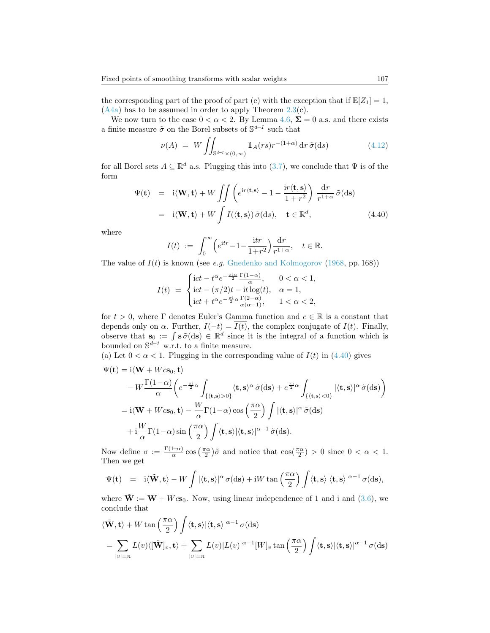the corresponding part of the proof of part (e) with the exception that if  $\mathbb{E}[Z_1] = 1$ ,  $(A4a)$  $(A4a)$  has to be assumed in order to apply Theorem [2.3\(](#page-7-2)c).

We now turn to the case  $0 < \alpha < 2$ . By Lemma [4.6,](#page-29-1)  $\Sigma = 0$  a.s. and there exists a finite measure  $\tilde{\sigma}$  on the Borel subsets of  $\mathbb{S}^{d-1}$  such that

<span id="page-38-0"></span>
$$
\nu(A) = W \iint_{\mathbb{S}^{d-1} \times (0,\infty)} \mathbb{1}_A(rs)r^{-(1+\alpha)} \, dr \, \tilde{\sigma}(\mathrm{d}s) \tag{4.12}
$$

for all Borel sets  $A \subseteq \mathbb{R}^d$  a.s. Plugging this into [\(3.7](#page-14-4)), we conclude that  $\Psi$  is of the form

$$
\Psi(\mathbf{t}) = i \langle \mathbf{W}, \mathbf{t} \rangle + W \iint \left( e^{i r \langle \mathbf{t}, \mathbf{s} \rangle} - 1 - \frac{i r \langle \mathbf{t}, \mathbf{s} \rangle}{1 + r^2} \right) \frac{dr}{r^{1 + \alpha}} \tilde{\sigma}(\text{ds})
$$

$$
= i \langle \mathbf{W}, \mathbf{t} \rangle + W \int I(\langle \mathbf{t}, \mathbf{s} \rangle) \tilde{\sigma}(\text{ds}), \quad \mathbf{t} \in \mathbb{R}^d, \tag{4.40}
$$

where

$$
I(t) := \int_0^\infty \left( e^{\mathrm{i}t r} - 1 - \frac{\mathrm{i}t r}{1 + r^2} \right) \frac{\mathrm{d}r}{r^{1 + \alpha}}, \quad t \in \mathbb{R}.
$$

The value of *I*(*t*) is known (see *e.g.* [Gnedenko and Kolmogorov](#page-44-4) ([1968,](#page-44-4) pp. 168))

$$
I(t) \ = \ \begin{cases} \mathrm{i} ct - t^\alpha e^{-\frac{\pi \mathrm{i} \alpha}{2}} \frac{\Gamma(1-\alpha)}{\alpha}, \quad \ \ 0 < \alpha < 1, \\ \mathrm{i} ct - (\pi/2)t - \mathrm{i} t \log(t), \quad \alpha = 1, \\ \mathrm{i} ct + t^\alpha e^{-\frac{\pi \mathrm{i}}{2} \alpha} \frac{\Gamma(2-\alpha)}{\alpha(\alpha-1)}, \quad \ \ 1 < \alpha < 2, \end{cases}
$$

for  $t > 0$ , where  $\Gamma$  denotes Euler's Gamma function and  $c \in \mathbb{R}$  is a constant that depends only on  $\alpha$ . Further,  $I(-t) = \overline{I(t)}$ , the complex conjugate of  $I(t)$ . Finally, observe that  $\mathbf{s}_0 := \int \mathbf{s} \, \tilde{\sigma}(\mathrm{d}\mathbf{s}) \in \mathbb{R}^d$  since it is the integral of a function which is bounded on S *<sup>d</sup>−<sup>1</sup>* w.r.t. to a finite measure.

(a)Let  $0 < \alpha < 1$ . Plugging in the corresponding value of  $I(t)$  in ([4.40](#page-38-0)) gives

$$
\Psi(\mathbf{t}) = \mathbf{i} \langle \mathbf{W} + Wc\mathbf{s}_0, \mathbf{t} \rangle \n- W \frac{\Gamma(1-\alpha)}{\alpha} \bigg( e^{-\frac{\pi \mathbf{i}}{2} \alpha} \int_{\{ \langle \mathbf{t}, \mathbf{s} \rangle > 0 \}} \langle \mathbf{t}, \mathbf{s} \rangle^{\alpha} \tilde{\sigma}(\mathbf{d}\mathbf{s}) + e^{\frac{\pi \mathbf{i}}{2} \alpha} \int_{\{ \langle \mathbf{t}, \mathbf{s} \rangle < 0 \}} |\langle \mathbf{t}, \mathbf{s} \rangle|^{\alpha} \tilde{\sigma}(\mathbf{d}\mathbf{s}) \bigg) \n= \mathbf{i} \langle \mathbf{W} + Wc\mathbf{s}_0, \mathbf{t} \rangle - \frac{W}{\alpha} \Gamma(1-\alpha) \cos\left(\frac{\pi \alpha}{2}\right) \int |\langle \mathbf{t}, \mathbf{s} \rangle|^{\alpha} \tilde{\sigma}(\mathbf{d}\mathbf{s}) \n+ \mathbf{i} \frac{W}{\alpha} \Gamma(1-\alpha) \sin\left(\frac{\pi \alpha}{2}\right) \int \langle \mathbf{t}, \mathbf{s} \rangle |\langle \mathbf{t}, \mathbf{s} \rangle|^{\alpha-1} \tilde{\sigma}(\mathbf{d}\mathbf{s}).
$$

Now define  $\sigma := \frac{\Gamma(1-\alpha)}{\alpha}$  $\frac{1-\alpha}{\alpha}$  cos  $\left(\frac{\pi\alpha}{2}\right)\tilde{\sigma}$  and notice that  $\cos(\frac{\pi\alpha}{2}) > 0$  since  $0 < \alpha < 1$ . Then we get

$$
\Psi(\mathbf{t}) = i \langle \tilde{\mathbf{W}}, \mathbf{t} \rangle - W \int |\langle \mathbf{t}, \mathbf{s} \rangle|^\alpha \sigma(\mathrm{d}\mathbf{s}) + i W \tan\left(\frac{\pi \alpha}{2}\right) \int \langle \mathbf{t}, \mathbf{s} \rangle |\langle \mathbf{t}, \mathbf{s} \rangle|^{\alpha - 1} \sigma(\mathrm{d}\mathbf{s}),
$$

where $\tilde{\mathbf{W}} := \mathbf{W} + W \mathbf{c} \mathbf{s}_0$ . Now, using linear independence of 1 and i and ([3.6\)](#page-14-2), we conclude that

$$
\langle \tilde{\mathbf{W}}, \mathbf{t} \rangle + W \tan \left( \frac{\pi \alpha}{2} \right) \int \langle \mathbf{t}, \mathbf{s} \rangle |\langle \mathbf{t}, \mathbf{s} \rangle|^{\alpha - 1} \sigma(\mathrm{d}s)
$$
  
= 
$$
\sum_{|v|=n} L(v) \langle [\tilde{\mathbf{W}}]_v, \mathbf{t} \rangle + \sum_{|v|=n} L(v) |L(v)|^{\alpha - 1} [W]_v \tan \left( \frac{\pi \alpha}{2} \right) \int \langle \mathbf{t}, \mathbf{s} \rangle |\langle \mathbf{t}, \mathbf{s} \rangle|^{\alpha - 1} \sigma(\mathrm{d}s)
$$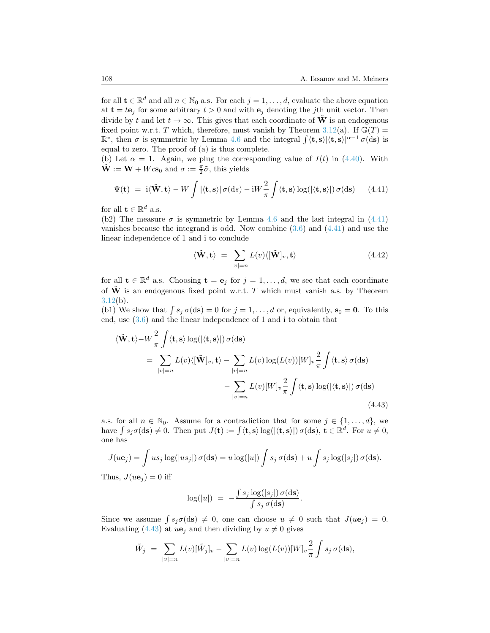for all  $\mathbf{t} \in \mathbb{R}^d$  and all  $n \in \mathbb{N}_0$  a.s. For each  $j = 1, \ldots, d$ , evaluate the above equation at  $\mathbf{t} = t\mathbf{e}_j$  for some arbitrary  $t > 0$  and with  $\mathbf{e}_j$  denoting the *j*th unit vector. Then divide by *t* and let  $t \to \infty$ . This gives that each coordinate of  $\tilde{W}$  is an endogenous fixed point w.r.t. *T* which, therefore, must vanish by Theorem [3.12](#page-19-2)(a). If  $\mathbb{G}(T)$  =  $\mathbb{R}^*$ , then  $\sigma$  is symmetric by Lemma [4.6](#page-29-1) and the integral  $\int \langle \mathbf{t}, \mathbf{s} \rangle |\langle \mathbf{t}, \mathbf{s} \rangle|^{\alpha-1} \sigma(\text{d}s)$  is equal to zero. The proof of (a) is thus complete.

(b) Let  $\alpha = 1$ . Again, we plug the corresponding value of  $I(t)$  in [\(4.40](#page-38-0)). With  $\tilde{\mathbf{W}} := \mathbf{W} + Wc\mathbf{s}_0$  and  $\sigma := \frac{\pi}{2}\tilde{\sigma}$ , this yields

<span id="page-39-0"></span>
$$
\Psi(\mathbf{t}) = \mathbf{i} \langle \tilde{\mathbf{W}}, \mathbf{t} \rangle - W \int |\langle \mathbf{t}, \mathbf{s} \rangle| \sigma(\mathrm{d}s) - \mathbf{i} W \frac{2}{\pi} \int \langle \mathbf{t}, \mathbf{s} \rangle \log(|\langle \mathbf{t}, \mathbf{s} \rangle|) \sigma(\mathrm{d}\mathbf{s}) \qquad (4.41)
$$

for all  $\mathbf{t} \in \mathbb{R}^d$  a.s.

(b2)The measure  $\sigma$  is symmetric by Lemma [4.6](#page-29-1) and the last integral in ([4.41](#page-39-0)) vanishesbecause the integrand is odd. Now combine  $(3.6)$  $(3.6)$  $(3.6)$  and  $(4.41)$  and use the linear independence of 1 and i to conclude

$$
\langle \tilde{\mathbf{W}}, \mathbf{t} \rangle = \sum_{|v|=n} L(v) \langle [\tilde{\mathbf{W}}]_v, \mathbf{t} \rangle \tag{4.42}
$$

for all  $\mathbf{t} \in \mathbb{R}^d$  a.s. Choosing  $\mathbf{t} = \mathbf{e}_j$  for  $j = 1, \ldots, d$ , we see that each coordinate of  $\tilde{W}$  is an endogenous fixed point w.r.t. *T* which must vanish a.s. by Theorem  $3.12(b)$  $3.12(b)$ .

(b1) We show that  $\int s_j \sigma(d\mathbf{s}) = 0$  for  $j = 1, ..., d$  or, equivalently,  $\mathbf{s}_0 = \mathbf{0}$ . To this end, use [\(3.6](#page-14-2)) and the linear independence of 1 and i to obtain that

$$
\langle \tilde{\mathbf{W}}, \mathbf{t} \rangle - W \frac{2}{\pi} \int \langle \mathbf{t}, \mathbf{s} \rangle \log(|\langle \mathbf{t}, \mathbf{s} \rangle|) \sigma(\mathrm{ds})
$$
  
\n
$$
= \sum_{|v|=n} L(v) \langle [\tilde{\mathbf{W}}]_v, \mathbf{t} \rangle - \sum_{|v|=n} L(v) \log(L(v)) [W]_v \frac{2}{\pi} \int \langle \mathbf{t}, \mathbf{s} \rangle \sigma(\mathrm{ds})
$$
  
\n
$$
- \sum_{|v|=n} L(v) [W]_v \frac{2}{\pi} \int \langle \mathbf{t}, \mathbf{s} \rangle \log(|\langle \mathbf{t}, \mathbf{s} \rangle|) \sigma(\mathrm{ds})
$$
\n(4.43)

a.s. for all  $n \in \mathbb{N}_0$ . Assume for a contradiction that for some  $j \in \{1, \ldots, d\}$ , we have  $\int s_j \sigma(\mathbf{ds}) \neq 0$ . Then put  $J(\mathbf{t}) := \int \langle \mathbf{t}, \mathbf{s} \rangle \log(|\langle \mathbf{t}, \mathbf{s} \rangle|) \sigma(\mathbf{ds}), \mathbf{t} \in \mathbb{R}^d$ . For  $u \neq 0$ , one has

$$
J(u\mathbf{e}_j) = \int u s_j \log(|u s_j|) \sigma(\mathrm{d}\mathbf{s}) = u \log(|u|) \int s_j \sigma(\mathrm{d}\mathbf{s}) + u \int s_j \log(|s_j|) \sigma(\mathrm{d}\mathbf{s}).
$$

Thus,  $J(u\mathbf{e}_i) = 0$  iff

<span id="page-39-1"></span>
$$
\log(|u|) = -\frac{\int s_j \log(|s_j|) \sigma(\mathrm{d}s)}{\int s_j \sigma(\mathrm{d}s)}.
$$

Since we assume  $\int s_j \sigma(\text{d}s) \neq 0$ , one can choose  $u \neq 0$  such that  $J(u\mathbf{e}_j) = 0$ . Evaluating([4.43\)](#page-39-1) at  $u\mathbf{e}_i$  and then dividing by  $u \neq 0$  gives

$$
\tilde{W}_j = \sum_{|v|=n} L(v) [\tilde{W}_j]_v - \sum_{|v|=n} L(v) \log(L(v)) [W]_v \frac{2}{\pi} \int s_j \sigma(\text{d}s),
$$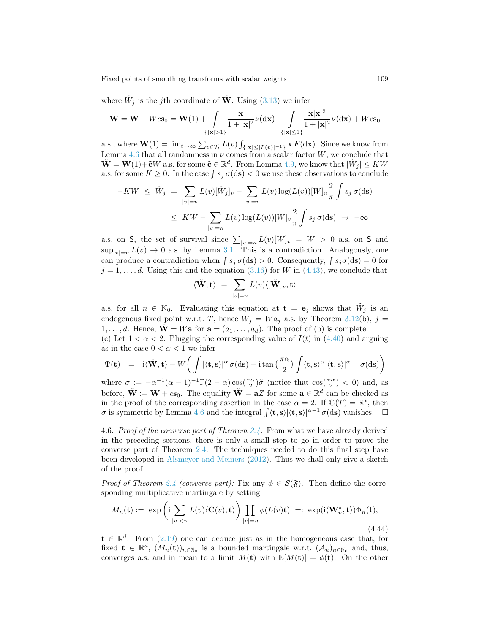where $\tilde{W}_j$  is the *j*th coordinate of  $\tilde{\mathbf{W}}$ . Using ([3.13](#page-15-3)) we infer

$$
\tilde{\mathbf{W}} = \mathbf{W} + Wc\mathbf{s}_0 = \mathbf{W}(1) + \int_{\{|\mathbf{x}|>1\}} \frac{\mathbf{x}}{1+|\mathbf{x}|^2} \nu(\mathrm{d}\mathbf{x}) - \int_{\{|\mathbf{x}|\leq 1\}} \frac{\mathbf{x}|\mathbf{x}|^2}{1+|\mathbf{x}|^2} \nu(\mathrm{d}\mathbf{x}) + Wc\mathbf{s}_0
$$

a.s., where  $\mathbf{W}(1) = \lim_{t \to \infty} \sum_{v \in \mathcal{T}_t} L(v) \int_{\{|\mathbf{x}| \leq |L(v)|^{-1}\}} \mathbf{x} F(\mathrm{d}\mathbf{x})$ . Since we know from Lemma [4.6](#page-29-1) that all randomness in  $\nu$  comes from a scalar factor  $W$ , we conclude that  $\tilde{\mathbf{W}} = \mathbf{W}(1) + \tilde{\mathbf{c}}W$  a.s. for some  $\tilde{\mathbf{c}} \in \mathbb{R}^d$ . From Lemma [4.9,](#page-35-1) we know that  $|\tilde{W}_j| \leq KW$ a.s. for some  $K \geq 0$ . In the case  $\int s_j \sigma(\text{d}s) < 0$  we use these observations to conclude

$$
-KW \leq \tilde{W}_j = \sum_{|v|=n} L(v)[\tilde{W}_j]_v - \sum_{|v|=n} L(v) \log(L(v))[W]_v \frac{2}{\pi} \int s_j \sigma(\text{ds})
$$
  

$$
\leq KW - \sum_{|v|=n} L(v) \log(L(v))[W]_v \frac{2}{\pi} \int s_j \sigma(\text{ds}) \to -\infty
$$

a.s. on S, the set of survival since  $\sum_{|v|=n} L(v)[W]_v = W > 0$  a.s. on S and  $\sup_{|v|=n} L(v) \to 0$  a.s. by Lemma [3.1](#page-13-2). This is a contradiction. Analogously, one can produce a contradiction when  $\int s_j \sigma(\text{d}s) > 0$ . Consequently,  $\int s_j \sigma(\text{d}s) = 0$  for  $j = 1, \ldots, d$  $j = 1, \ldots, d$  $j = 1, \ldots, d$ . Using this and the equation ([3.16](#page-18-0)) for *W* in [\(4.43](#page-39-1)), we conclude that

$$
\langle \tilde{\mathbf{W}}, \mathbf{t} \rangle \; = \; \sum_{|v|=n} L(v) \langle [\tilde{\mathbf{W}}]_v, \mathbf{t} \rangle
$$

a.s. for all  $n \in \mathbb{N}_0$ . Evaluating this equation at  $\mathbf{t} = \mathbf{e}_j$  shows that  $\tilde{W}_j$  is an endogenous fixed point w.r.t. *T*, hence  $\tilde{W}_j = Wa_j$  a.s. by Theorem [3.12\(](#page-19-2)b),  $j =$ 1,...,d. Hence,  $\dot{\mathbf{W}} = W\mathbf{a}$  for  $\mathbf{a} = (a_1, \ldots, a_d)$ . The proof of (b) is complete. (c) Let  $1 < \alpha < 2$ . Plugging the corresponding value of  $I(t)$  in  $(4.40)$  and arguing

as in the case  $0 < \alpha < 1$  we infer  $($ ∫  $\setminus$ 

$$
\Psi(\mathbf{t}) = i \langle \tilde{\mathbf{W}}, \mathbf{t} \rangle - W \bigg( \int |\langle \mathbf{t}, \mathbf{s} \rangle|^{\alpha} \sigma(\mathrm{d}\mathbf{s}) - i \tan \left( \frac{\pi \alpha}{2} \right) \int \langle \mathbf{t}, \mathbf{s} \rangle^{\alpha} |\langle \mathbf{t}, \mathbf{s} \rangle|^{\alpha - 1} \sigma(\mathrm{d}\mathbf{s}) \bigg)
$$

where  $\sigma := -\alpha^{-1}(\alpha - 1)^{-1}\Gamma(2 - \alpha)\cos(\frac{\pi\alpha}{2})\tilde{\sigma}$  (notice that  $\cos(\frac{\pi\alpha}{2}) < 0$ ) and, as before,  $\tilde{\mathbf{W}} := \mathbf{W} + c\mathbf{s}_0$ . The equality  $\tilde{\mathbf{W}} = \mathbf{a}Z$  for some  $\mathbf{a} \in \mathbb{R}^d$  can be checked as in the proof of the corresponding assertion in the case  $\alpha = 2$ . If  $\mathbb{G}(T) = \mathbb{R}^*$ , then *σ* is symmetric by Lemma [4.6](#page-29-1) and the integral  $\int \langle \mathbf{t}, \mathbf{s} \rangle |\langle \mathbf{t}, \mathbf{s} \rangle|^{\alpha-1} \sigma(\text{d}\mathbf{s})$  vanishes.  $\Box$ 

<span id="page-40-0"></span>4.6. *Proof of the converse part of Theorem [2.4](#page-8-0).* From what we have already derived in the preceding sections, there is only a small step to go in order to prove the converse part of Theorem [2.4.](#page-8-0) The techniques needed to do this final step have been developed in [Alsmeyer and Meiners](#page-43-5) ([2012\)](#page-43-5). Thus we shall only give a sketch of the proof.

*Proof of Theorem [2.4](#page-8-0) (converse part):* Fix any  $\phi \in \mathcal{S}(\mathfrak{F})$ . Then define the corresponding multiplicative martingale by setting

$$
M_n(\mathbf{t}) := \exp\left(i \sum_{|v|< n} L(v) \langle \mathbf{C}(v), \mathbf{t} \rangle \right) \prod_{|v|=n} \phi(L(v)\mathbf{t}) =: \exp(i \langle \mathbf{W}_n^*, \mathbf{t} \rangle) \Phi_n(\mathbf{t}), \tag{4.44}
$$

**t** *∈* R *d* . From([2.19\)](#page-8-1) one can deduce just as in the homogeneous case that, for fixed  $\mathbf{t} \in \mathbb{R}^d$ ,  $(M_n(\mathbf{t}))_{n \in \mathbb{N}_0}$  is a bounded martingale w.r.t.  $(\mathcal{A}_n)_{n \in \mathbb{N}_0}$  and, thus, converges a.s. and in mean to a limit  $M(\mathbf{t})$  with  $\mathbb{E}[M(\mathbf{t})] = \phi(\mathbf{t})$ . On the other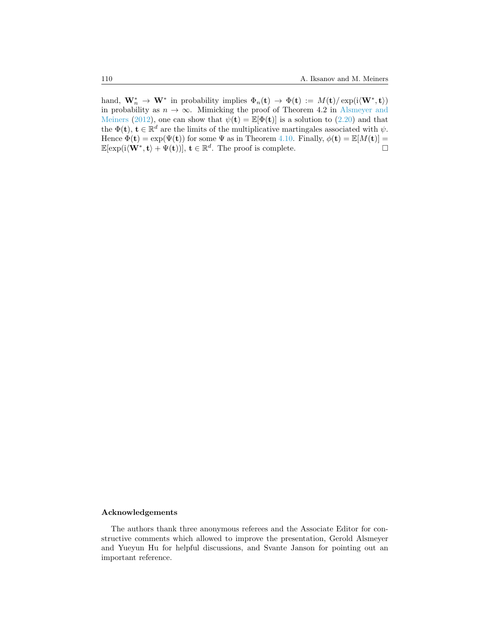hand,  $\mathbf{W}_n^* \to \mathbf{W}^*$  in probability implies  $\Phi_n(\mathbf{t}) \to \Phi(\mathbf{t}) := M(\mathbf{t})/\exp(i\langle \mathbf{W}^*, \mathbf{t} \rangle)$ in probability as  $n \to \infty$ . Mimicking the proof of Theorem 4.2 in [Alsmeyer and](#page-43-5) [Meiners](#page-43-5) [\(2012](#page-43-5)), one can show that  $\psi(\mathbf{t}) = \mathbb{E}[\Phi(\mathbf{t})]$  is a solution to [\(2.20](#page-8-2)) and that the  $\Phi(\mathbf{t})$ ,  $\mathbf{t} \in \mathbb{R}^d$  are the limits of the multiplicative martingales associated with  $\psi$ . Hence  $\Phi(\mathbf{t}) = \exp(\Psi(\mathbf{t}))$  for some  $\Psi$  as in Theorem [4.10.](#page-36-3) Finally,  $\phi(\mathbf{t}) = \mathbb{E}[M(\mathbf{t})] =$  $\mathbb{E}[\exp(i\langle \mathbf{W}^*, \mathbf{t} \rangle + \Psi(\mathbf{t}))], \mathbf{t} \in \mathbb{R}^d$ . The proof is complete.

### **Acknowledgements**

The authors thank three anonymous referees and the Associate Editor for constructive comments which allowed to improve the presentation, Gerold Alsmeyer and Yueyun Hu for helpful discussions, and Svante Janson for pointing out an important reference.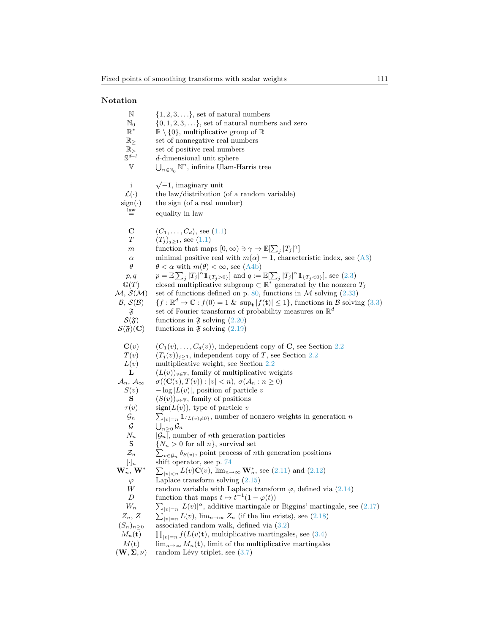# **Notation**

| $\mathbb N$                                             | $\{1, 2, 3, \ldots\}$ , set of natural numbers                                                                                                                           |
|---------------------------------------------------------|--------------------------------------------------------------------------------------------------------------------------------------------------------------------------|
| $\mathbb{N}_0$                                          | $\{0, 1, 2, 3, \ldots\}$ , set of natural numbers and zero                                                                                                               |
| $\mathbb{R}^*$                                          | $\mathbb{R}\setminus\{0\}$ , multiplicative group of $\mathbb{R}$                                                                                                        |
| $\mathbb{R}_{\geq}$                                     | set of nonnegative real numbers                                                                                                                                          |
| $\mathbb{R}_{>}$<br>$\mathbb{S}^{d-1}$                  | set of positive real numbers                                                                                                                                             |
| $\mathbb {V}$                                           | d-dimensional unit sphere                                                                                                                                                |
|                                                         | $\bigcup_{n\in\mathbb{N}_0}\mathbb{N}^n$ , infinite Ulam-Harris tree                                                                                                     |
| i                                                       | $\sqrt{-1}$ , imaginary unit                                                                                                                                             |
| $\mathcal{L}(\cdot)$                                    | the law/distribution (of a random variable)                                                                                                                              |
| $sign(\cdot)$                                           | the sign (of a real number)                                                                                                                                              |
| $\stackrel{\text{law}}{=}$                              | equality in law                                                                                                                                                          |
|                                                         |                                                                                                                                                                          |
| $\mathbf C$                                             | $(C_1, \ldots, C_d)$ , see $(1.1)$                                                                                                                                       |
| T                                                       | $(T_j)_{j\geq 1}$ , see $(1.1)$                                                                                                                                          |
| $_{m}$                                                  | function that maps $[0, \infty) \ni \gamma \mapsto \mathbb{E}[\sum_j  T_j ^{\gamma}]$                                                                                    |
| $\alpha$                                                | minimal positive real with $m(\alpha) = 1$ , characteristic index, see (A3)                                                                                              |
| $\theta$                                                | $\theta < \alpha$ with $m(\theta) < \infty$ , see (A4b)                                                                                                                  |
| p, q                                                    | $p = \mathbb{E}[\sum_{j}  T_j ^{\alpha} 1\!\!1_{\{T_j > 0\}}]$ and $q := \mathbb{E}[\sum_{j}  T_j ^{\alpha} 1\!\!1_{\{T_j < 0\}}],$ see (2.3)                            |
| $\mathbb{G}(T)$                                         | closed multiplicative subgroup $\subset \mathbb{R}^*$ generated by the nonzero $T_j$                                                                                     |
| $\mathcal{M}, \mathcal{S}(\mathcal{M})$                 | set of functions defined on p. 80, functions in $M$ solving (2.33)                                                                                                       |
| $\mathcal{B}, \mathcal{S}(\mathcal{B})$                 | $\{f: \mathbb{R}^d \to \mathbb{C} : f(0) = 1 \& \sup_{\mathbf{t}}  f(\mathbf{t})  \leq 1\}$ , functions in B solving (3.3)                                               |
| $\mathfrak{F}$                                          | set of Fourier transforms of probability measures on $\mathbb{R}^d$                                                                                                      |
| $\mathcal{S}(\mathfrak{F})$                             | functions in $\mathfrak{F}$ solving $(2.20)$                                                                                                                             |
| $\mathcal{S}(\mathfrak{F})(\mathbf{C})$                 | functions in $\mathfrak{F}$ solving $(2.19)$                                                                                                                             |
|                                                         |                                                                                                                                                                          |
|                                                         |                                                                                                                                                                          |
| $\mathbf{C}(v)$                                         | $(C_1(v), \ldots, C_d(v))$ , independent copy of <b>C</b> , see Section 2.2                                                                                              |
| T(v)                                                    | $(T_j(v))_{j\geq 1}$ , independent copy of T, see Section 2.2                                                                                                            |
| L(v)<br>L                                               | multiplicative weight, see Section 2.2                                                                                                                                   |
|                                                         | $(L(v))_{v \in V}$ , family of multiplicative weights                                                                                                                    |
| $\mathcal{A}_n, \, \mathcal{A}_\infty$                  | $\sigma((\mathbf{C}(v), T(v)) :  v  < n), \sigma(\mathcal{A}_n : n \geq 0)$                                                                                              |
| S(v)<br>s                                               | $-\log  L(v) $ , position of particle v<br>$(S(v))_{v \in V}$ , family of positions                                                                                      |
| $\tau(v)$                                               | $sign(L(v))$ , type of particle v                                                                                                                                        |
| $\mathcal{G}_n$                                         |                                                                                                                                                                          |
| G                                                       | $\sum_{ v =n} \mathbb{1}_{\{L(v)\neq 0\}}$ , number of nonzero weights in generation n<br>$\bigcup_{n\geq 0}\mathcal{G}_n$                                               |
| $N_n$                                                   | $ \mathcal{G}_n $ , number of <i>nth</i> generation particles                                                                                                            |
| S                                                       | $\{N_n > 0$ for all $n\}$ , survival set                                                                                                                                 |
| $\mathcal{Z}_n$                                         | $\sum_{v \in \mathcal{G}_n} \delta_{S(v)}$ , point process of <i>nth</i> generation positions                                                                            |
| $[\cdot]_u$                                             | shift operator, see p. $74$                                                                                                                                              |
| $\mathbf{W}_n^*, \mathbf{W}^*$                          | $\sum_{ v  < n} L(v) \mathbf{C}(v)$ , $\lim_{n \to \infty} \mathbf{W}_n^*$ , see (2.11) and (2.12)                                                                       |
| $\varphi$                                               | Laplace transform solving $(2.15)$                                                                                                                                       |
| W                                                       | random variable with Laplace transform $\varphi$ , defined via (2.14)                                                                                                    |
| D                                                       | function that maps $t \mapsto t^{-1}(1 - \varphi(t))$                                                                                                                    |
| $W_n$                                                   |                                                                                                                                                                          |
| $Z_n, Z$                                                | $\sum_{ v =n}  L(v) ^{\alpha}$ , additive martingale or Biggins' martingale, see (2.17)<br>$\sum_{ v =n} L(v)$ , $\lim_{n\to\infty} Z_n$ (if the lim exists), see (2.18) |
| $(S_n)_{n\geq 0}$                                       | associated random walk, defined via $(3.2)$                                                                                                                              |
| $M_n(\mathbf{t})$                                       | $\prod_{ v =n} f(L(v)\mathbf{t})$ , multiplicative martingales, see (3.4)                                                                                                |
| $M(\mathbf{t})$<br>$(\mathbf{W}, \mathbf{\Sigma}, \nu)$ | $\lim_{n\to\infty} M_n(\mathbf{t})$ , limit of the multiplicative martingales<br>random Lévy triplet, see $(3.7)$                                                        |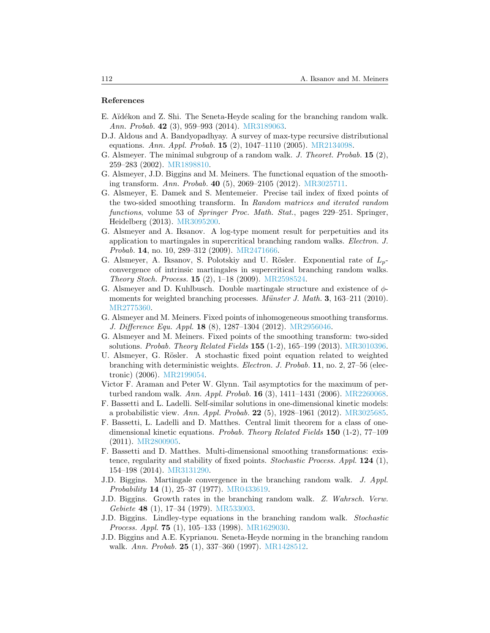#### **References**

- <span id="page-43-18"></span>E. Aïdékon and Z. Shi. The Seneta-Heyde scaling for the branching random walk. *Ann. Probab.* **42** (3), 959–993 (2014). [MR3189063](http://www.ams.org/mathscinet-getitem?mr=MR3189063).
- <span id="page-43-16"></span>D.J. Aldous and A. Bandyopadhyay. A survey of max-type recursive distributional equations. *Ann. Appl. Probab.* **15** (2), 1047–1110 (2005). [MR2134098](http://www.ams.org/mathscinet-getitem?mr=MR2134098).
- <span id="page-43-15"></span>G. Alsmeyer. The minimal subgroup of a random walk. *J. Theoret. Probab.* **15** (2), 259–283 (2002). [MR1898810](http://www.ams.org/mathscinet-getitem?mr=MR1898810).
- <span id="page-43-0"></span>G. Alsmeyer, J.D. Biggins and M. Meiners. The functional equation of the smoothing transform. *Ann. Probab.* **40** (5), 2069–2105 (2012). [MR3025711](http://www.ams.org/mathscinet-getitem?mr=MR3025711).
- <span id="page-43-12"></span>G. Alsmeyer, E. Damek and S. Mentemeier. Precise tail index of fixed points of the two-sided smoothing transform. In *Random matrices and iterated random functions*, volume 53 of *Springer Proc. Math. Stat.*, pages 229–251. Springer, Heidelberg (2013). [MR3095200.](http://www.ams.org/mathscinet-getitem?mr=MR3095200)
- <span id="page-43-10"></span>G. Alsmeyer and A. Iksanov. A log-type moment result for perpetuities and its application to martingales in supercritical branching random walks. *Electron. J. Probab.* **14**, no. 10, 289–312 (2009). [MR2471666.](http://www.ams.org/mathscinet-getitem?mr=MR2471666)
- <span id="page-43-17"></span>G. Alsmeyer, A. Iksanov, S. Polotskiy and U. Rösler. Exponential rate of  $L_p$ convergence of intrinsic martingales in supercritical branching random walks. *Theory Stoch. Process.* **15** (2), 1–18 (2009). [MR2598524.](http://www.ams.org/mathscinet-getitem?mr=MR2598524)
- <span id="page-43-9"></span>G. Alsmeyer and D. Kuhlbusch. Double martingale structure and existence of *φ*moments for weighted branching processes. *Münster J. Math.* **3**, 163–211 (2010). [MR2775360.](http://www.ams.org/mathscinet-getitem?mr=MR2775360)
- <span id="page-43-5"></span>G. Alsmeyer and M. Meiners. Fixed points of inhomogeneous smoothing transforms. *J. Difference Equ. Appl.* **18** (8), 1287–1304 (2012). [MR2956046.](http://www.ams.org/mathscinet-getitem?mr=MR2956046)
- <span id="page-43-1"></span>G. Alsmeyer and M. Meiners. Fixed points of the smoothing transform: two-sided solutions. *Probab. Theory Related Fields* **155** (1-2), 165–199 (2013). [MR3010396.](http://www.ams.org/mathscinet-getitem?mr=MR3010396)
- <span id="page-43-6"></span>U. Alsmeyer, G. Rösler. A stochastic fixed point equation related to weighted branching with deterministic weights. *Electron. J. Probab.* **11**, no. 2, 27–56 (electronic) (2006). [MR2199054.](http://www.ams.org/mathscinet-getitem?mr=MR2199054)
- <span id="page-43-14"></span>Victor F. Araman and Peter W. Glynn. Tail asymptotics for the maximum of perturbed random walk. *Ann. Appl. Probab.* **16** (3), 1411–1431 (2006). [MR2260068.](http://www.ams.org/mathscinet-getitem?mr=MR2260068)
- <span id="page-43-8"></span>F. Bassetti and L. Ladelli. Self-similar solutions in one-dimensional kinetic models: a probabilistic view. *Ann. Appl. Probab.* **22** (5), 1928–1961 (2012). [MR3025685.](http://www.ams.org/mathscinet-getitem?mr=MR3025685)
- <span id="page-43-4"></span>F. Bassetti, L. Ladelli and D. Matthes. Central limit theorem for a class of onedimensional kinetic equations. *Probab. Theory Related Fields* **150** (1-2), 77–109 (2011). [MR2800905.](http://www.ams.org/mathscinet-getitem?mr=MR2800905)
- <span id="page-43-7"></span>F. Bassetti and D. Matthes. Multi-dimensional smoothing transformations: existence, regularity and stability of fixed points. *Stochastic Process. Appl.* **124** (1), 154–198 (2014). [MR3131290](http://www.ams.org/mathscinet-getitem?mr=MR3131290).
- <span id="page-43-2"></span>J.D. Biggins. Martingale convergence in the branching random walk. *J. Appl. Probability* **14** (1), 25–37 (1977). [MR0433619.](http://www.ams.org/mathscinet-getitem?mr=MR0433619)
- <span id="page-43-11"></span>J.D. Biggins. Growth rates in the branching random walk. *Z. Wahrsch. Verw. Gebiete* **48** (1), 17–34 (1979). [MR533003](http://www.ams.org/mathscinet-getitem?mr=MR533003).
- <span id="page-43-13"></span>J.D. Biggins. Lindley-type equations in the branching random walk. *Stochastic Process. Appl.* **75** (1), 105–133 (1998). [MR1629030.](http://www.ams.org/mathscinet-getitem?mr=MR1629030)
- <span id="page-43-3"></span>J.D. Biggins and A.E. Kyprianou. Seneta-Heyde norming in the branching random walk. *Ann. Probab.* **25** (1), 337–360 (1997). [MR1428512](http://www.ams.org/mathscinet-getitem?mr=MR1428512).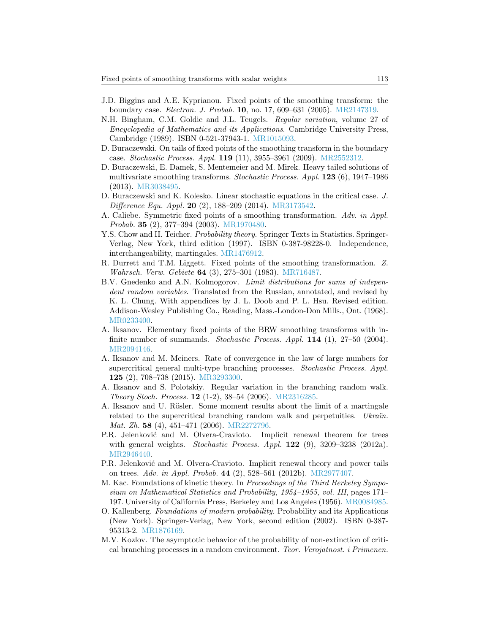- <span id="page-44-1"></span>J.D. Biggins and A.E. Kyprianou. Fixed points of the smoothing transform: the boundary case. *Electron. J. Probab.* **10**, no. 17, 609–631 (2005). [MR2147319.](http://www.ams.org/mathscinet-getitem?mr=MR2147319)
- <span id="page-44-15"></span>N.H. Bingham, C.M. Goldie and J.L. Teugels. *Regular variation*, volume 27 of *Encyclopedia of Mathematics and its Applications*. Cambridge University Press, Cambridge (1989). ISBN 0-521-37943-1. [MR1015093](http://www.ams.org/mathscinet-getitem?mr=MR1015093).
- <span id="page-44-6"></span>D. Buraczewski. On tails of fixed points of the smoothing transform in the boundary case. *Stochastic Process. Appl.* **119** (11), 3955–3961 (2009). [MR2552312](http://www.ams.org/mathscinet-getitem?mr=MR2552312).
- <span id="page-44-7"></span>D. Buraczewski, E. Damek, S. Mentemeier and M. Mirek. Heavy tailed solutions of multivariate smoothing transforms. *Stochastic Process. Appl.* **123** (6), 1947–1986 (2013). [MR3038495.](http://www.ams.org/mathscinet-getitem?mr=MR3038495)
- <span id="page-44-11"></span>D. Buraczewski and K. Kolesko. Linear stochastic equations in the critical case. *J. Difference Equ. Appl.* **20** (2), 188–209 (2014). [MR3173542.](http://www.ams.org/mathscinet-getitem?mr=MR3173542)
- <span id="page-44-5"></span>A. Caliebe. Symmetric fixed points of a smoothing transformation. *Adv. in Appl. Probab.* **35** (2), 377–394 (2003). [MR1970480](http://www.ams.org/mathscinet-getitem?mr=MR1970480).
- <span id="page-44-16"></span>Y.S. Chow and H. Teicher. *Probability theory*. Springer Texts in Statistics. Springer-Verlag, New York, third edition (1997). ISBN 0-387-98228-0. Independence, interchangeability, martingales. [MR1476912](http://www.ams.org/mathscinet-getitem?mr=MR1476912).
- <span id="page-44-0"></span>R. Durrett and T.M. Liggett. Fixed points of the smoothing transformation. *Z. Wahrsch. Verw. Gebiete* **64** (3), 275–301 (1983). [MR716487](http://www.ams.org/mathscinet-getitem?mr=MR716487).
- <span id="page-44-4"></span>B.V. Gnedenko and A.N. Kolmogorov. *Limit distributions for sums of independent random variables*. Translated from the Russian, annotated, and revised by K. L. Chung. With appendices by J. L. Doob and P. L. Hsu. Revised edition. Addison-Wesley Publishing Co., Reading, Mass.-London-Don Mills., Ont. (1968). [MR0233400.](http://www.ams.org/mathscinet-getitem?mr=MR0233400)
- <span id="page-44-2"></span>A. Iksanov. Elementary fixed points of the BRW smoothing transforms with infinite number of summands. *Stochastic Process. Appl.* **114** (1), 27–50 (2004). [MR2094146.](http://www.ams.org/mathscinet-getitem?mr=MR2094146)
- <span id="page-44-14"></span>A. Iksanov and M. Meiners. Rate of convergence in the law of large numbers for supercritical general multi-type branching processes. *Stochastic Process. Appl.* **125** (2), 708–738 (2015). [MR3293300](http://www.ams.org/mathscinet-getitem?mr=MR3293300).
- <span id="page-44-8"></span>A. Iksanov and S. Polotskiy. Regular variation in the branching random walk. *Theory Stoch. Process.* **12** (1-2), 38–54 (2006). [MR2316285.](http://www.ams.org/mathscinet-getitem?mr=MR2316285)
- <span id="page-44-9"></span>A. Iksanov and U. Rösler. Some moment results about the limit of a martingale related to the supercritical branching random walk and perpetuities. *Ukraïn. Mat. Zh.* **58** (4), 451–471 (2006). [MR2272796](http://www.ams.org/mathscinet-getitem?mr=MR2272796).
- <span id="page-44-12"></span>P.R. Jelenković and M. Olvera-Cravioto. Implicit renewal theorem for trees with general weights. *Stochastic Process. Appl.* **122** (9), 3209–3238 (2012a). [MR2946440.](http://www.ams.org/mathscinet-getitem?mr=MR2946440)
- <span id="page-44-10"></span>P.R. Jelenković and M. Olvera-Cravioto. Implicit renewal theory and power tails on trees. *Adv. in Appl. Probab.* **44** (2), 528–561 (2012b). [MR2977407.](http://www.ams.org/mathscinet-getitem?mr=MR2977407)
- <span id="page-44-3"></span>M. Kac. Foundations of kinetic theory. In *Proceedings of the Third Berkeley Symposium on Mathematical Statistics and Probability, 1954–1955, vol. III*, pages 171– 197. University of California Press, Berkeley and Los Angeles (1956). [MR0084985.](http://www.ams.org/mathscinet-getitem?mr=MR0084985)
- <span id="page-44-13"></span>O. Kallenberg. *Foundations of modern probability*. Probability and its Applications (New York). Springer-Verlag, New York, second edition (2002). ISBN 0-387- 95313-2. [MR1876169](http://www.ams.org/mathscinet-getitem?mr=MR1876169).
- <span id="page-44-17"></span>M.V. Kozlov. The asymptotic behavior of the probability of non-extinction of critical branching processes in a random environment. *Teor. Verojatnost. i Primenen.*